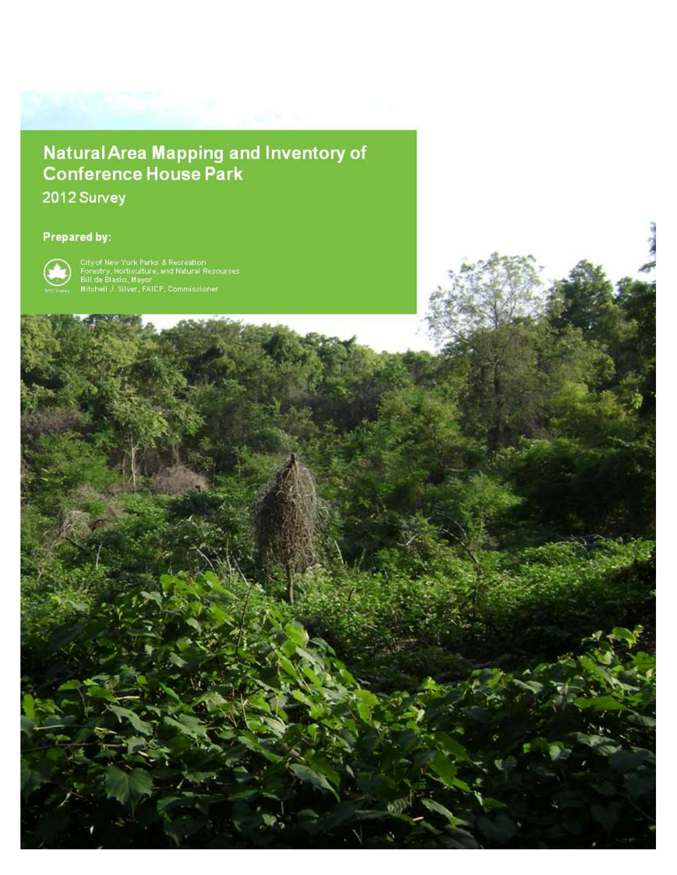# **Natural Area Mapping and Inventory of<br>Conference House Park**

City of New York, Parks & Recreation, Natural Resources Group

 $\sim$ 

2012 Survey

# Prepared by:



City of New York Parks & Recreation<br>Forestry, Horticulture, and Natural Resources<br>Bill de Blasio, Mayor<br>Mitchell J. Silver, FAICP, Commissioner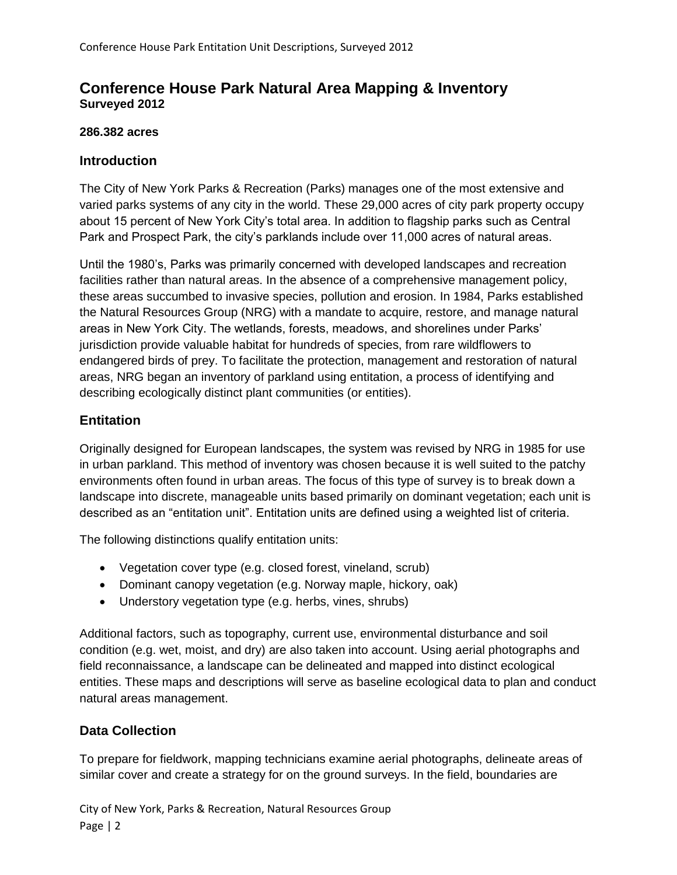# **Conference House Park Natural Area Mapping & Inventory Surveyed 2012**

# **286.382 acres**

# **Introduction**

The City of New York Parks & Recreation (Parks) manages one of the most extensive and varied parks systems of any city in the world. These 29,000 acres of city park property occupy about 15 percent of New York City's total area. In addition to flagship parks such as Central Park and Prospect Park, the city's parklands include over 11,000 acres of natural areas.

Until the 1980's, Parks was primarily concerned with developed landscapes and recreation facilities rather than natural areas. In the absence of a comprehensive management policy, these areas succumbed to invasive species, pollution and erosion. In 1984, Parks established the Natural Resources Group (NRG) with a mandate to acquire, restore, and manage natural areas in New York City. The wetlands, forests, meadows, and shorelines under Parks' jurisdiction provide valuable habitat for hundreds of species, from rare wildflowers to endangered birds of prey. To facilitate the protection, management and restoration of natural areas, NRG began an inventory of parkland using entitation, a process of identifying and describing ecologically distinct plant communities (or entities).

# **Entitation**

Originally designed for European landscapes, the system was revised by NRG in 1985 for use in urban parkland. This method of inventory was chosen because it is well suited to the patchy environments often found in urban areas. The focus of this type of survey is to break down a landscape into discrete, manageable units based primarily on dominant vegetation; each unit is described as an "entitation unit". Entitation units are defined using a weighted list of criteria.

The following distinctions qualify entitation units:

- Vegetation cover type (e.g. closed forest, vineland, scrub)
- Dominant canopy vegetation (e.g. Norway maple, hickory, oak)
- Understory vegetation type (e.g. herbs, vines, shrubs)

Additional factors, such as topography, current use, environmental disturbance and soil condition (e.g. wet, moist, and dry) are also taken into account. Using aerial photographs and field reconnaissance, a landscape can be delineated and mapped into distinct ecological entities. These maps and descriptions will serve as baseline ecological data to plan and conduct natural areas management.

# **Data Collection**

To prepare for fieldwork, mapping technicians examine aerial photographs, delineate areas of similar cover and create a strategy for on the ground surveys. In the field, boundaries are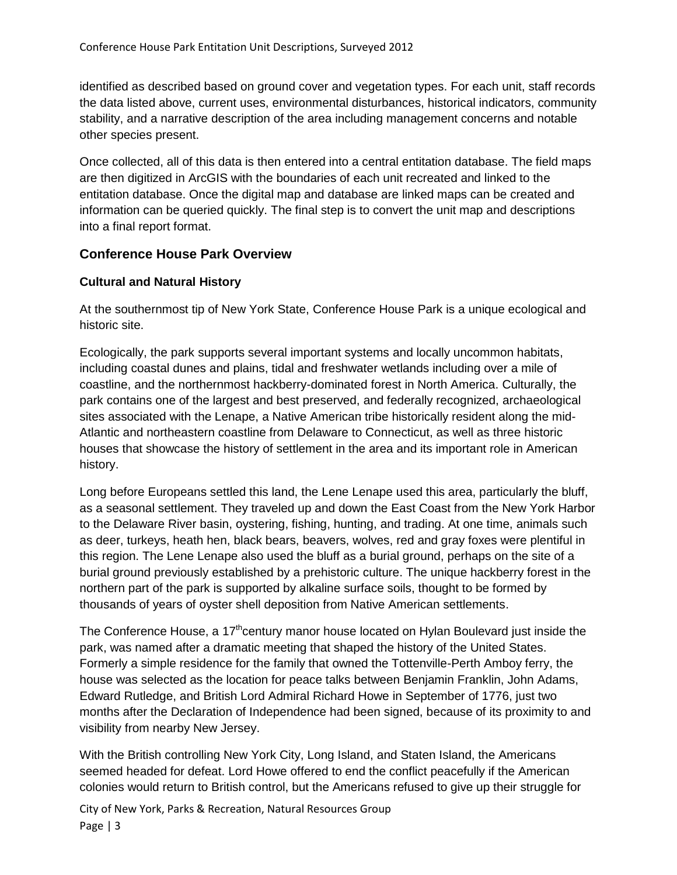identified as described based on ground cover and vegetation types. For each unit, staff records the data listed above, current uses, environmental disturbances, historical indicators, community stability, and a narrative description of the area including management concerns and notable other species present.

Once collected, all of this data is then entered into a central entitation database. The field maps are then digitized in ArcGIS with the boundaries of each unit recreated and linked to the entitation database. Once the digital map and database are linked maps can be created and information can be queried quickly. The final step is to convert the unit map and descriptions into a final report format.

# **Conference House Park Overview**

# **Cultural and Natural History**

At the southernmost tip of New York State, Conference House Park is a unique ecological and historic site.

Ecologically, the park supports several important systems and locally uncommon habitats, including coastal dunes and plains, tidal and freshwater wetlands including over a mile of coastline, and the northernmost hackberry-dominated forest in North America. Culturally, the park contains one of the largest and best preserved, and federally recognized, archaeological sites associated with the Lenape, a Native American tribe historically resident along the mid-Atlantic and northeastern coastline from Delaware to Connecticut, as well as three historic houses that showcase the history of settlement in the area and its important role in American history.

Long before Europeans settled this land, the Lene Lenape used this area, particularly the bluff, as a seasonal settlement. They traveled up and down the East Coast from the New York Harbor to the Delaware River basin, oystering, fishing, hunting, and trading. At one time, animals such as deer, turkeys, heath hen, black bears, beavers, wolves, red and gray foxes were plentiful in this region. The Lene Lenape also used the bluff as a burial ground, perhaps on the site of a burial ground previously established by a prehistoric culture. The unique hackberry forest in the northern part of the park is supported by alkaline surface soils, thought to be formed by thousands of years of oyster shell deposition from Native American settlements.

The Conference House, a  $17<sup>th</sup>$ century manor house located on Hylan Boulevard just inside the park, was named after a dramatic meeting that shaped the history of the United States. Formerly a simple residence for the family that owned the Tottenville-Perth Amboy ferry, the house was selected as the location for peace talks between Benjamin Franklin, John Adams, Edward Rutledge, and British Lord Admiral Richard Howe in September of 1776, just two months after the Declaration of Independence had been signed, because of its proximity to and visibility from nearby New Jersey.

With the British controlling New York City, Long Island, and Staten Island, the Americans seemed headed for defeat. Lord Howe offered to end the conflict peacefully if the American colonies would return to British control, but the Americans refused to give up their struggle for

City of New York, Parks & Recreation, Natural Resources Group Page | 3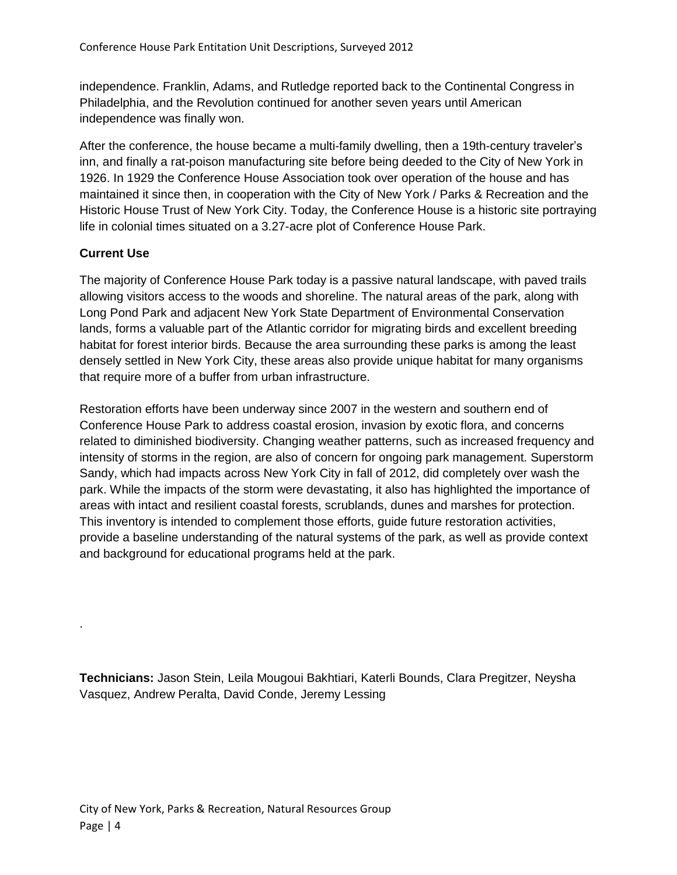independence. Franklin, Adams, and Rutledge reported back to the Continental Congress in Philadelphia, and the Revolution continued for another seven years until American independence was finally won.

After the conference, the house became a multi-family dwelling, then a 19th-century traveler's inn, and finally a rat-poison manufacturing site before being deeded to the City of New York in 1926. In 1929 the Conference House Association took over operation of the house and has maintained it since then, in cooperation with the City of New York / Parks & Recreation and the Historic House Trust of New York City. Today, the Conference House is a historic site portraying life in colonial times situated on a 3.27-acre plot of Conference House Park.

# **Current Use**

.

The majority of Conference House Park today is a passive natural landscape, with paved trails allowing visitors access to the woods and shoreline. The natural areas of the park, along with Long Pond Park and adjacent New York State Department of Environmental Conservation lands, forms a valuable part of the Atlantic corridor for migrating birds and excellent breeding habitat for forest interior birds. Because the area surrounding these parks is among the least densely settled in New York City, these areas also provide unique habitat for many organisms that require more of a buffer from urban infrastructure.

Restoration efforts have been underway since 2007 in the western and southern end of Conference House Park to address coastal erosion, invasion by exotic flora, and concerns related to diminished biodiversity. Changing weather patterns, such as increased frequency and intensity of storms in the region, are also of concern for ongoing park management. Superstorm Sandy, which had impacts across New York City in fall of 2012, did completely over wash the park. While the impacts of the storm were devastating, it also has highlighted the importance of areas with intact and resilient coastal forests, scrublands, dunes and marshes for protection. This inventory is intended to complement those efforts, guide future restoration activities, provide a baseline understanding of the natural systems of the park, as well as provide context and background for educational programs held at the park.

**Technicians:** Jason Stein, Leila Mougoui Bakhtiari, Katerli Bounds, Clara Pregitzer, Neysha Vasquez, Andrew Peralta, David Conde, Jeremy Lessing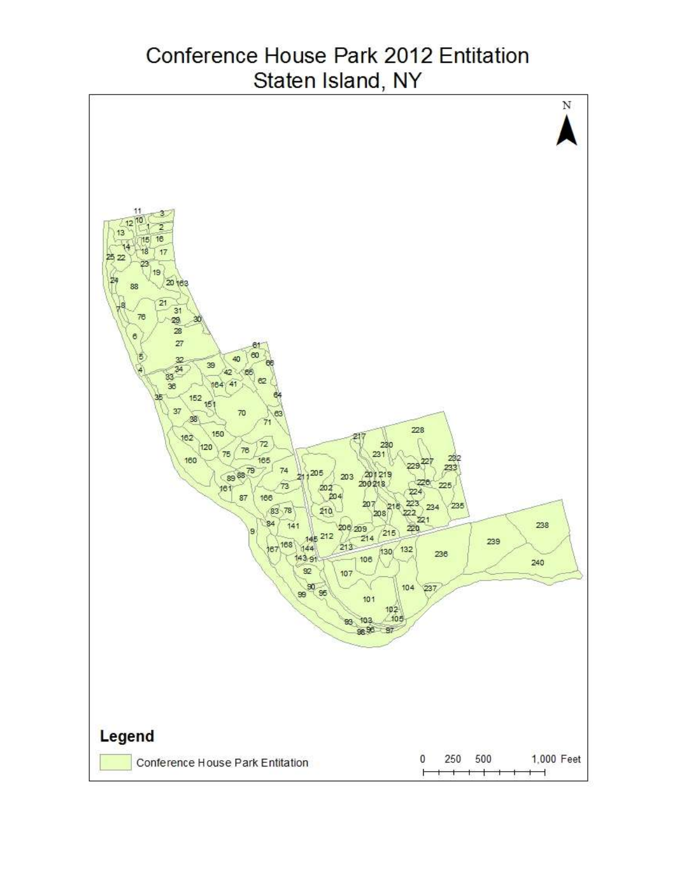# Conference House Park 2012 Entitation Staten Island, NY

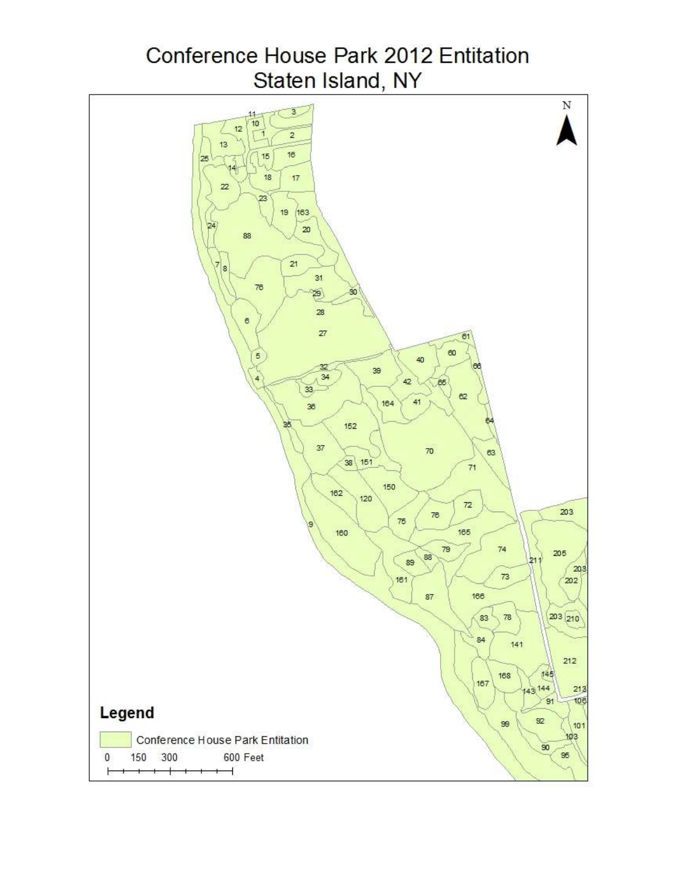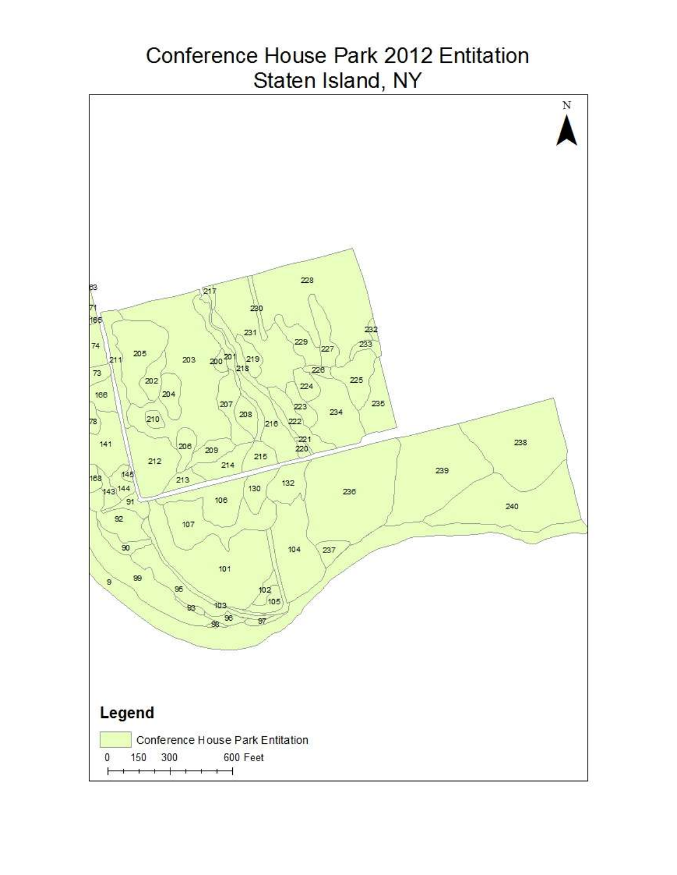# Conference House Park 2012 Entitation Staten Island, NY

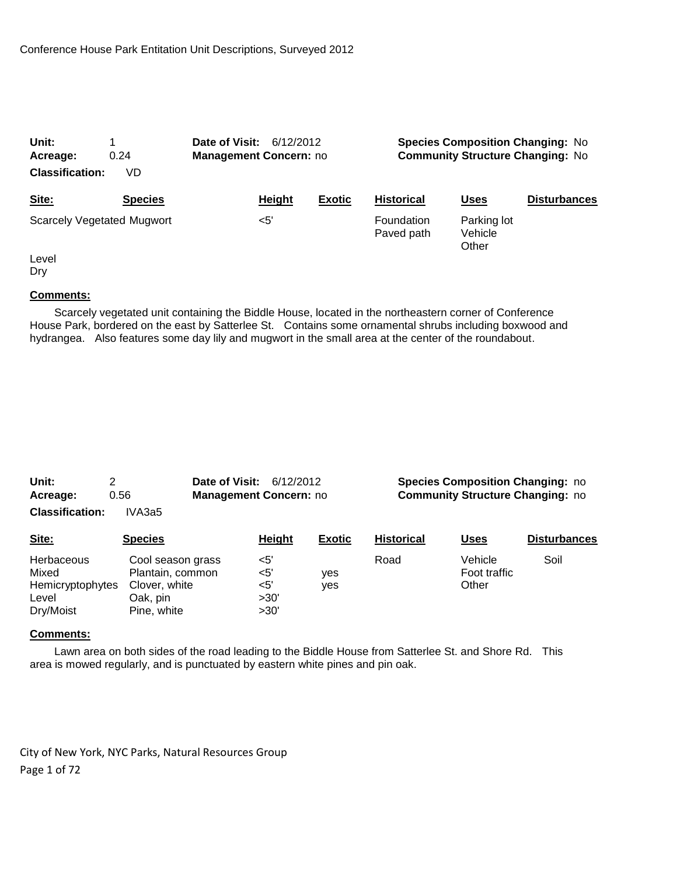| Unit:<br>0.24<br>Acreage:<br><b>Classification:</b><br>VD |                                   | Date of Visit:<br>6/12/2012<br><b>Management Concern: no</b> |               | <b>Species Composition Changing: No</b><br><b>Community Structure Changing: No</b> |                                 |                     |
|-----------------------------------------------------------|-----------------------------------|--------------------------------------------------------------|---------------|------------------------------------------------------------------------------------|---------------------------------|---------------------|
| Site:                                                     | <b>Species</b>                    | Height                                                       | <b>Exotic</b> | <b>Historical</b>                                                                  | Uses                            | <b>Disturbances</b> |
|                                                           | <b>Scarcely Vegetated Mugwort</b> | $<$ 5'                                                       |               | Foundation<br>Paved path                                                           | Parking lot<br>Vehicle<br>Other |                     |
| Level                                                     |                                   |                                                              |               |                                                                                    |                                 |                     |

Dry

# **Comments:**

 Scarcely vegetated unit containing the Biddle House, located in the northeastern corner of Conference House Park, bordered on the east by Satterlee St. Contains some ornamental shrubs including boxwood and hydrangea. Also features some day lily and mugwort in the small area at the center of the roundabout.

| Unit:                  |        | <b>Date of Visit: 6/12/2012</b> | <b>Species Composition Changing: no</b> |
|------------------------|--------|---------------------------------|-----------------------------------------|
| Acreage:               | 0.56   | <b>Management Concern: no</b>   | <b>Community Structure Changing: no</b> |
| <b>Classification:</b> | IVA3a5 |                                 |                                         |

| Site:                                                                | <b>Species</b>                                                                    | <b>Height</b>                           | <b>Exotic</b> | <b>Historical</b> | <u>Uses</u>                      | <b>Disturbances</b> |
|----------------------------------------------------------------------|-----------------------------------------------------------------------------------|-----------------------------------------|---------------|-------------------|----------------------------------|---------------------|
| <b>Herbaceous</b><br>Mixed<br>Hemicryptophytes<br>Level<br>Dry/Moist | Cool season grass<br>Plantain, common<br>Clover, white<br>Oak, pin<br>Pine, white | <5'<br>$<$ 5'<br>$<$ 5'<br>>30'<br>>30' | yes<br>ves    | Road              | Vehicle<br>Foot traffic<br>Other | Soil                |

#### **Comments:**

 Lawn area on both sides of the road leading to the Biddle House from Satterlee St. and Shore Rd. This area is mowed regularly, and is punctuated by eastern white pines and pin oak.

City of New York, NYC Parks, Natural Resources Group Page 1 of 72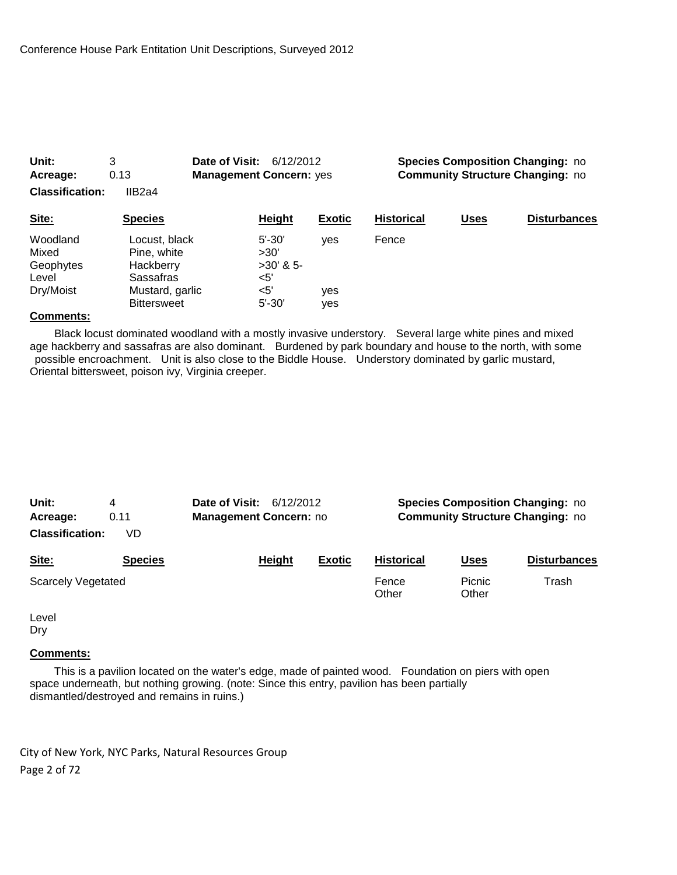| 0.13<br>Acreage:<br><b>Classification:</b><br>IIB2a4 |                                                                                                 | <b>Management Concern: yes</b>                                   |                          |                   | <b>Community Structure Changing: no</b> |                     |  |
|------------------------------------------------------|-------------------------------------------------------------------------------------------------|------------------------------------------------------------------|--------------------------|-------------------|-----------------------------------------|---------------------|--|
| Site:                                                | <b>Species</b>                                                                                  | Height                                                           | <b>Exotic</b>            | <b>Historical</b> | <b>Uses</b>                             | <b>Disturbances</b> |  |
| Woodland<br>Mixed<br>Geophytes<br>Level<br>Dry/Moist | Locust, black<br>Pine, white<br>Hackberry<br>Sassafras<br>Mustard, garlic<br><b>Bittersweet</b> | $5' - 30'$<br>>30'<br>$>30'$ & 5-<br><5'<br>$<$ 5'<br>$5' - 30'$ | ves<br><b>ves</b><br>ves | Fence             |                                         |                     |  |

**Unit:** 3 **Date of Visit:** 6/12/2012 **Species Composition Changing:** no

#### **Comments:**

 Black locust dominated woodland with a mostly invasive understory. Several large white pines and mixed age hackberry and sassafras are also dominant. Burdened by park boundary and house to the north, with some possible encroachment. Unit is also close to the Biddle House. Understory dominated by garlic mustard, Oriental bittersweet, poison ivy, Virginia creeper.

| Unit:<br>Acreage:<br><b>Classification:</b> | 4<br>0.11<br>VD | Date of Visit: | 6/12/2012<br><b>Management Concern: no</b> |               | <b>Species Composition Changing: no</b><br><b>Community Structure Changing: no</b> |                 |                     |
|---------------------------------------------|-----------------|----------------|--------------------------------------------|---------------|------------------------------------------------------------------------------------|-----------------|---------------------|
| Site:                                       | <b>Species</b>  |                | Height                                     | <b>Exotic</b> | <b>Historical</b>                                                                  | <u>Uses</u>     | <b>Disturbances</b> |
| <b>Scarcely Vegetated</b>                   |                 |                |                                            |               | Fence<br>Other                                                                     | Picnic<br>Other | Trash               |

Level Dry

#### **Comments:**

 This is a pavilion located on the water's edge, made of painted wood. Foundation on piers with open space underneath, but nothing growing. (note: Since this entry, pavilion has been partially dismantled/destroyed and remains in ruins.)

City of New York, NYC Parks, Natural Resources Group Page 2 of 72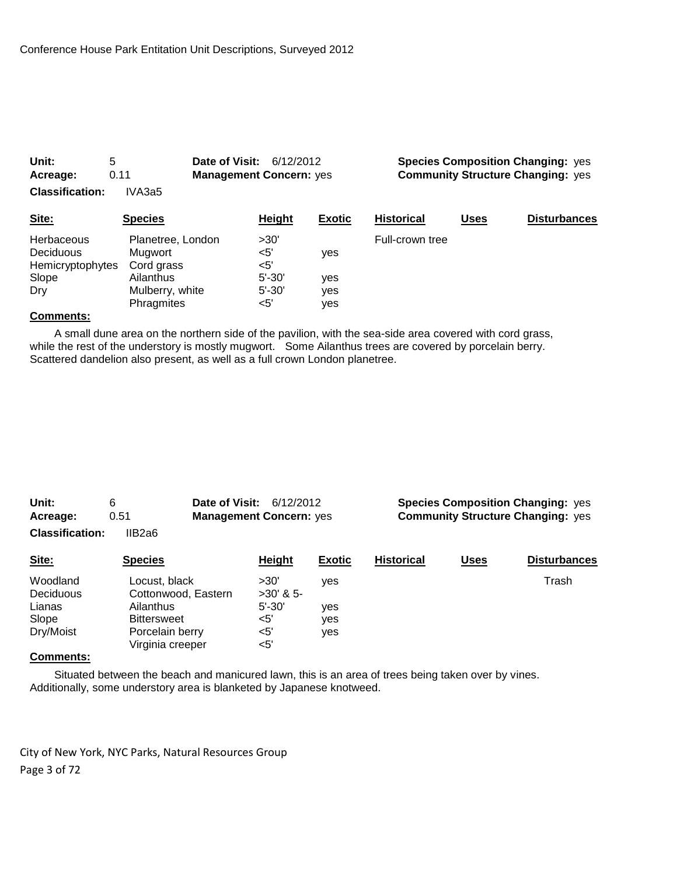| Unit:<br>Acreage:                                                         | 5<br>0.11                                                                                | Date of Visit:                                                 | <b>Species Composition Changing: yes</b><br>6/12/2012<br><b>Community Structure Changing: yes</b><br><b>Management Concern: yes</b> |                   |             |                     |
|---------------------------------------------------------------------------|------------------------------------------------------------------------------------------|----------------------------------------------------------------|-------------------------------------------------------------------------------------------------------------------------------------|-------------------|-------------|---------------------|
| <b>Classification:</b>                                                    | IVA3a5                                                                                   |                                                                |                                                                                                                                     |                   |             |                     |
| Site:                                                                     | <b>Species</b>                                                                           | Height                                                         | <b>Exotic</b>                                                                                                                       | <b>Historical</b> | <u>Uses</u> | <b>Disturbances</b> |
| <b>Herbaceous</b><br><b>Deciduous</b><br>Hemicryptophytes<br>Slope<br>Dry | Planetree, London<br>Mugwort<br>Cord grass<br>Ailanthus<br>Mulberry, white<br>Phragmites | >30'<br>$<$ 5'<br>$<$ 5'<br>$5' - 30'$<br>$5' - 30'$<br>$<$ 5' | yes<br>yes<br>yes<br>yes                                                                                                            | Full-crown tree   |             |                     |

 A small dune area on the northern side of the pavilion, with the sea-side area covered with cord grass, while the rest of the understory is mostly mugwort. Some Ailanthus trees are covered by porcelain berry. Scattered dandelion also present, as well as a full crown London planetree.

| Unit:                  | 6      | <b>Date of Visit: 6/12/2012</b> |  |
|------------------------|--------|---------------------------------|--|
| Acreage:               | 0.51   | <b>Management Concern: yes</b>  |  |
| <b>Classification:</b> | IIB2a6 |                                 |  |

**Species Composition Changing: yes Community Structure Changing: yes** 

| Site:                 | <b>Species</b>                       | Height              | <b>Exotic</b> | <b>Historical</b> | <u>Uses</u> | <b>Disturbances</b> |
|-----------------------|--------------------------------------|---------------------|---------------|-------------------|-------------|---------------------|
| Woodland<br>Deciduous | Locust, black<br>Cottonwood, Eastern | >30'<br>$>30'$ & 5- | ves           |                   |             | Trash               |
| Lianas                | Ailanthus                            | $5' - 30'$          | ves           |                   |             |                     |
| Slope                 | <b>Bittersweet</b>                   | $<$ 5'              | ves           |                   |             |                     |
| Dry/Moist             | Porcelain berry<br>Virginia creeper  | <5'<br>$<$ 5'       | ves           |                   |             |                     |

#### **Comments:**

 Situated between the beach and manicured lawn, this is an area of trees being taken over by vines. Additionally, some understory area is blanketed by Japanese knotweed.

City of New York, NYC Parks, Natural Resources Group Page 3 of 72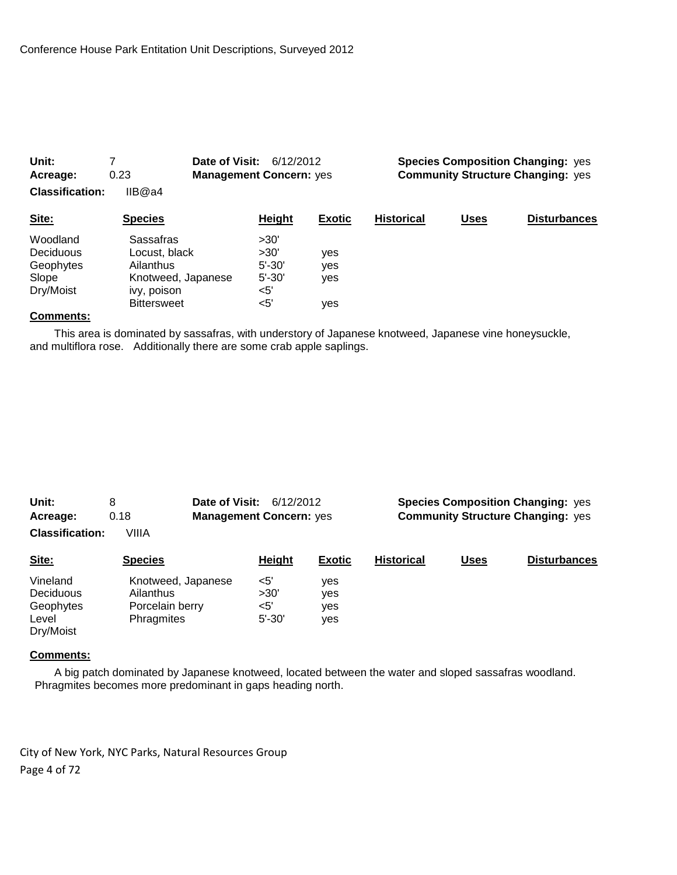| Unit:<br>Acreage:      | 0.23                              | Date of Visit:    | <b>Species Composition Changing: yes</b><br>6/12/2012<br><b>Community Structure Changing: yes</b><br><b>Management Concern: yes</b> |                   |             |                     |
|------------------------|-----------------------------------|-------------------|-------------------------------------------------------------------------------------------------------------------------------------|-------------------|-------------|---------------------|
| <b>Classification:</b> | IIB@a4                            |                   |                                                                                                                                     |                   |             |                     |
| Site:                  | <b>Species</b>                    | <b>Height</b>     | <b>Exotic</b>                                                                                                                       | <b>Historical</b> | <b>Uses</b> | <b>Disturbances</b> |
| Woodland<br>Deciduous  | Sassafras<br>Locust, black        | >30'<br>>30'      | yes                                                                                                                                 |                   |             |                     |
| Geophytes              | Ailanthus                         | $5' - 30'$        | yes                                                                                                                                 |                   |             |                     |
| Slope<br>Dry/Moist     | Knotweed, Japanese<br>ivy, poison | $5' - 30'$<br><5' | yes                                                                                                                                 |                   |             |                     |
|                        | <b>Bittersweet</b>                | <5'               | yes                                                                                                                                 |                   |             |                     |

 This area is dominated by sassafras, with understory of Japanese knotweed, Japanese vine honeysuckle, and multiflora rose. Additionally there are some crab apple saplings.

| Unit:                  | 8                  | Date of Visit:<br>6/12/2012    |               | <b>Species Composition Changing: yes</b> |             |                                          |
|------------------------|--------------------|--------------------------------|---------------|------------------------------------------|-------------|------------------------------------------|
| Acreage:               | 0.18               | <b>Management Concern: yes</b> |               |                                          |             | <b>Community Structure Changing: yes</b> |
| <b>Classification:</b> | VIIIA              |                                |               |                                          |             |                                          |
| Site:                  | <b>Species</b>     | Height                         | <b>Exotic</b> | <b>Historical</b>                        | <b>Uses</b> | <b>Disturbances</b>                      |
| Vineland               | Knotweed, Japanese | <5'                            | ves           |                                          |             |                                          |
| <b>Deciduous</b>       | Ailanthus          | >30'                           | yes           |                                          |             |                                          |
| Geophytes              | Porcelain berry    | $<$ 5'                         | ves           |                                          |             |                                          |
| Level<br>Dry/Moist     | Phragmites         | $5' - 30'$                     | yes           |                                          |             |                                          |

#### **Comments:**

 A big patch dominated by Japanese knotweed, located between the water and sloped sassafras woodland. Phragmites becomes more predominant in gaps heading north.

City of New York, NYC Parks, Natural Resources Group Page 4 of 72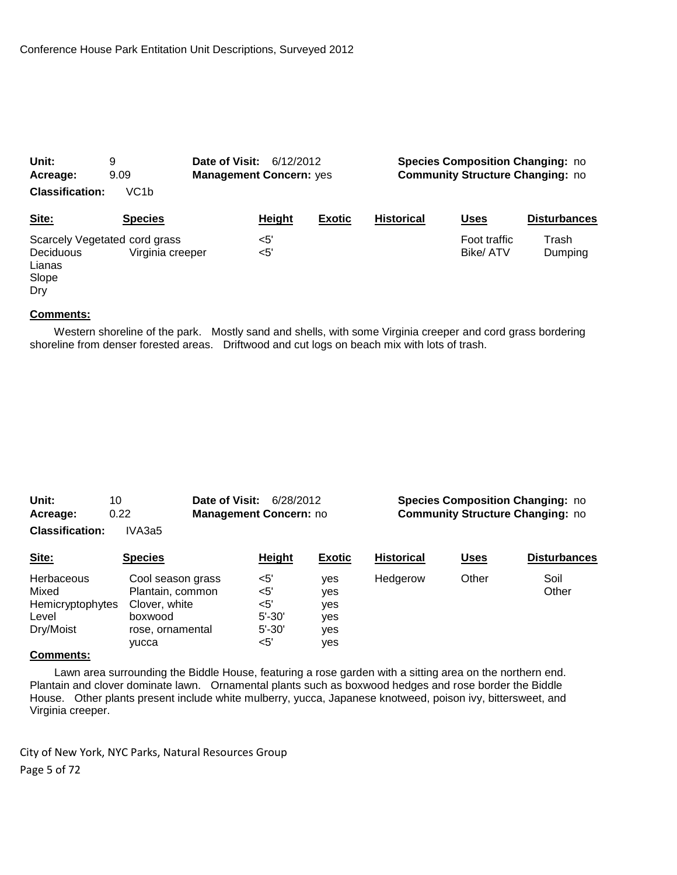| Unit:                                      | 9                                                 | Date of Visit:<br>6/12/2012    |  |               | <b>Species Composition Changing: no</b> |                                         |                     |  |
|--------------------------------------------|---------------------------------------------------|--------------------------------|--|---------------|-----------------------------------------|-----------------------------------------|---------------------|--|
| Acreage:                                   | 9.09                                              | <b>Management Concern: yes</b> |  |               |                                         | <b>Community Structure Changing: no</b> |                     |  |
| <b>Classification:</b>                     | VC <sub>1</sub> b                                 |                                |  |               |                                         |                                         |                     |  |
| Site:                                      | <b>Species</b>                                    | Height                         |  | <b>Exotic</b> | <b>Historical</b>                       | <b>Uses</b>                             | <b>Disturbances</b> |  |
| <b>Deciduous</b><br>Lianas<br>Slope<br>Dry | Scarcely Vegetated cord grass<br>Virginia creeper | $<$ 5'<br>$<$ 5'               |  |               |                                         | Foot traffic<br>Bike/ATV                | Trash<br>Dumping    |  |

 Western shoreline of the park. Mostly sand and shells, with some Virginia creeper and cord grass bordering shoreline from denser forested areas. Driftwood and cut logs on beach mix with lots of trash.

| Unit:                  | 10     | <b>Date of Visit: 6/28/2012</b> |  |
|------------------------|--------|---------------------------------|--|
| Acreage:               | 0.22   | <b>Management Concern: no</b>   |  |
| <b>Classification:</b> | IVA3a5 |                                 |  |

#### **Species Composition Changing: no Community Structure Changing: no**

| Site:                                                         | <b>Species</b>                                                                                 | <b>Height</b>                                              | <b>Exotic</b>                          | <b>Historical</b> | <b>Uses</b> | <b>Disturbances</b> |
|---------------------------------------------------------------|------------------------------------------------------------------------------------------------|------------------------------------------------------------|----------------------------------------|-------------------|-------------|---------------------|
| Herbaceous<br>Mixed<br>Hemicryptophytes<br>Level<br>Dry/Moist | Cool season grass<br>Plantain, common<br>Clover, white<br>boxwood<br>rose, ornamental<br>vucca | $<$ 5'<br>$<$ 5'<br><5'<br>$5' - 30'$<br>$5' - 30'$<br><5' | ves<br>ves<br>ves<br>yes<br>ves<br>ves | Hedgerow          | Other       | Soil<br>Other       |

#### **Comments:**

 Lawn area surrounding the Biddle House, featuring a rose garden with a sitting area on the northern end. Plantain and clover dominate lawn. Ornamental plants such as boxwood hedges and rose border the Biddle House. Other plants present include white mulberry, yucca, Japanese knotweed, poison ivy, bittersweet, and Virginia creeper.

City of New York, NYC Parks, Natural Resources Group Page 5 of 72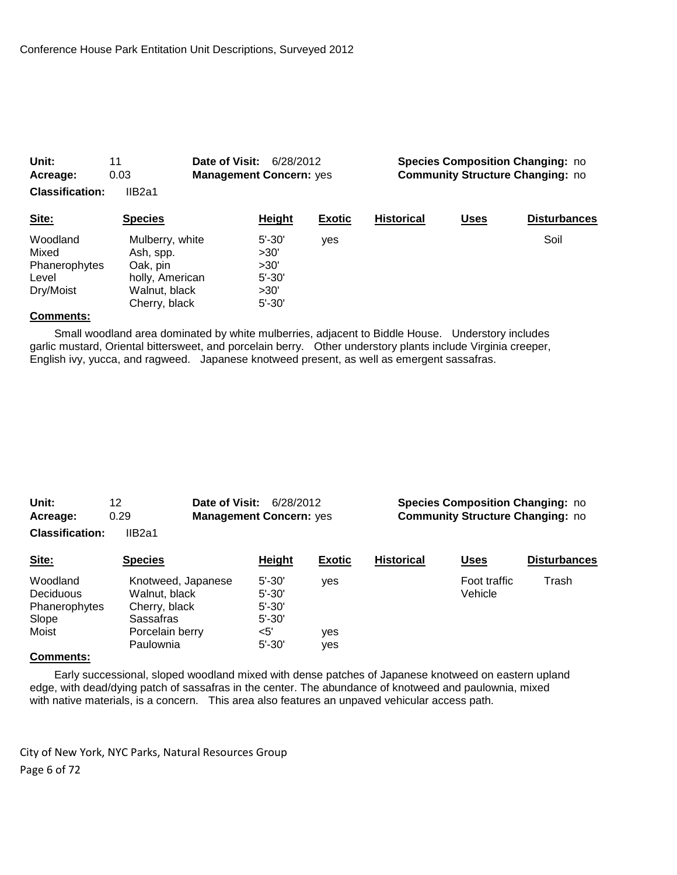| Acreage:                                                 | 0.03                                                                                          | <b>Management Concern: yes</b>                                 |               |                   | <b>Community Structure Changing: no</b> |                     |  |
|----------------------------------------------------------|-----------------------------------------------------------------------------------------------|----------------------------------------------------------------|---------------|-------------------|-----------------------------------------|---------------------|--|
| <b>Classification:</b>                                   | IIB <sub>2a1</sub>                                                                            |                                                                |               |                   |                                         |                     |  |
| Site:                                                    | <b>Species</b>                                                                                | <b>Height</b>                                                  | <b>Exotic</b> | <b>Historical</b> | <b>Uses</b>                             | <b>Disturbances</b> |  |
| Woodland<br>Mixed<br>Phanerophytes<br>Level<br>Dry/Moist | Mulberry, white<br>Ash, spp.<br>Oak, pin<br>holly, American<br>Walnut, black<br>Cherry, black | $5' - 30'$<br>>30'<br>>30'<br>$5' - 30'$<br>>30'<br>$5' - 30'$ | ves           |                   |                                         | Soil                |  |

**Unit:** 11 **Date of Visit:** 6/28/2012 **Species Composition Changing:** no

#### **Comments:**

 Small woodland area dominated by white mulberries, adjacent to Biddle House. Understory includes garlic mustard, Oriental bittersweet, and porcelain berry. Other understory plants include Virginia creeper, English ivy, yucca, and ragweed. Japanese knotweed present, as well as emergent sassafras.

| Unit:                  | 12     | <b>Date of Visit: 6/28/2012</b> |  |
|------------------------|--------|---------------------------------|--|
| Acreage:               | 0.29   | <b>Management Concern: yes</b>  |  |
| <b>Classification:</b> | IIB2a1 |                                 |  |

**Species Composition Changing: no Community Structure Changing: no** 

| Site:            | <b>Species</b>     | Height     | <b>Exotic</b> | <b>Historical</b> | <u>Uses</u>  | <b>Disturbances</b> |
|------------------|--------------------|------------|---------------|-------------------|--------------|---------------------|
| Woodland         | Knotweed, Japanese | $5' - 30'$ | ves           |                   | Foot traffic | Trash               |
| <b>Deciduous</b> | Walnut, black      | $5' - 30'$ |               |                   | Vehicle      |                     |
| Phanerophytes    | Cherry, black      | $5' - 30'$ |               |                   |              |                     |
| Slope            | Sassafras          | $5' - 30'$ |               |                   |              |                     |
| Moist            | Porcelain berry    | $<$ 5'     | yes           |                   |              |                     |
|                  | Paulownia          | $5' - 30'$ | yes           |                   |              |                     |
|                  |                    |            |               |                   |              |                     |

#### **Comments:**

 Early successional, sloped woodland mixed with dense patches of Japanese knotweed on eastern upland edge, with dead/dying patch of sassafras in the center. The abundance of knotweed and paulownia, mixed with native materials, is a concern. This area also features an unpaved vehicular access path.

City of New York, NYC Parks, Natural Resources Group Page 6 of 72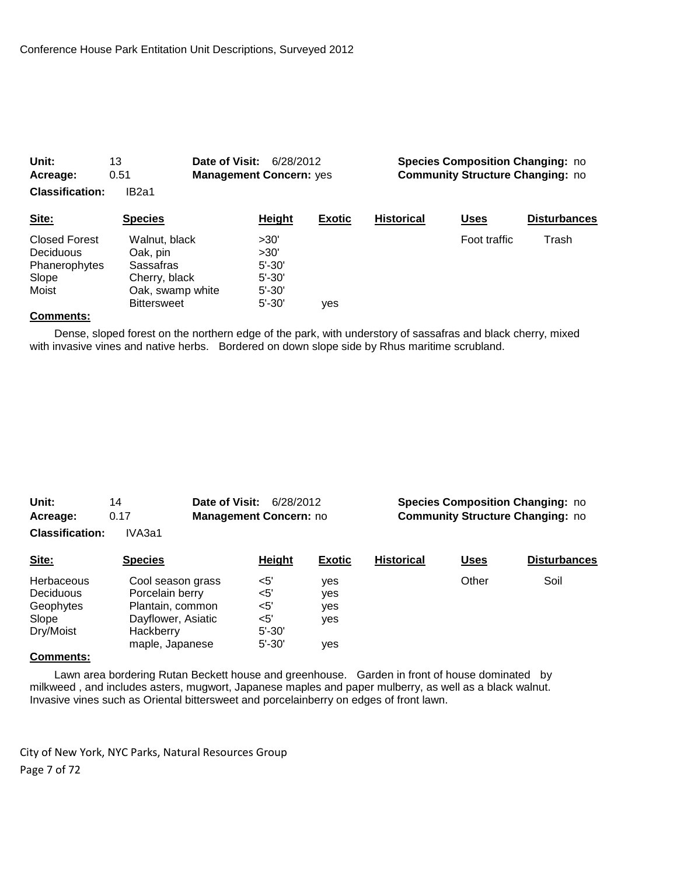| Unit:                  | 13                 | Date of Visit:<br>6/28/2012    |               | <b>Species Composition Changing: no</b> |                                         |                     |
|------------------------|--------------------|--------------------------------|---------------|-----------------------------------------|-----------------------------------------|---------------------|
| Acreage:               | 0.51               | <b>Management Concern: yes</b> |               |                                         | <b>Community Structure Changing: no</b> |                     |
| <b>Classification:</b> | IB <sub>2a1</sub>  |                                |               |                                         |                                         |                     |
| Site:                  | <b>Species</b>     | <b>Height</b>                  | <b>Exotic</b> | <b>Historical</b>                       | <b>Uses</b>                             | <b>Disturbances</b> |
| <b>Closed Forest</b>   | Walnut, black      | >30'                           |               |                                         | Foot traffic                            | Trash               |
| Deciduous              | Oak, pin           | >30'                           |               |                                         |                                         |                     |
| Phanerophytes          | Sassafras          | $5' - 30'$                     |               |                                         |                                         |                     |
| Slope                  | Cherry, black      | $5' - 30'$                     |               |                                         |                                         |                     |
| Moist                  | Oak, swamp white   | $5' - 30'$                     |               |                                         |                                         |                     |
|                        | <b>Bittersweet</b> | $5' - 30'$                     | ves           |                                         |                                         |                     |

 Dense, sloped forest on the northern edge of the park, with understory of sassafras and black cherry, mixed with invasive vines and native herbs. Bordered on down slope side by Rhus maritime scrubland.

| Unit:                  | 14     | <b>Date of Visit: 6/28/2012</b> |  |
|------------------------|--------|---------------------------------|--|
| Acreage:               | 0.17   | <b>Management Concern: no</b>   |  |
| <b>Classification:</b> | IVA3a1 |                                 |  |

#### **Species Composition Changing: no Community Structure Changing: no**

| Site:      | <b>Species</b>     | Height     | <b>Exotic</b> | <b>Historical</b> | <u>Uses</u> | <b>Disturbances</b> |
|------------|--------------------|------------|---------------|-------------------|-------------|---------------------|
| Herbaceous | Cool season grass  | $<$ 5'     | ves           |                   | Other       | Soil                |
| Deciduous  | Porcelain berry    | <5'        | ves           |                   |             |                     |
| Geophytes  | Plantain, common   | $<$ 5'     | ves           |                   |             |                     |
| Slope      | Dayflower, Asiatic | $<$ 5'     | ves           |                   |             |                     |
| Dry/Moist  | Hackberry          | $5' - 30'$ |               |                   |             |                     |
|            | maple, Japanese    | $5' - 30'$ | ves           |                   |             |                     |

#### **Comments:**

 Lawn area bordering Rutan Beckett house and greenhouse. Garden in front of house dominated by milkweed , and includes asters, mugwort, Japanese maples and paper mulberry, as well as a black walnut. Invasive vines such as Oriental bittersweet and porcelainberry on edges of front lawn.

City of New York, NYC Parks, Natural Resources Group Page 7 of 72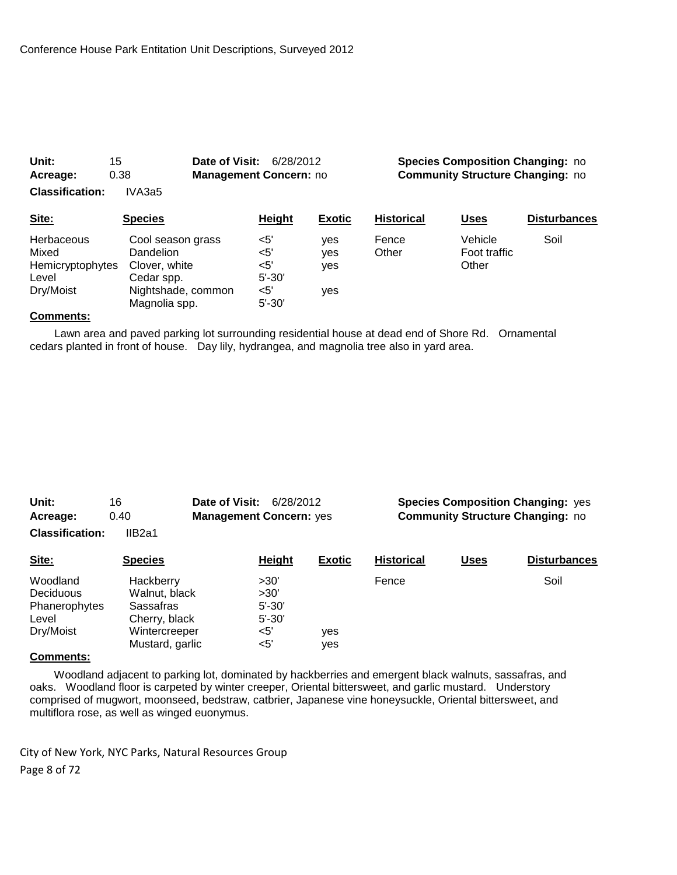| Acreage:<br><b>Classification:</b>                      | 0.38<br>IVA3a5                                                | <b>Management Concern: no</b>      |                   | <b>Community Structure Changing: no</b> |                                  |                     |
|---------------------------------------------------------|---------------------------------------------------------------|------------------------------------|-------------------|-----------------------------------------|----------------------------------|---------------------|
| Site:                                                   | <b>Species</b>                                                | <b>Height</b>                      | <b>Exotic</b>     | <b>Historical</b>                       | Uses                             | <b>Disturbances</b> |
| <b>Herbaceous</b><br>Mixed<br>Hemicryptophytes<br>Level | Cool season grass<br>Dandelion<br>Clover, white<br>Cedar spp. | $<$ 5'<br><5'<br><5'<br>$5' - 30'$ | ves<br>yes<br>yes | Fence<br>Other                          | Vehicle<br>Foot traffic<br>Other | Soil                |
| Dry/Moist                                               | Nightshade, common<br>Magnolia spp.                           | $<$ 5'<br>$5' - 30'$               | yes               |                                         |                                  |                     |

**Unit:** 15 **Date of Visit:** 6/28/2012 **Species Composition Changing:** no

#### **Comments:**

 Lawn area and paved parking lot surrounding residential house at dead end of Shore Rd. Ornamental cedars planted in front of house. Day lily, hydrangea, and magnolia tree also in yard area.

| Unit:                  | Date of Visit:<br>16<br>6/28/2012      |            |               | <b>Species Composition Changing: yes</b> |             |                     |  |
|------------------------|----------------------------------------|------------|---------------|------------------------------------------|-------------|---------------------|--|
| Acreage:               | <b>Management Concern: yes</b><br>0.40 |            |               | <b>Community Structure Changing: no</b>  |             |                     |  |
| <b>Classification:</b> | IIB2a1                                 |            |               |                                          |             |                     |  |
| Site:                  | <b>Species</b>                         | Height     | <b>Exotic</b> | <b>Historical</b>                        | <b>Uses</b> | <b>Disturbances</b> |  |
| Woodland               | Hackberry                              | >30'       |               | Fence                                    |             | Soil                |  |
| Deciduous              | Walnut, black                          | >30'       |               |                                          |             |                     |  |
| Phanerophytes          | Sassafras                              | $5' - 30'$ |               |                                          |             |                     |  |
| Level                  | Cherry, black                          | $5' - 30'$ |               |                                          |             |                     |  |
| Dry/Moist              | Wintercreeper                          | $<$ 5'     | yes           |                                          |             |                     |  |
|                        | Mustard, garlic                        | $<$ 5'     | ves           |                                          |             |                     |  |

# **Comments:**

 Woodland adjacent to parking lot, dominated by hackberries and emergent black walnuts, sassafras, and oaks. Woodland floor is carpeted by winter creeper, Oriental bittersweet, and garlic mustard. Understory comprised of mugwort, moonseed, bedstraw, catbrier, Japanese vine honeysuckle, Oriental bittersweet, and multiflora rose, as well as winged euonymus.

City of New York, NYC Parks, Natural Resources Group Page 8 of 72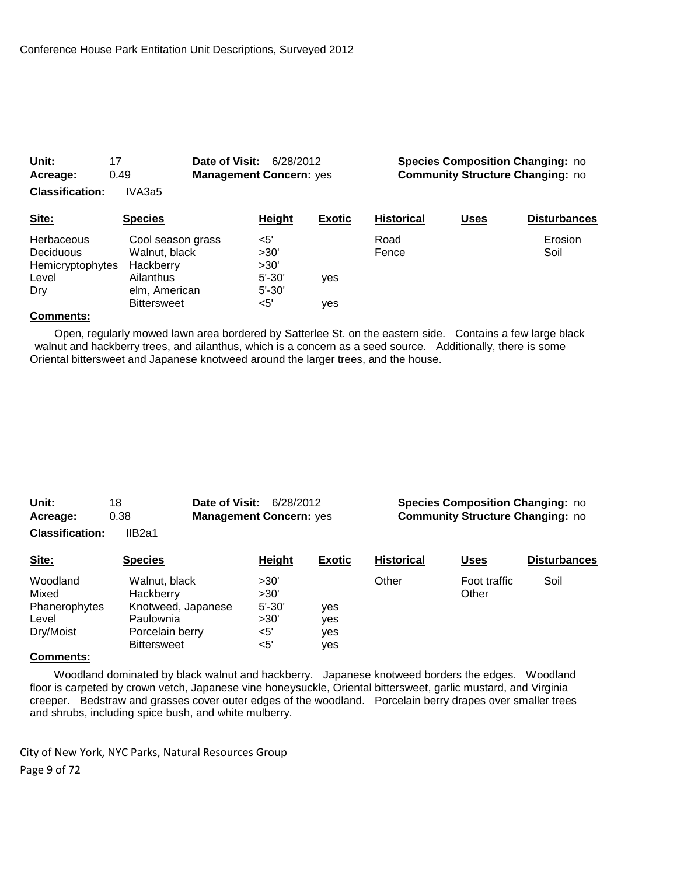| 0.49<br>Acreage:<br><b>Classification:</b><br>IVA3a5                      |                                                                                                     | <b>Management Concern: yes</b>                         |               |                   | <b>Community Structure Changing: no</b> |                     |  |
|---------------------------------------------------------------------------|-----------------------------------------------------------------------------------------------------|--------------------------------------------------------|---------------|-------------------|-----------------------------------------|---------------------|--|
| Site:                                                                     | <b>Species</b>                                                                                      | <b>Height</b>                                          | <b>Exotic</b> | <b>Historical</b> | <b>Uses</b>                             | <b>Disturbances</b> |  |
| <b>Herbaceous</b><br><b>Deciduous</b><br>Hemicryptophytes<br>Level<br>Dry | Cool season grass<br>Walnut, black<br>Hackberry<br>Ailanthus<br>elm, American<br><b>Bittersweet</b> | <5'<br>>30'<br>>30'<br>$5' - 30'$<br>$5' - 30'$<br><5' | ves<br>ves    | Road<br>Fence     |                                         | Erosion<br>Soil     |  |
|                                                                           |                                                                                                     |                                                        |               |                   |                                         |                     |  |

**Unit:** 17 **Date of Visit:** 6/28/2012 **Species Composition Changing:** no

#### **Comments:**

 Open, regularly mowed lawn area bordered by Satterlee St. on the eastern side. Contains a few large black walnut and hackberry trees, and ailanthus, which is a concern as a seed source. Additionally, there is some Oriental bittersweet and Japanese knotweed around the larger trees, and the house.

| Unit:                  | 18     | <b>Date of Visit: 6/28/2012</b> |  |
|------------------------|--------|---------------------------------|--|
| Acreage:               | 0.38   | <b>Management Concern: yes</b>  |  |
| <b>Classification:</b> | IIB2a1 |                                 |  |

**Species Composition Changing: no Community Structure Changing: no** 

| Site:                                                    | <b>Species</b>                                                                                         | Height                                              | <b>Exotic</b>            | <b>Historical</b> | Uses                  | <b>Disturbances</b> |
|----------------------------------------------------------|--------------------------------------------------------------------------------------------------------|-----------------------------------------------------|--------------------------|-------------------|-----------------------|---------------------|
| Woodland<br>Mixed<br>Phanerophytes<br>Level<br>Dry/Moist | Walnut, black<br>Hackberry<br>Knotweed, Japanese<br>Paulownia<br>Porcelain berry<br><b>Bittersweet</b> | >30'<br>>30'<br>$5' - 30'$<br>>30'<br>$<$ 5'<br><5' | yes<br>ves<br>yes<br>yes | Other             | Foot traffic<br>Other | Soil                |
| $\sim$                                                   |                                                                                                        |                                                     |                          |                   |                       |                     |

#### **Comments:**

 Woodland dominated by black walnut and hackberry. Japanese knotweed borders the edges. Woodland floor is carpeted by crown vetch, Japanese vine honeysuckle, Oriental bittersweet, garlic mustard, and Virginia creeper. Bedstraw and grasses cover outer edges of the woodland. Porcelain berry drapes over smaller trees and shrubs, including spice bush, and white mulberry.

City of New York, NYC Parks, Natural Resources Group Page 9 of 72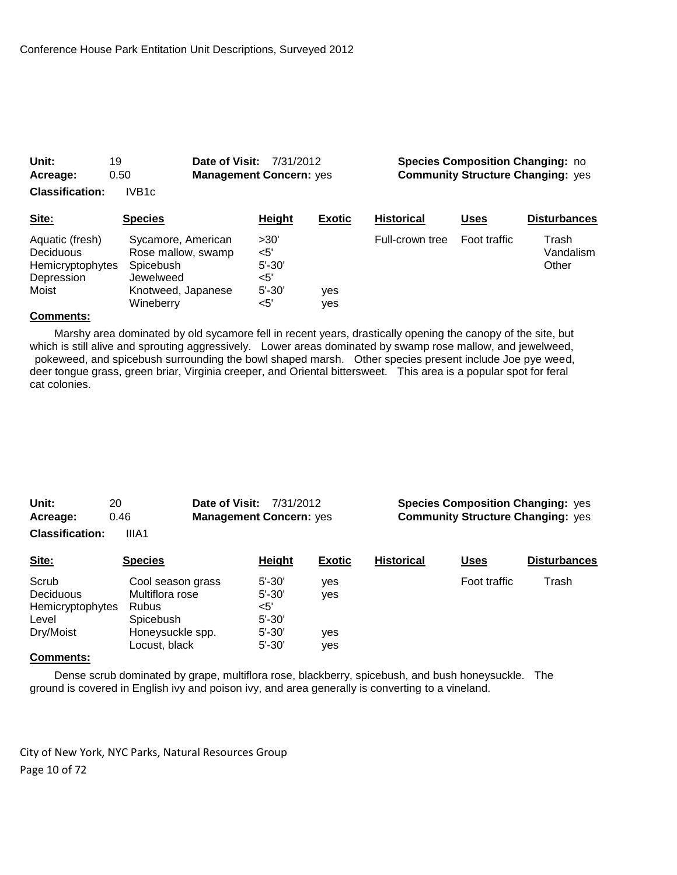| Unit:<br>Acreage:                                                       | 19<br>0.50                                                                                            | Date of Visit:<br><b>Management Concern: yes</b> | 7/31/2012                                             |               |                   |              | <b>Species Composition Changing: no</b><br><b>Community Structure Changing: yes</b> |
|-------------------------------------------------------------------------|-------------------------------------------------------------------------------------------------------|--------------------------------------------------|-------------------------------------------------------|---------------|-------------------|--------------|-------------------------------------------------------------------------------------|
| <b>Classification:</b>                                                  | IVB <sub>1c</sub>                                                                                     |                                                  |                                                       |               |                   |              |                                                                                     |
| Site:                                                                   | <b>Species</b>                                                                                        |                                                  | <b>Height</b>                                         | <b>Exotic</b> | <b>Historical</b> | <b>Uses</b>  | <b>Disturbances</b>                                                                 |
| Aquatic (fresh)<br>Deciduous<br>Hemicryptophytes<br>Depression<br>Moist | Sycamore, American<br>Rose mallow, swamp<br>Spicebush<br>Jewelweed<br>Knotweed, Japanese<br>Wineberry |                                                  | >30'<br><5'<br>$5' - 30'$<br><5'<br>$5' - 30'$<br><5' | yes<br>yes    | Full-crown tree   | Foot traffic | Trash<br>Vandalism<br>Other                                                         |

 Marshy area dominated by old sycamore fell in recent years, drastically opening the canopy of the site, but which is still alive and sprouting aggressively. Lower areas dominated by swamp rose mallow, and jewelweed, pokeweed, and spicebush surrounding the bowl shaped marsh. Other species present include Joe pye weed, deer tongue grass, green briar, Virginia creeper, and Oriental bittersweet. This area is a popular spot for feral cat colonies.

| Unit:                  | 20    | <b>Date of Visit: 7/31/2012</b> |  |
|------------------------|-------|---------------------------------|--|
| Acreage:               | 0.46  | <b>Management Concern: yes</b>  |  |
| <b>Classification:</b> | IIIA1 |                                 |  |

**Species Composition Changing: yes Accommunity Structure Changing:** yes

| Site:            | <b>Species</b>    | Height     | <b>Exotic</b> | <b>Historical</b> | Uses         | <b>Disturbances</b> |
|------------------|-------------------|------------|---------------|-------------------|--------------|---------------------|
| Scrub            | Cool season grass | $5' - 30'$ | yes           |                   | Foot traffic | Trash               |
| Deciduous        | Multiflora rose   | $5' - 30'$ | ves           |                   |              |                     |
| Hemicryptophytes | <b>Rubus</b>      | $<$ 5'     |               |                   |              |                     |
| Level            | Spicebush         | $5' - 30'$ |               |                   |              |                     |
| Dry/Moist        | Honeysuckle spp.  | $5' - 30'$ | yes           |                   |              |                     |
|                  | Locust, black     | $5' - 30'$ | yes           |                   |              |                     |
| $\sim$           |                   |            |               |                   |              |                     |

#### **Comments:**

 Dense scrub dominated by grape, multiflora rose, blackberry, spicebush, and bush honeysuckle. The ground is covered in English ivy and poison ivy, and area generally is converting to a vineland.

City of New York, NYC Parks, Natural Resources Group Page 10 of 72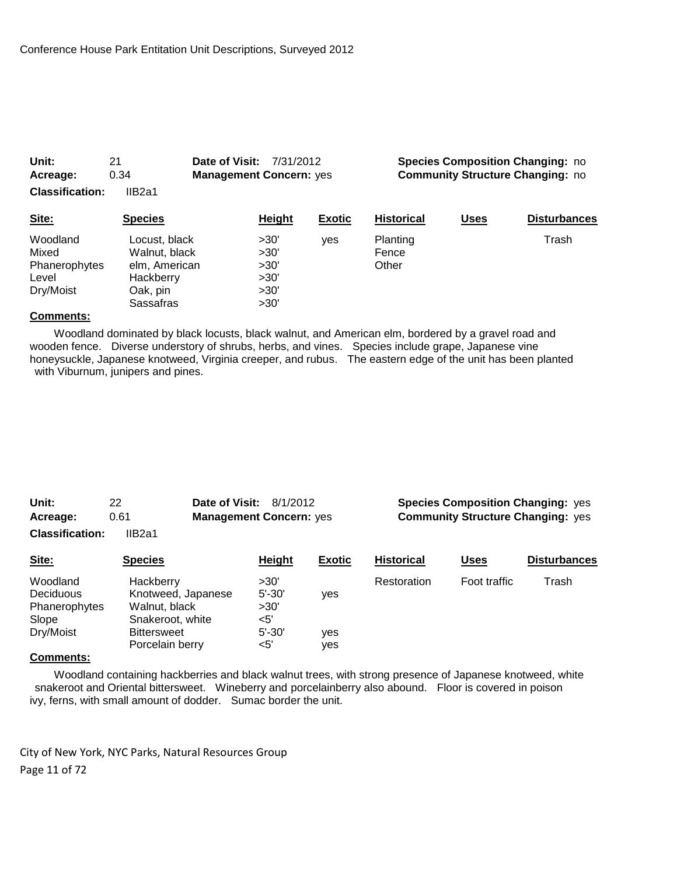| 0.34<br>Acreage:<br>IIB2a1<br><b>Classification:</b>     |                                                                                       | <b>Management Concern: yes</b>               |               | <b>Community Structure Changing: no</b> |             |                     |
|----------------------------------------------------------|---------------------------------------------------------------------------------------|----------------------------------------------|---------------|-----------------------------------------|-------------|---------------------|
| Site:                                                    | <b>Species</b>                                                                        | Height                                       | <b>Exotic</b> | <b>Historical</b>                       | <b>Uses</b> | <b>Disturbances</b> |
| Woodland<br>Mixed<br>Phanerophytes<br>Level<br>Dry/Moist | Locust, black<br>Walnut, black<br>elm, American<br>Hackberry<br>Oak, pin<br>Sassafras | >30'<br>>30'<br>>30'<br>>30'<br>>30'<br>>30' | ves           | Planting<br>Fence<br>Other              |             | Trash               |

**Unit:** 21 **Date of Visit:** 7/31/2012 **Species Composition Changing:** no

#### **Comments:**

 Woodland dominated by black locusts, black walnut, and American elm, bordered by a gravel road and wooden fence. Diverse understory of shrubs, herbs, and vines. Species include grape, Japanese vine honeysuckle, Japanese knotweed, Virginia creeper, and rubus. The eastern edge of the unit has been planted with Viburnum, junipers and pines.

| Unit:                  | 22.    | <b>Date of Visit: 8/1/2012</b> |  |
|------------------------|--------|--------------------------------|--|
| Acreage:               | 0.61   | <b>Management Concern: yes</b> |  |
| <b>Classification:</b> | IIB2a1 |                                |  |

#### **Species Composition Changing: yes Acress Community Structure Changing:** yes

| Site:         | <b>Species</b>     | Height     | <b>Exotic</b> | <b>Historical</b> | <u>Uses</u>  | <b>Disturbances</b> |
|---------------|--------------------|------------|---------------|-------------------|--------------|---------------------|
| Woodland      | Hackberry          | >30'       |               | Restoration       | Foot traffic | Trash               |
| Deciduous     | Knotweed, Japanese | $5' - 30'$ | <b>ves</b>    |                   |              |                     |
| Phanerophytes | Walnut, black      | >30'       |               |                   |              |                     |
| Slope         | Snakeroot, white   | <5'        |               |                   |              |                     |
| Dry/Moist     | <b>Bittersweet</b> | $5' - 30'$ | ves           |                   |              |                     |
|               | Porcelain berry    | $<$ 5'     | yes           |                   |              |                     |
| $\sim$        |                    |            |               |                   |              |                     |

#### **Comments:**

 Woodland containing hackberries and black walnut trees, with strong presence of Japanese knotweed, white snakeroot and Oriental bittersweet. Wineberry and porcelainberry also abound. Floor is covered in poison ivy, ferns, with small amount of dodder. Sumac border the unit.

City of New York, NYC Parks, Natural Resources Group Page 11 of 72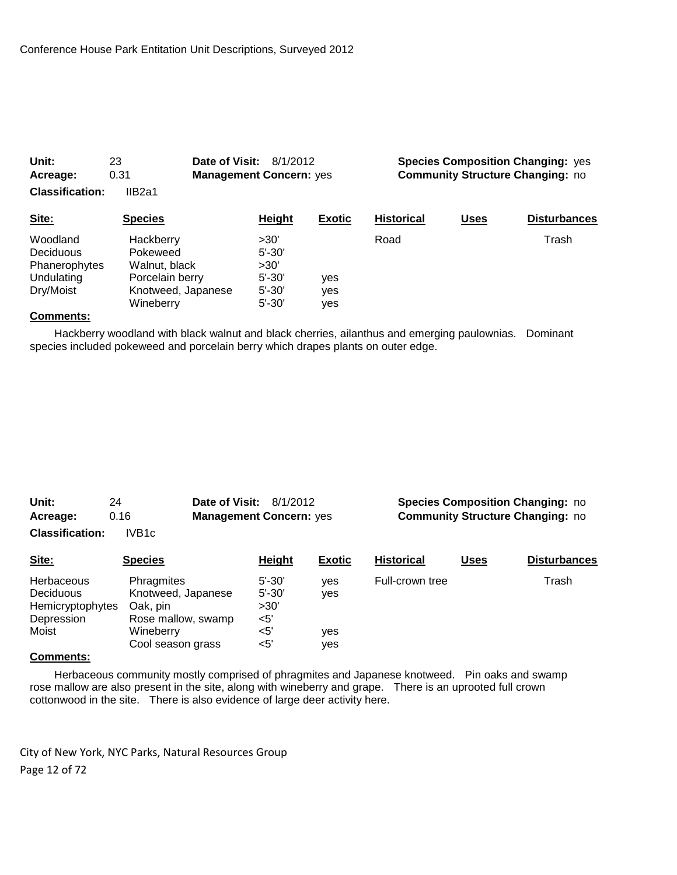| Unit:                  | 23<br>Date of Visit: | 8/1/2012                       |               |                                         |             | <b>Species Composition Changing: yes</b> |  |
|------------------------|----------------------|--------------------------------|---------------|-----------------------------------------|-------------|------------------------------------------|--|
| Acreage:               | 0.31                 | <b>Management Concern: yes</b> |               | <b>Community Structure Changing: no</b> |             |                                          |  |
| <b>Classification:</b> | IIB2a1               |                                |               |                                         |             |                                          |  |
| Site:                  | <b>Species</b>       | Height                         | <b>Exotic</b> | <b>Historical</b>                       | <b>Uses</b> | <b>Disturbances</b>                      |  |
| Woodland               | Hackberry            | >30'                           |               | Road                                    |             | Trash                                    |  |
| Deciduous              | Pokeweed             | $5' - 30'$                     |               |                                         |             |                                          |  |
| Phanerophytes          | Walnut, black        | >30'                           |               |                                         |             |                                          |  |
| Undulating             | Porcelain berry      | $5' - 30'$                     | yes           |                                         |             |                                          |  |
| Dry/Moist              | Knotweed, Japanese   | $5' - 30'$                     | yes           |                                         |             |                                          |  |

 Hackberry woodland with black walnut and black cherries, ailanthus and emerging paulownias. Dominant species included pokeweed and porcelain berry which drapes plants on outer edge.

Wineberry 5'-30' yes

| Unit:                  | 24                | <b>Date of Visit: 8/1/2012</b> |
|------------------------|-------------------|--------------------------------|
| Acreage:               | 0.16              | <b>Management Concern: yes</b> |
| <b>Classification:</b> | IVB <sub>1c</sub> |                                |

#### **Species Composition Changing: no Community Structure Changing: no**

| Site:                                                              | <b>Species</b>                                                                                       | Height                                                   | <b>Exotic</b>            | <b>Historical</b> | <b>Uses</b> | <b>Disturbances</b> |
|--------------------------------------------------------------------|------------------------------------------------------------------------------------------------------|----------------------------------------------------------|--------------------------|-------------------|-------------|---------------------|
| Herbaceous<br>Deciduous<br>Hemicryptophytes<br>Depression<br>Moist | Phragmites<br>Knotweed, Japanese<br>Oak, pin<br>Rose mallow, swamp<br>Wineberry<br>Cool season grass | $5' - 30'$<br>$5' - 30'$<br>>30'<br>$<$ 5'<br><5'<br><5' | ves<br>ves<br>yes<br>yes | Full-crown tree   |             | Trash               |
|                                                                    |                                                                                                      |                                                          |                          |                   |             |                     |

# **Comments:**

 Herbaceous community mostly comprised of phragmites and Japanese knotweed. Pin oaks and swamp rose mallow are also present in the site, along with wineberry and grape. There is an uprooted full crown cottonwood in the site. There is also evidence of large deer activity here.

City of New York, NYC Parks, Natural Resources Group Page 12 of 72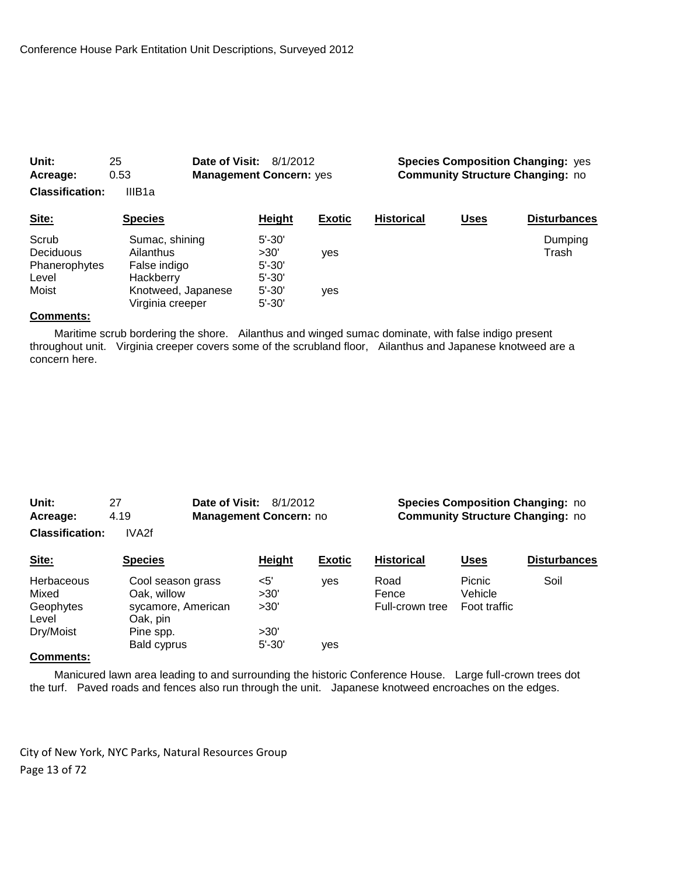| 0.53<br>Acreage:<br><b>Classification:</b><br>IIIB <sub>1a</sub> |                                        | <b>Management Concern: yes</b> |               |                   | <b>Community Structure Changing: no</b> |                     |
|------------------------------------------------------------------|----------------------------------------|--------------------------------|---------------|-------------------|-----------------------------------------|---------------------|
| Site:                                                            | <b>Species</b>                         | Height                         | <b>Exotic</b> | <b>Historical</b> | <b>Uses</b>                             | <b>Disturbances</b> |
| Scrub<br>Deciduous                                               | Sumac, shining<br>Ailanthus            | $5' - 30'$<br>>30'             | yes           |                   |                                         | Dumping<br>Trash    |
| Phanerophytes<br>Level                                           | False indigo<br>Hackberry              | $5' - 30'$<br>$5' - 30'$       |               |                   |                                         |                     |
| Moist                                                            | Knotweed, Japanese<br>Virginia creeper | $5' - 30'$<br>$5' - 30'$       | yes           |                   |                                         |                     |

**Unit:** 25 **Date of Visit:** 8/1/2012 **Species Composition Changing:** yes

#### **Comments:**

 Maritime scrub bordering the shore. Ailanthus and winged sumac dominate, with false indigo present throughout unit. Virginia creeper covers some of the scrubland floor, Ailanthus and Japanese knotweed are a concern here.

| Unit:                  | 27    | <b>Date of Visit: 8/1/2012</b> |  |
|------------------------|-------|--------------------------------|--|
| Acreage:               | 4.19  | <b>Management Concern: no</b>  |  |
| <b>Classification:</b> | IVA2f |                                |  |

#### **Species Composition Changing: no Community Structure Changing: no**

| Site:                                 | <b>Species</b>                   | Height             | <b>Exotic</b> | <b>Historical</b> | <u>Uses</u>              | <b>Disturbances</b> |
|---------------------------------------|----------------------------------|--------------------|---------------|-------------------|--------------------------|---------------------|
| Herbaceous<br>Mixed                   | Cool season grass<br>Oak, willow | $<$ 5'<br>>30'     | ves           | Road<br>Fence     | <b>Picnic</b><br>Vehicle | Soil                |
| Geophytes<br>Level                    | sycamore, American<br>Oak, pin   | >30'               |               | Full-crown tree   | Foot traffic             |                     |
| Dry/Moist<br>$\overline{\phantom{a}}$ | Pine spp.<br>Bald cyprus         | >30'<br>$5' - 30'$ | ves           |                   |                          |                     |

#### **Comments:**

 Manicured lawn area leading to and surrounding the historic Conference House. Large full-crown trees dot the turf. Paved roads and fences also run through the unit. Japanese knotweed encroaches on the edges.

City of New York, NYC Parks, Natural Resources Group Page 13 of 72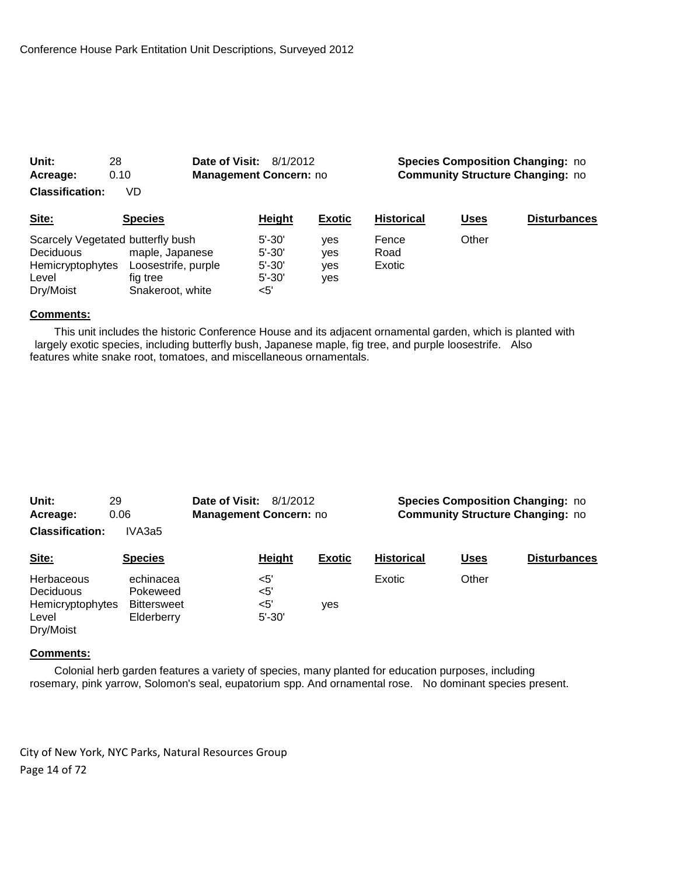| 0.10<br>Acreage:                                                                                |                                                                        | <b>Management Concern: no</b>                               |                          | <b>Community Structure Changing: no</b> |             |                     |  |
|-------------------------------------------------------------------------------------------------|------------------------------------------------------------------------|-------------------------------------------------------------|--------------------------|-----------------------------------------|-------------|---------------------|--|
| <b>Classification:</b>                                                                          | VD                                                                     |                                                             |                          |                                         |             |                     |  |
| Site:                                                                                           | <b>Species</b>                                                         | Height                                                      | <b>Exotic</b>            | <b>Historical</b>                       | <b>Uses</b> | <b>Disturbances</b> |  |
| Scarcely Vegetated butterfly bush<br><b>Deciduous</b><br>Hemicryptophytes<br>Level<br>Dry/Moist | maple, Japanese<br>Loosestrife, purple<br>fig tree<br>Snakeroot, white | $5' - 30'$<br>$5' - 30'$<br>$5' - 30'$<br>$5' - 30'$<br><5' | ves<br>ves<br>ves<br>yes | Fence<br>Road<br>Exotic                 | Other       |                     |  |

**Unit:** 28 **Date of Visit:** 8/1/2012 **Species Composition Changing:** no

#### **Comments:**

 This unit includes the historic Conference House and its adjacent ornamental garden, which is planted with largely exotic species, including butterfly bush, Japanese maple, fig tree, and purple loosestrife. Also features white snake root, tomatoes, and miscellaneous ornamentals.

| Unit:<br>Acreage:                                                               | 29<br>0.06                                                | Date of Visit:<br>8/1/2012<br>Management Concern: no |                                          |               | <b>Species Composition Changing: no</b><br><b>Community Structure Changing: no</b> |             |                     |
|---------------------------------------------------------------------------------|-----------------------------------------------------------|------------------------------------------------------|------------------------------------------|---------------|------------------------------------------------------------------------------------|-------------|---------------------|
| <b>Classification:</b>                                                          | IVA3a5                                                    |                                                      |                                          |               |                                                                                    |             |                     |
| Site:                                                                           | <b>Species</b>                                            |                                                      | Height                                   | <b>Exotic</b> | <b>Historical</b>                                                                  | <b>Uses</b> | <b>Disturbances</b> |
| <b>Herbaceous</b><br><b>Deciduous</b><br>Hemicryptophytes<br>Level<br>Dry/Moist | echinacea<br>Pokeweed<br><b>Bittersweet</b><br>Elderberry |                                                      | $<$ 5'<br>$<$ 5'<br>$<$ 5'<br>$5' - 30'$ | yes           | Exotic                                                                             | Other       |                     |

#### **Comments:**

 Colonial herb garden features a variety of species, many planted for education purposes, including rosemary, pink yarrow, Solomon's seal, eupatorium spp. And ornamental rose. No dominant species present.

City of New York, NYC Parks, Natural Resources Group Page 14 of 72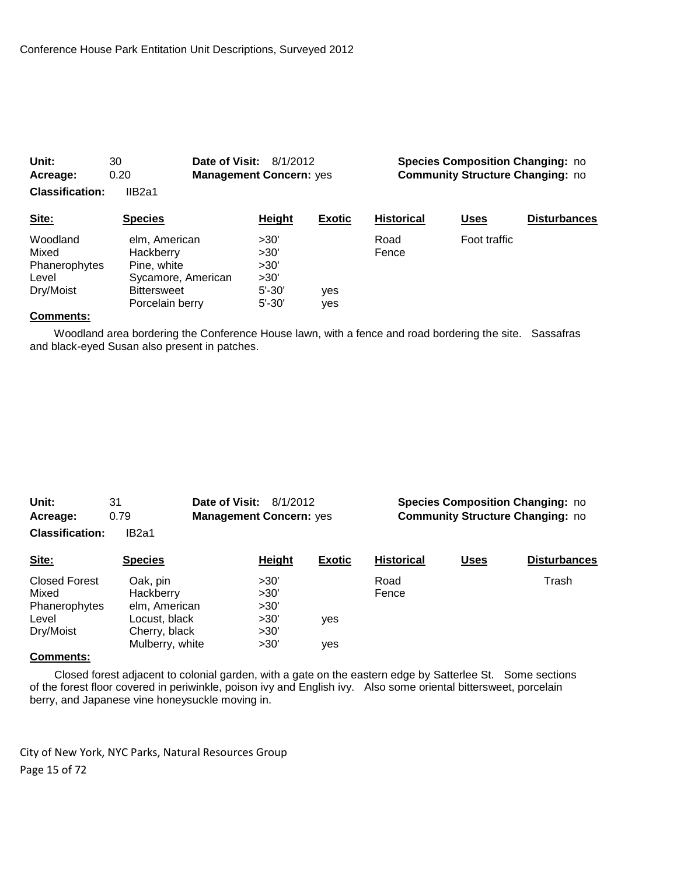| Unit:                  | 30<br>Date of Visit: | 8/1/2012                       |               |                                         | <b>Species Composition Changing: no</b> |                     |
|------------------------|----------------------|--------------------------------|---------------|-----------------------------------------|-----------------------------------------|---------------------|
| Acreage:               | 0.20                 | <b>Management Concern: yes</b> |               | <b>Community Structure Changing: no</b> |                                         |                     |
| <b>Classification:</b> | IIB <sub>2a1</sub>   |                                |               |                                         |                                         |                     |
| Site:                  | <b>Species</b>       | Height                         | <b>Exotic</b> | <b>Historical</b>                       | Uses                                    | <b>Disturbances</b> |
| Woodland               | elm, American        | >30'                           |               | Road                                    | Foot traffic                            |                     |
| Mixed                  | Hackberry            | >30'                           |               | Fence                                   |                                         |                     |
| Phanerophytes          | Pine, white          | >30'                           |               |                                         |                                         |                     |
| Level                  | Sycamore, American   | >30'                           |               |                                         |                                         |                     |
| Dry/Moist              | <b>Bittersweet</b>   | $5' - 30'$                     | ves           |                                         |                                         |                     |

 Woodland area bordering the Conference House lawn, with a fence and road bordering the site. Sassafras and black-eyed Susan also present in patches.

Porcelain berry 5'-30' yes

| Unit:                  | Date of Visit:<br>31<br>8/1/2012 |                                | <b>Species Composition Changing: no</b> |               |                   |             |                                         |
|------------------------|----------------------------------|--------------------------------|-----------------------------------------|---------------|-------------------|-------------|-----------------------------------------|
| Acreage:               | 0.79                             | <b>Management Concern: yes</b> |                                         |               |                   |             | <b>Community Structure Changing: no</b> |
| <b>Classification:</b> | IB2a1                            |                                |                                         |               |                   |             |                                         |
| Site:                  | <b>Species</b>                   |                                | Height                                  | <b>Exotic</b> | <b>Historical</b> | <b>Uses</b> | <b>Disturbances</b>                     |
| <b>Closed Forest</b>   | Oak, pin                         |                                | >30'                                    |               | Road              |             | Trash                                   |
| Mixed                  | Hackberry                        |                                | >30'                                    |               | Fence             |             |                                         |
| Phanerophytes          | elm, American                    |                                | >30'                                    |               |                   |             |                                         |

#### **Comments:**

 Closed forest adjacent to colonial garden, with a gate on the eastern edge by Satterlee St. Some sections of the forest floor covered in periwinkle, poison ivy and English ivy. Also some oriental bittersweet, porcelain berry, and Japanese vine honeysuckle moving in.

City of New York, NYC Parks, Natural Resources Group Page 15 of 72

Dry/Moist Cherry, black >30'

Level Locust, black  $>30'$  yes

Mulberry, white  $>30'$  yes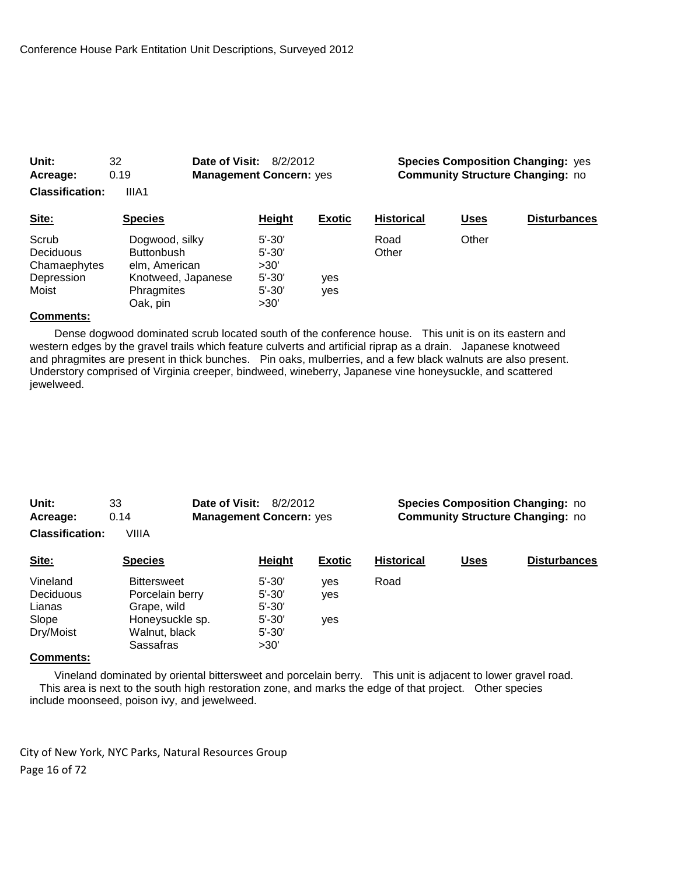| Unit:                                                     | 32<br>Date of Visit:                                                                                 | 8/2/2012                                                             |               |                   |                                         | <b>Species Composition Changing: yes</b> |  |
|-----------------------------------------------------------|------------------------------------------------------------------------------------------------------|----------------------------------------------------------------------|---------------|-------------------|-----------------------------------------|------------------------------------------|--|
| Acreage:                                                  | 0.19                                                                                                 | <b>Management Concern: yes</b>                                       |               |                   | <b>Community Structure Changing: no</b> |                                          |  |
| <b>Classification:</b>                                    | IIIA1                                                                                                |                                                                      |               |                   |                                         |                                          |  |
| Site:                                                     | <b>Species</b>                                                                                       | Height                                                               | <b>Exotic</b> | <b>Historical</b> | <u>Uses</u>                             | <b>Disturbances</b>                      |  |
| Scrub<br>Deciduous<br>Chamaephytes<br>Depression<br>Moist | Dogwood, silky<br><b>Buttonbush</b><br>elm, American<br>Knotweed, Japanese<br>Phragmites<br>Oak, pin | $5' - 30'$<br>$5' - 30'$<br>>30'<br>$5' - 30'$<br>$5' - 30'$<br>>30' | yes<br>yes    | Road<br>Other     | Other                                   |                                          |  |

 Dense dogwood dominated scrub located south of the conference house. This unit is on its eastern and western edges by the gravel trails which feature culverts and artificial riprap as a drain. Japanese knotweed and phragmites are present in thick bunches. Pin oaks, mulberries, and a few black walnuts are also present. Understory comprised of Virginia creeper, bindweed, wineberry, Japanese vine honeysuckle, and scattered jewelweed.

| Unit:                  | 33    | <b>Date of Visit: 8/2/2012</b> |  |
|------------------------|-------|--------------------------------|--|
| Acreage:               | 0.14  | <b>Management Concern: yes</b> |  |
| <b>Classification:</b> | VIIIA |                                |  |

**Species Composition Changing: no Community Structure Changing: no** 

| Site:     | <b>Species</b>     | Height     | <b>Exotic</b> | <b>Historical</b> | <u>Uses</u> | <b>Disturbances</b> |
|-----------|--------------------|------------|---------------|-------------------|-------------|---------------------|
| Vineland  | <b>Bittersweet</b> | $5' - 30'$ | ves           | Road              |             |                     |
| Deciduous | Porcelain berry    | $5' - 30'$ | yes           |                   |             |                     |
| Lianas    | Grape, wild        | $5' - 30'$ |               |                   |             |                     |
| Slope     | Honeysuckle sp.    | $5' - 30'$ | ves           |                   |             |                     |
| Dry/Moist | Walnut, black      | $5' - 30'$ |               |                   |             |                     |
|           | Sassafras          | >30'       |               |                   |             |                     |

#### **Comments:**

 Vineland dominated by oriental bittersweet and porcelain berry. This unit is adjacent to lower gravel road. This area is next to the south high restoration zone, and marks the edge of that project. Other species include moonseed, poison ivy, and jewelweed.

City of New York, NYC Parks, Natural Resources Group Page 16 of 72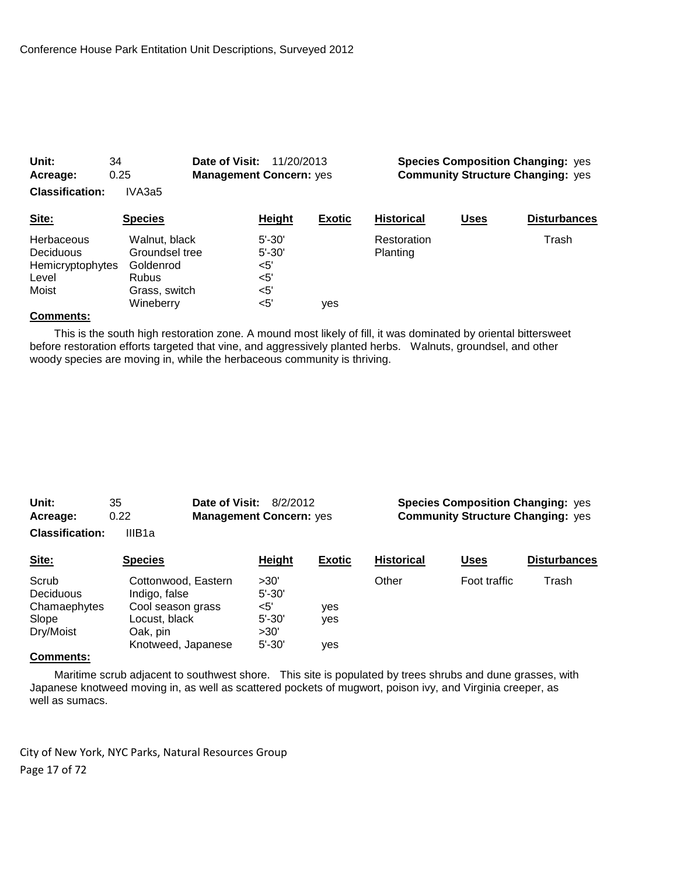| Unit:<br>Acreage:<br><b>Classification:</b>                   | 34<br>0.25<br>IVA3a5                                                                       | Date of Visit:<br>11/20/2013<br><b>Management Concern: yes</b> |                          |               | <b>Species Composition Changing: yes</b><br><b>Community Structure Changing: yes</b> |             |                     |
|---------------------------------------------------------------|--------------------------------------------------------------------------------------------|----------------------------------------------------------------|--------------------------|---------------|--------------------------------------------------------------------------------------|-------------|---------------------|
| Site:                                                         | <b>Species</b>                                                                             |                                                                | <b>Height</b>            | <b>Exotic</b> | <b>Historical</b>                                                                    | <b>Uses</b> | <b>Disturbances</b> |
| Herbaceous<br>Deciduous<br>Hemicryptophytes<br>Level<br>Moist | Walnut, black<br>Groundsel tree<br>Goldenrod<br><b>Rubus</b><br>Grass, switch<br>Wineberry | $<$ 5'<br><5'<br><5'<br><5'                                    | $5' - 30'$<br>$5' - 30'$ | ves           | Restoration<br>Planting                                                              |             | Trash               |

 This is the south high restoration zone. A mound most likely of fill, it was dominated by oriental bittersweet before restoration efforts targeted that vine, and aggressively planted herbs. Walnuts, groundsel, and other woody species are moving in, while the herbaceous community is thriving.

| Unit:                  | 35     | <b>Date of Visit: 8/2/2012</b> |  |
|------------------------|--------|--------------------------------|--|
| Acreage:               | 0.22   | <b>Management Concern: yes</b> |  |
| <b>Classification:</b> | IIIB1a |                                |  |

**Species Composition Changing: yes Acress Community Structure Changing:** yes

| Site:        | <b>Species</b>      | Height     | <b>Exotic</b> | <b>Historical</b> | <u>Uses</u>  | <b>Disturbances</b> |
|--------------|---------------------|------------|---------------|-------------------|--------------|---------------------|
| Scrub        | Cottonwood, Eastern | >30'       |               | Other             | Foot traffic | Trash               |
| Deciduous    | Indigo, false       | $5' - 30'$ |               |                   |              |                     |
| Chamaephytes | Cool season grass   | <5'        | yes           |                   |              |                     |
| Slope        | Locust, black       | $5' - 30'$ | ves           |                   |              |                     |
| Dry/Moist    | Oak, pin            | >30'       |               |                   |              |                     |
|              | Knotweed, Japanese  | $5' - 30'$ | yes           |                   |              |                     |
|              |                     |            |               |                   |              |                     |

# **Comments:**

 Maritime scrub adjacent to southwest shore. This site is populated by trees shrubs and dune grasses, with Japanese knotweed moving in, as well as scattered pockets of mugwort, poison ivy, and Virginia creeper, as well as sumacs.

City of New York, NYC Parks, Natural Resources Group Page 17 of 72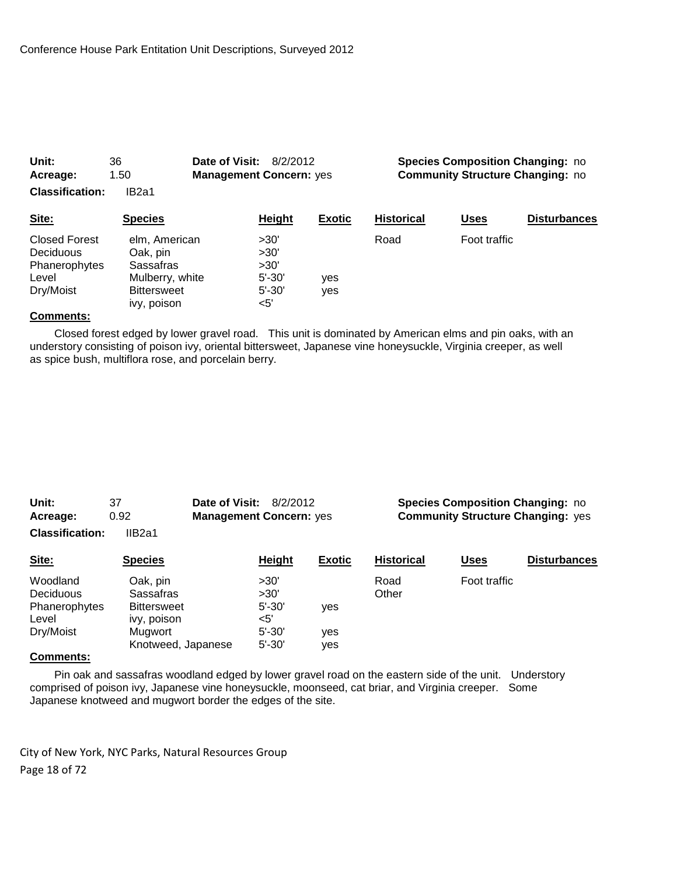| Unit:<br>Acreage:<br><b>Classification:</b>                              | 36<br>1.50<br>IB <sub>2a1</sub>                                                                | Date of Visit:<br><b>Management Concern: yes</b> | 8/2/2012                                                |               |                   | <b>Species Composition Changing: no</b><br><b>Community Structure Changing: no</b> |                     |
|--------------------------------------------------------------------------|------------------------------------------------------------------------------------------------|--------------------------------------------------|---------------------------------------------------------|---------------|-------------------|------------------------------------------------------------------------------------|---------------------|
| Site:                                                                    | <b>Species</b>                                                                                 |                                                  | <b>Height</b>                                           | <b>Exotic</b> | <b>Historical</b> | Uses                                                                               | <b>Disturbances</b> |
| <b>Closed Forest</b><br>Deciduous<br>Phanerophytes<br>Level<br>Dry/Moist | elm, American<br>Oak, pin<br>Sassafras<br>Mulberry, white<br><b>Bittersweet</b><br>ivy, poison |                                                  | >30'<br>>30'<br>>30'<br>$5' - 30'$<br>$5' - 30'$<br><5' | yes<br>yes    | Road              | Foot traffic                                                                       |                     |

 Closed forest edged by lower gravel road. This unit is dominated by American elms and pin oaks, with an understory consisting of poison ivy, oriental bittersweet, Japanese vine honeysuckle, Virginia creeper, as well as spice bush, multiflora rose, and porcelain berry.

| Unit:                  | 37     | <b>Date of Visit: 8/2/2012</b> |  |
|------------------------|--------|--------------------------------|--|
| Acreage:               | 0.92   | <b>Management Concern: yes</b> |  |
| <b>Classification:</b> | IIB2a1 |                                |  |

**Species Composition Changing: no Accommunity Structure Changing:** yes

| Site:                 | <b>Species</b>        | Height       | <b>Exotic</b> | <b>Historical</b> | <u>Uses</u>  | <b>Disturbances</b> |
|-----------------------|-----------------------|--------------|---------------|-------------------|--------------|---------------------|
| Woodland<br>Deciduous | Oak, pin<br>Sassafras | >30'<br>>30' |               | Road<br>Other     | Foot traffic |                     |
| Phanerophytes         | <b>Bittersweet</b>    | $5' - 30'$   | ves           |                   |              |                     |
| Level                 | ivy, poison           | $<$ 5'       |               |                   |              |                     |
| Dry/Moist             | Mugwort               | $5' - 30'$   | ves           |                   |              |                     |
|                       | Knotweed, Japanese    | $5' - 30'$   | yes           |                   |              |                     |

#### **Comments:**

 Pin oak and sassafras woodland edged by lower gravel road on the eastern side of the unit. Understory comprised of poison ivy, Japanese vine honeysuckle, moonseed, cat briar, and Virginia creeper. Some Japanese knotweed and mugwort border the edges of the site.

City of New York, NYC Parks, Natural Resources Group Page 18 of 72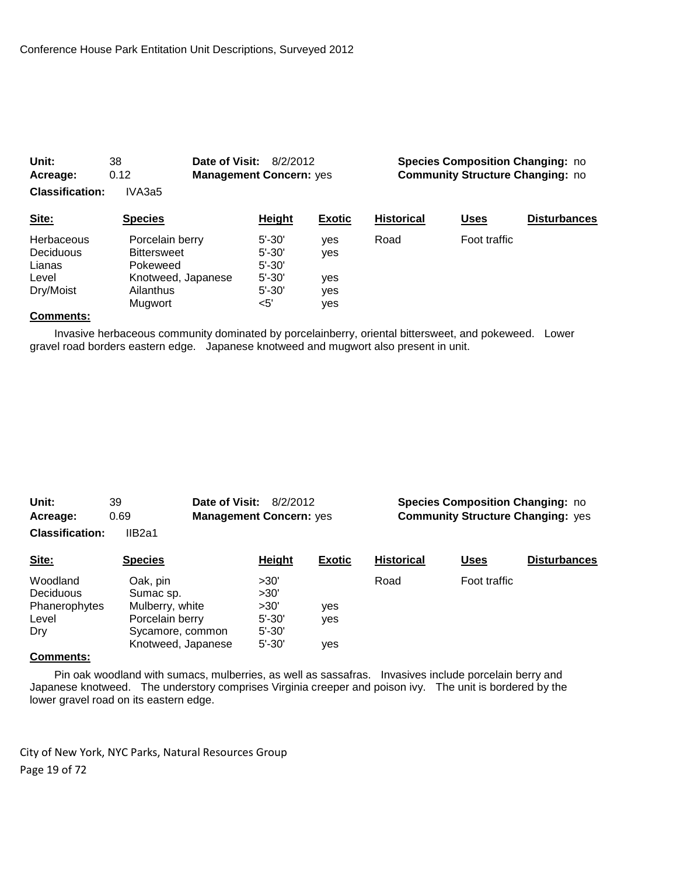| Unit:                  | 38                 | Date of Visit:<br>8/2/2012     |               |                                         | <b>Species Composition Changing: no</b> |                     |  |
|------------------------|--------------------|--------------------------------|---------------|-----------------------------------------|-----------------------------------------|---------------------|--|
| Acreage:               | 0.12               | <b>Management Concern: yes</b> |               | <b>Community Structure Changing: no</b> |                                         |                     |  |
| <b>Classification:</b> | IVA3a5             |                                |               |                                         |                                         |                     |  |
| Site:                  | <b>Species</b>     | <b>Height</b>                  | <b>Exotic</b> | <b>Historical</b>                       | Uses                                    | <b>Disturbances</b> |  |
| <b>Herbaceous</b>      | Porcelain berry    | $5' - 30'$                     | ves           | Road                                    | Foot traffic                            |                     |  |
| Deciduous              | <b>Bittersweet</b> | $5' - 30'$                     | yes           |                                         |                                         |                     |  |
| Lianas                 | Pokeweed           | $5' - 30'$                     |               |                                         |                                         |                     |  |
| Level                  | Knotweed, Japanese | $5' - 30'$                     | yes           |                                         |                                         |                     |  |
| Dry/Moist              | Ailanthus          | $5' - 30'$                     | yes           |                                         |                                         |                     |  |
|                        | Mugwort            | $<$ 5'                         | yes           |                                         |                                         |                     |  |

 Invasive herbaceous community dominated by porcelainberry, oriental bittersweet, and pokeweed. Lower gravel road borders eastern edge. Japanese knotweed and mugwort also present in unit.

| Unit:                  | 39     | <b>Date of Visit: 8/2/2012</b> |  |
|------------------------|--------|--------------------------------|--|
| Acreage:               | 0.69   | <b>Management Concern: yes</b> |  |
| <b>Classification:</b> | IIB2a1 |                                |  |

**Species Composition Changing: no Acress Community Structure Changing:** yes

| Site:         | <b>Species</b>     | Height     | <b>Exotic</b> | <b>Historical</b> | <u>Uses</u>  | <b>Disturbances</b> |
|---------------|--------------------|------------|---------------|-------------------|--------------|---------------------|
| Woodland      | Oak, pin           | >30'       |               | Road              | Foot traffic |                     |
| Deciduous     | Sumac sp.          | >30'       |               |                   |              |                     |
| Phanerophytes | Mulberry, white    | >30'       | yes           |                   |              |                     |
| Level         | Porcelain berry    | $5' - 30'$ | ves           |                   |              |                     |
| Dry           | Sycamore, common   | $5' - 30'$ |               |                   |              |                     |
|               | Knotweed, Japanese | $5' - 30'$ | ves           |                   |              |                     |

#### **Comments:**

 Pin oak woodland with sumacs, mulberries, as well as sassafras. Invasives include porcelain berry and Japanese knotweed. The understory comprises Virginia creeper and poison ivy. The unit is bordered by the lower gravel road on its eastern edge.

City of New York, NYC Parks, Natural Resources Group Page 19 of 72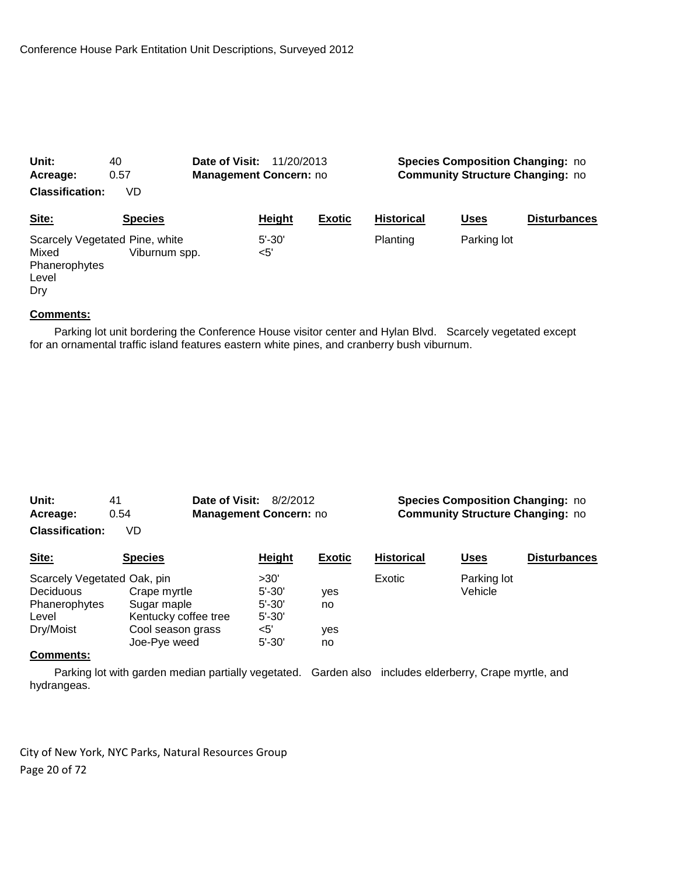| Unit:                                                                    | 40             | Date of Visit:<br>11/20/2013 |                               |               | <b>Species Composition Changing: no</b> |             |                     |  |
|--------------------------------------------------------------------------|----------------|------------------------------|-------------------------------|---------------|-----------------------------------------|-------------|---------------------|--|
| Acreage:                                                                 | 0.57           |                              | <b>Management Concern: no</b> |               | <b>Community Structure Changing: no</b> |             |                     |  |
| <b>Classification:</b>                                                   | VD             |                              |                               |               |                                         |             |                     |  |
| Site:                                                                    | <b>Species</b> |                              | Height                        | <b>Exotic</b> | <b>Historical</b>                       | <b>Uses</b> | <b>Disturbances</b> |  |
| Scarcely Vegetated Pine, white<br>Mixed<br>Phanerophytes<br>Level<br>Drv | Viburnum spp.  |                              | $5' - 30'$<br>$<$ 5'          |               | Planting                                | Parking lot |                     |  |

 Parking lot unit bordering the Conference House visitor center and Hylan Blvd. Scarcely vegetated except for an ornamental traffic island features eastern white pines, and cranberry bush viburnum.

| Unit:                  | 41   | <b>Date of Visit: 8/2/2012</b> |  |
|------------------------|------|--------------------------------|--|
| Acreage:               | 0.54 | <b>Management Concern: no</b>  |  |
| <b>Classification:</b> |      |                                |  |

**Species Composition Changing: no Community Structure Changing: no** 

**Classificatio** 

| Site:                                                                                                                                                 | <b>Species</b>       | Height     | <b>Exotic</b> | <b>Historical</b> | Uses        | <b>Disturbances</b> |
|-------------------------------------------------------------------------------------------------------------------------------------------------------|----------------------|------------|---------------|-------------------|-------------|---------------------|
| Scarcely Vegetated Oak, pin                                                                                                                           |                      | >30'       |               | Exotic            | Parking lot |                     |
| Deciduous                                                                                                                                             | Crape myrtle         | $5' - 30'$ | ves           |                   | Vehicle     |                     |
| Phanerophytes                                                                                                                                         | Sugar maple          | $5' - 30'$ | no            |                   |             |                     |
| Level                                                                                                                                                 | Kentucky coffee tree | $5' - 30'$ |               |                   |             |                     |
| Dry/Moist                                                                                                                                             | Cool season grass    | <5'        | ves           |                   |             |                     |
|                                                                                                                                                       | Joe-Pye weed         | $5' - 30'$ | no            |                   |             |                     |
| $\bigcap$ $\bigcap$ $\bigcap$ $\bigcap$ $\bigcap$ $\bigcap$ $\bigcap$ $\bigcap$ $\bigcap$ $\bigcap$ $\bigcap$ $\bigcap$ $\bigcap$ $\bigcap$ $\bigcap$ |                      |            |               |                   |             |                     |

#### **Comments:**

Parking lot with garden median partially vegetated. Garden also includes elderberry, Crape myrtle, and hydrangeas.

City of New York, NYC Parks, Natural Resources Group Page 20 of 72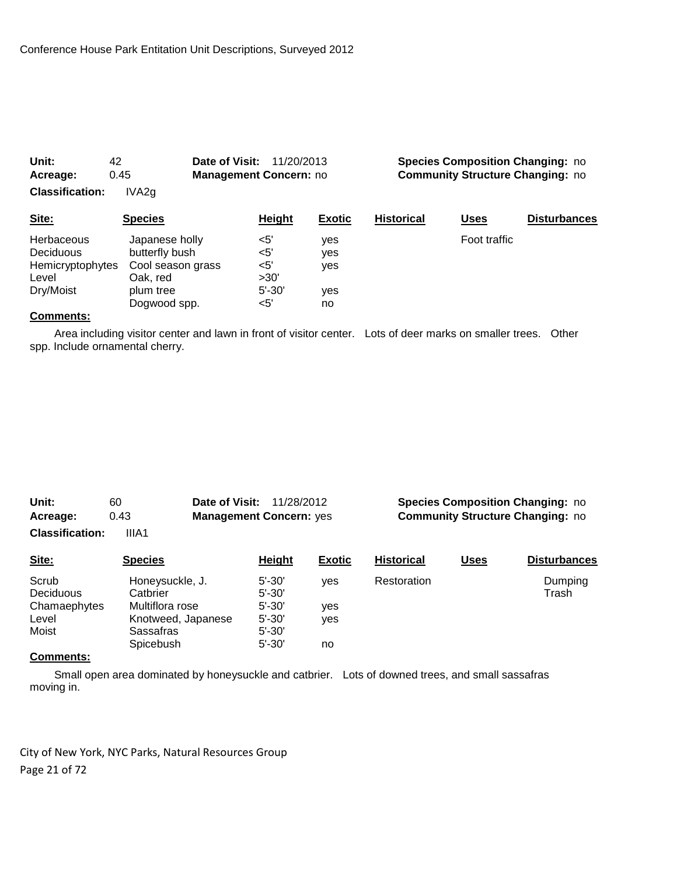| Unit:<br>42<br>0.45<br>Acreage:<br><b>Classification:</b><br>IVA <sub>2g</sub>  |                                                                                                | Date of Visit:<br><b>Management Concern: no</b>    | 11/20/2013                     |                   | <b>Species Composition Changing: no</b><br><b>Community Structure Changing: no</b> |                     |  |
|---------------------------------------------------------------------------------|------------------------------------------------------------------------------------------------|----------------------------------------------------|--------------------------------|-------------------|------------------------------------------------------------------------------------|---------------------|--|
| Site:                                                                           | <b>Species</b>                                                                                 | <b>Height</b>                                      | <b>Exotic</b>                  | <b>Historical</b> | <u>Uses</u>                                                                        | <b>Disturbances</b> |  |
| <b>Herbaceous</b><br><b>Deciduous</b><br>Hemicryptophytes<br>Level<br>Dry/Moist | Japanese holly<br>butterfly bush<br>Cool season grass<br>Oak, red<br>plum tree<br>Dogwood spp. | <5'<br>$5'$<br>$<$ 5'<br>>30'<br>$5' - 30'$<br><5' | yes<br>yes<br>yes<br>yes<br>no |                   | Foot traffic                                                                       |                     |  |

 Area including visitor center and lawn in front of visitor center. Lots of deer marks on smaller trees. Other spp. Include ornamental cherry.

| Unit:           | 60    | <b>Date of Visit: 11/28/2012</b> |
|-----------------|-------|----------------------------------|
| Acreage:        | 0.43  | <b>Management Concern: yes</b>   |
| Claesification: | IIIAA |                                  |

**Species Composition Changing: no Community Structure Changing: no** 

**Classification:** IIIA1

| Site:                                                                             | <b>Species</b>     | Height     | <b>Exotic</b> | <b>Historical</b> | <u>Uses</u> | <b>Disturbances</b> |
|-----------------------------------------------------------------------------------|--------------------|------------|---------------|-------------------|-------------|---------------------|
| Scrub                                                                             | Honeysuckle, J.    | $5' - 30'$ | ves           | Restoration       |             | Dumping             |
| <b>Deciduous</b>                                                                  | Catbrier           | $5' - 30'$ |               |                   |             | Trash               |
| Chamaephytes                                                                      | Multiflora rose    | $5' - 30'$ | ves           |                   |             |                     |
| Level                                                                             | Knotweed, Japanese | $5' - 30'$ | ves           |                   |             |                     |
| Moist                                                                             | Sassafras          | $5' - 30'$ |               |                   |             |                     |
|                                                                                   | Spicebush          | $5' - 30'$ | no            |                   |             |                     |
| $\bigcap$ - $\bigcap$ - $\bigcap$ - $\bigcap$ - $\bigcap$ - $\bigcap$ - $\bigcap$ |                    |            |               |                   |             |                     |

#### **Comments:**

 Small open area dominated by honeysuckle and catbrier. Lots of downed trees, and small sassafras moving in.

City of New York, NYC Parks, Natural Resources Group Page 21 of 72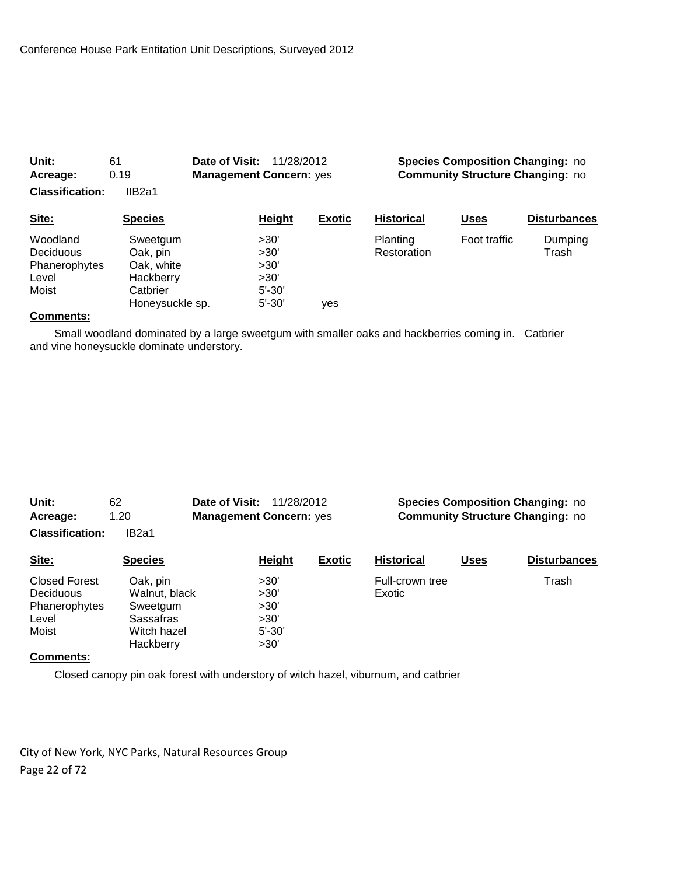| Unit:<br>Acreage:                                               | 61<br>0.19                                                                     | Date of Visit:<br>11/28/2012<br><b>Management Concern: yes</b> |               | <b>Species Composition Changing: no</b><br><b>Community Structure Changing: no</b> |              |                     |  |
|-----------------------------------------------------------------|--------------------------------------------------------------------------------|----------------------------------------------------------------|---------------|------------------------------------------------------------------------------------|--------------|---------------------|--|
| <b>Classification:</b>                                          | IIB <sub>2a1</sub>                                                             |                                                                |               |                                                                                    |              |                     |  |
| Site:                                                           | <b>Species</b>                                                                 | Height                                                         | <b>Exotic</b> | <b>Historical</b>                                                                  | <b>Uses</b>  | <b>Disturbances</b> |  |
| Woodland<br><b>Deciduous</b><br>Phanerophytes<br>Level<br>Moist | Sweetgum<br>Oak, pin<br>Oak. white<br>Hackberry<br>Catbrier<br>Honeysuckle sp. | >30'<br>>30'<br>>30'<br>>30'<br>$5' - 30'$<br>$5' - 30'$       | ves           | Planting<br>Restoration                                                            | Foot traffic | Dumping<br>Trash    |  |

 Small woodland dominated by a large sweetgum with smaller oaks and hackberries coming in. Catbrier and vine honeysuckle dominate understory.

| Unit:                  | 62                | Date of Visit:<br>11/28/2012   |                                         | <b>Species Composition Changing: no</b> |             |                     |
|------------------------|-------------------|--------------------------------|-----------------------------------------|-----------------------------------------|-------------|---------------------|
| 1.20<br>Acreage:       |                   | <b>Management Concern: yes</b> | <b>Community Structure Changing: no</b> |                                         |             |                     |
| <b>Classification:</b> | IB <sub>2a1</sub> |                                |                                         |                                         |             |                     |
| Site:                  | <b>Species</b>    | <b>Height</b>                  | <b>Exotic</b>                           | <b>Historical</b>                       | <b>Uses</b> | <b>Disturbances</b> |
| Closed Forest          | Oak, pin          | >30'                           |                                         | Full-crown tree                         |             | Trash               |
| <b>Deciduous</b>       | Walnut, black     | >30'                           |                                         | Exotic                                  |             |                     |
| Phanerophytes          | Sweetgum          | >30'                           |                                         |                                         |             |                     |
| Level                  | Sassafras         | >30'                           |                                         |                                         |             |                     |
| Moist                  | Witch hazel       | $5' - 30'$                     |                                         |                                         |             |                     |
|                        | Hackberry         | >30'                           |                                         |                                         |             |                     |
| C <sub>ommonot</sub>   |                   |                                |                                         |                                         |             |                     |

#### **Comments:**

Closed canopy pin oak forest with understory of witch hazel, viburnum, and catbrier

City of New York, NYC Parks, Natural Resources Group Page 22 of 72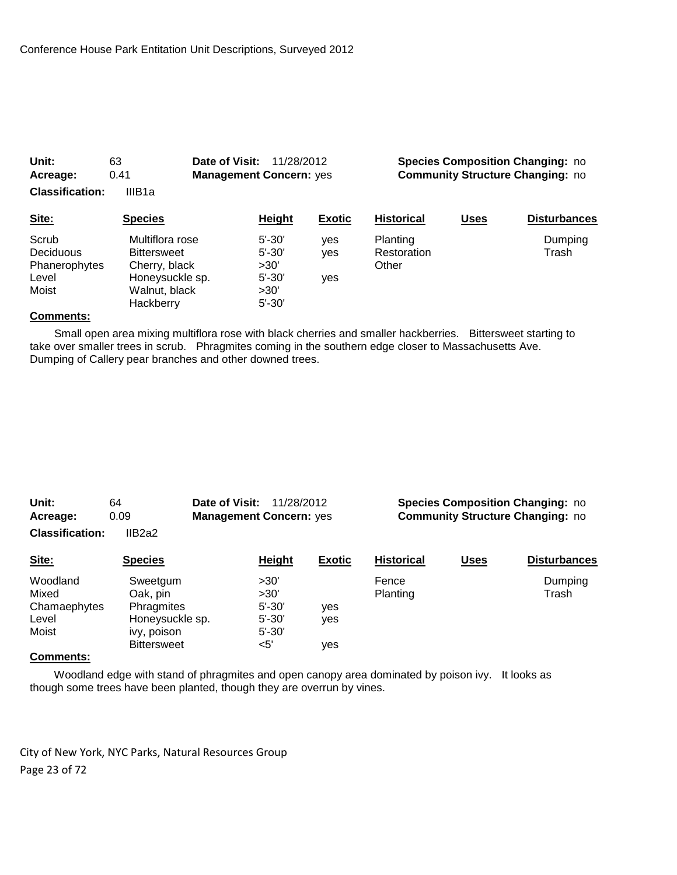| 0.41<br>Acreage:<br><b>Classification:</b><br>IIIB <sub>1a</sub> |                                                                                                         | <b>Management Concern: yes</b>                                       | <b>Community Structure Changing: no</b> |                                         |             |                     |
|------------------------------------------------------------------|---------------------------------------------------------------------------------------------------------|----------------------------------------------------------------------|-----------------------------------------|-----------------------------------------|-------------|---------------------|
| Site:                                                            | <b>Species</b>                                                                                          | Height                                                               | <b>Exotic</b>                           | <b>Historical</b>                       | <b>Uses</b> | <b>Disturbances</b> |
| Scrub<br>Deciduous<br>Phanerophytes<br>Level<br>Moist            | Multiflora rose<br><b>Bittersweet</b><br>Cherry, black<br>Honeysuckle sp.<br>Walnut, black<br>Hackberry | $5' - 30'$<br>$5' - 30'$<br>>30'<br>$5' - 30'$<br>>30'<br>$5' - 30'$ | yes<br>yes<br>ves                       | <b>Planting</b><br>Restoration<br>Other |             | Dumping<br>Trash    |

**Unit:** 63 **Date of Visit:** 11/28/2012 **Species Composition Changing:** no

#### **Comments:**

 Small open area mixing multiflora rose with black cherries and smaller hackberries. Bittersweet starting to take over smaller trees in scrub. Phragmites coming in the southern edge closer to Massachusetts Ave. Dumping of Callery pear branches and other downed trees.

| Unit:<br>Acreage:<br><b>Classification:</b> | 64<br>0.09<br>IIB2a2 | Date of Visit:<br><b>Management Concern: yes</b> | 11/28/2012    |               |                   |             | <b>Species Composition Changing: no</b><br><b>Community Structure Changing: no</b> |
|---------------------------------------------|----------------------|--------------------------------------------------|---------------|---------------|-------------------|-------------|------------------------------------------------------------------------------------|
| Site:                                       | <b>Species</b>       |                                                  | <b>Height</b> | <b>Exotic</b> | <b>Historical</b> | <b>Uses</b> | <b>Disturbances</b>                                                                |

| $\overline{\phantom{a}}$ | $   -$             | <u>.</u>   | ------ | .        | ---- | .       |
|--------------------------|--------------------|------------|--------|----------|------|---------|
| Woodland                 | Sweetgum           | >30'       |        | Fence    |      | Dumping |
| Mixed                    | Oak, pin           | >30'       |        | Planting |      | Trash   |
| Chamaephytes             | Phragmites         | $5' - 30'$ | ves    |          |      |         |
| Level                    | Honeysuckle sp.    | $5' - 30'$ | ves    |          |      |         |
| Moist                    | ivy, poison        | $5' - 30'$ |        |          |      |         |
|                          | <b>Bittersweet</b> | <5'        | ves    |          |      |         |
| $\sim$                   |                    |            |        |          |      |         |

#### **Comments:**

 Woodland edge with stand of phragmites and open canopy area dominated by poison ivy. It looks as though some trees have been planted, though they are overrun by vines.

City of New York, NYC Parks, Natural Resources Group Page 23 of 72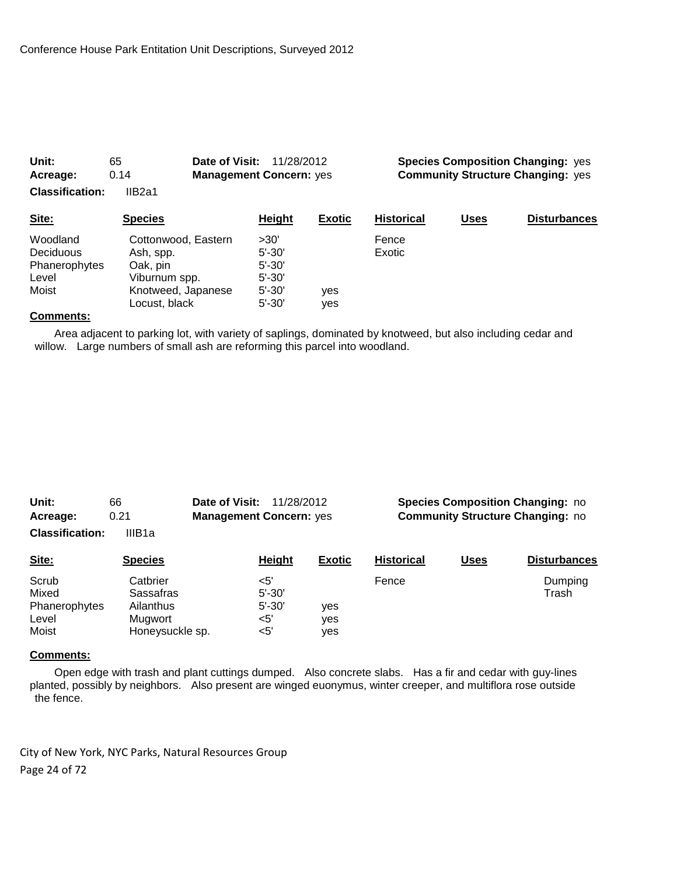| Acreage:               | 0.14                | <b>Management Concern: yes</b> |               | <b>Community Structure Changing: yes</b> |             |                     |
|------------------------|---------------------|--------------------------------|---------------|------------------------------------------|-------------|---------------------|
| <b>Classification:</b> | IIB2a1              |                                |               |                                          |             |                     |
| Site:                  | <b>Species</b>      | Height                         | <b>Exotic</b> | <b>Historical</b>                        | <b>Uses</b> | <b>Disturbances</b> |
| Woodland               | Cottonwood, Eastern | >30'                           |               | Fence                                    |             |                     |
| Deciduous              | Ash, spp.           | $5' - 30'$                     |               | Exotic                                   |             |                     |
| Phanerophytes          | Oak, pin            | $5' - 30'$                     |               |                                          |             |                     |
| Level                  | Viburnum spp.       | $5' - 30'$                     |               |                                          |             |                     |
| Moist                  | Knotweed, Japanese  | $5' - 30'$                     | yes           |                                          |             |                     |
|                        | Locust, black       | $5' - 30'$                     | ves           |                                          |             |                     |

**Unit:** 65 **Date of Visit:** 11/28/2012 **Species Composition Changing:** yes

#### **Comments:**

 Area adjacent to parking lot, with variety of saplings, dominated by knotweed, but also including cedar and willow. Large numbers of small ash are reforming this parcel into woodland.

| Unit:                  | 66                 | Date of Visit:<br>11/28/2012   |                                         | <b>Species Composition Changing: no</b> |             |                     |
|------------------------|--------------------|--------------------------------|-----------------------------------------|-----------------------------------------|-------------|---------------------|
| 0.21<br>Acreage:       |                    | <b>Management Concern: yes</b> | <b>Community Structure Changing: no</b> |                                         |             |                     |
| <b>Classification:</b> | IIIB <sub>1a</sub> |                                |                                         |                                         |             |                     |
| Site:                  | <b>Species</b>     | <b>Height</b>                  | <b>Exotic</b>                           | <b>Historical</b>                       | <u>Uses</u> | <b>Disturbances</b> |
| Scrub                  | Catbrier           | $\leq 5'$                      |                                         | Fence                                   |             | Dumping             |
| Mixed                  | Sassafras          | $5' - 30'$                     |                                         |                                         |             | Trash               |
| Phanerophytes          | Ailanthus          | $5' - 30'$                     | ves                                     |                                         |             |                     |
| Level                  | Mugwort            | $<$ 5'                         | yes                                     |                                         |             |                     |
| Moist                  | Honeysuckle sp.    | $<$ 5'                         | yes                                     |                                         |             |                     |

#### **Comments:**

 Open edge with trash and plant cuttings dumped. Also concrete slabs. Has a fir and cedar with guy-lines planted, possibly by neighbors. Also present are winged euonymus, winter creeper, and multiflora rose outside the fence.

City of New York, NYC Parks, Natural Resources Group Page 24 of 72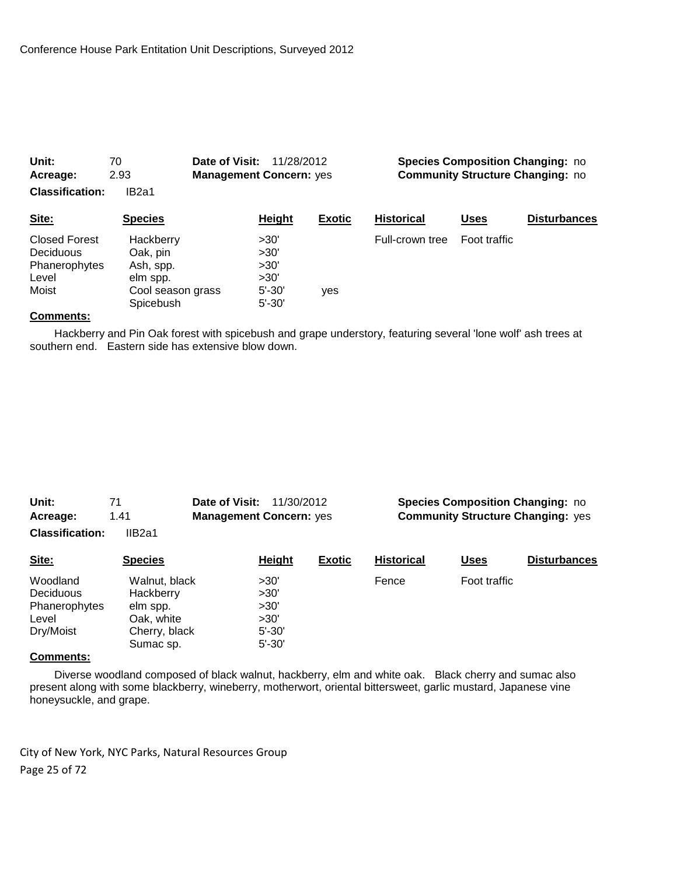| Unit:<br>Acreage:<br><b>Classification:</b>                          | 70<br>2.93<br>IB <sub>2a1</sub>                                                  | Date of Visit:<br><b>Management Concern: yes</b> | 11/28/2012                                               |               |                   |              | <b>Species Composition Changing: no</b><br><b>Community Structure Changing: no</b> |
|----------------------------------------------------------------------|----------------------------------------------------------------------------------|--------------------------------------------------|----------------------------------------------------------|---------------|-------------------|--------------|------------------------------------------------------------------------------------|
| Site:                                                                | <b>Species</b>                                                                   |                                                  | Height                                                   | <b>Exotic</b> | <b>Historical</b> | Uses         | <b>Disturbances</b>                                                                |
| <b>Closed Forest</b><br>Deciduous<br>Phanerophytes<br>Level<br>Moist | Hackberry<br>Oak, pin<br>Ash, spp.<br>elm spp.<br>Cool season grass<br>Spicebush |                                                  | >30'<br>>30'<br>>30'<br>>30'<br>$5' - 30'$<br>$5' - 30'$ | yes           | Full-crown tree   | Foot traffic |                                                                                    |

 Hackberry and Pin Oak forest with spicebush and grape understory, featuring several 'lone wolf' ash trees at southern end. Eastern side has extensive blow down.

| Unit:                  |        | Date of Visit:<br>11/30/2012   |              |                       |       | <b>Species Composition Changing: no</b>  |
|------------------------|--------|--------------------------------|--------------|-----------------------|-------|------------------------------------------|
| Acreage:               | 1.41   | <b>Management Concern: yes</b> |              |                       |       | <b>Community Structure Changing: yes</b> |
| <b>Classification:</b> | IIB2a1 |                                |              |                       |       |                                          |
| C <sub>1</sub>         |        | 11-1-LL                        | F., <b>.</b> | <u> Liaberta al I</u> | ''--- | Diatorala a maiar                        |

| Site:         | <b>Species</b> | Height     | <b>Exotic</b> | <b>Historical</b> | Uses         | <b>Disturbances</b> |
|---------------|----------------|------------|---------------|-------------------|--------------|---------------------|
| Woodland      | Walnut, black  | >30'       |               | Fence             | Foot traffic |                     |
| Deciduous     | Hackberry      | >30'       |               |                   |              |                     |
| Phanerophytes | elm spp.       | >30'       |               |                   |              |                     |
| Level         | Oak, white     | >30'       |               |                   |              |                     |
| Dry/Moist     | Cherry, black  | $5' - 30'$ |               |                   |              |                     |
|               | Sumac sp.      | $5' - 30'$ |               |                   |              |                     |
| $\sim$        |                |            |               |                   |              |                     |

#### **Comments:**

 Diverse woodland composed of black walnut, hackberry, elm and white oak. Black cherry and sumac also present along with some blackberry, wineberry, motherwort, oriental bittersweet, garlic mustard, Japanese vine honeysuckle, and grape.

City of New York, NYC Parks, Natural Resources Group Page 25 of 72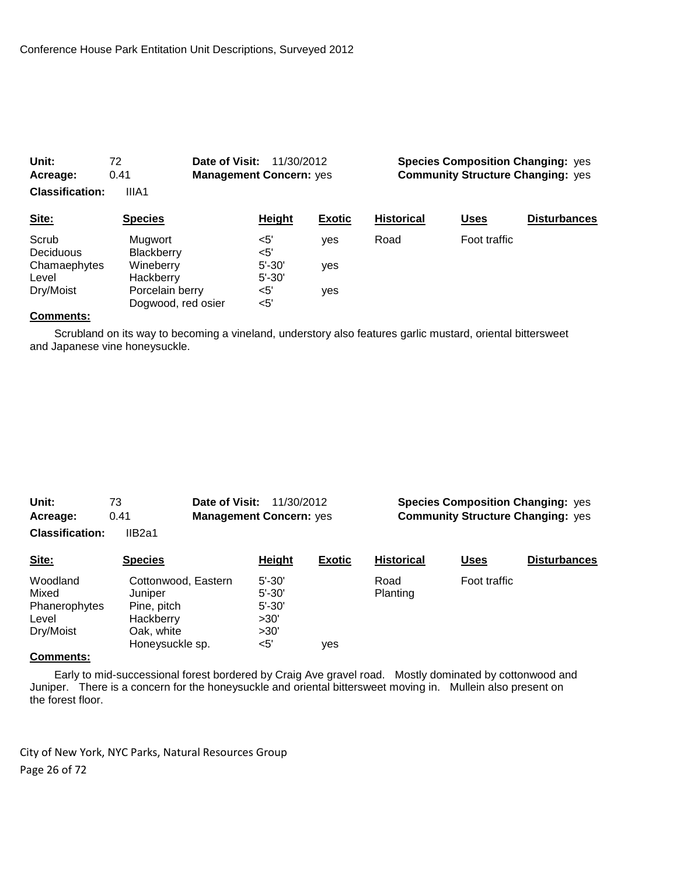| Unit:<br>Acreage:<br><b>Classification:</b> | 72<br>0.41<br>IIIA1                   | Date of Visit:<br><b>Management Concern: yes</b> | 11/30/2012               |               |                   |              | <b>Species Composition Changing: yes</b><br><b>Community Structure Changing: yes</b> |
|---------------------------------------------|---------------------------------------|--------------------------------------------------|--------------------------|---------------|-------------------|--------------|--------------------------------------------------------------------------------------|
| Site:                                       | <b>Species</b>                        |                                                  | <b>Height</b>            | <b>Exotic</b> | <b>Historical</b> | <u>Uses</u>  | <b>Disturbances</b>                                                                  |
| Scrub<br>Deciduous                          | Mugwort<br>Blackberry                 | $<$ 5'<br>$<$ 5'                                 |                          | yes           | Road              | Foot traffic |                                                                                      |
| Chamaephytes<br>Level                       | Wineberry<br>Hackberry                |                                                  | $5' - 30'$<br>$5' - 30'$ | yes           |                   |              |                                                                                      |
| Dry/Moist                                   | Porcelain berry<br>Dogwood, red osier | $<$ 5'<br>$<$ 5'                                 |                          | yes           |                   |              |                                                                                      |

 Scrubland on its way to becoming a vineland, understory also features garlic mustard, oriental bittersweet and Japanese vine honeysuckle.

| Unit:           | 73     | <b>Date of Visit: 11/30/2012</b> |  |
|-----------------|--------|----------------------------------|--|
| Acreage:        | 0.41   | <b>Management Concern: yes</b>   |  |
| Classification: | ID20.4 |                                  |  |

**Species Composition Changing: yes Community Structure Changing: yes** 

**Classification:** IIB2a1

| Woodland<br>$5' - 30'$<br>Foot traffic<br>Cottonwood, Eastern<br>Road<br>Mixed<br><b>Planting</b><br>$5' - 30'$<br>Juniper<br>Phanerophytes<br>$5' - 30'$<br>Pine, pitch<br>>30'<br>Hackberry<br>Level<br>>30'<br>Dry/Moist<br>Oak, white<br>Honeysuckle sp.<br>$<$ 5'<br>ves |  |
|-------------------------------------------------------------------------------------------------------------------------------------------------------------------------------------------------------------------------------------------------------------------------------|--|

# **Comments:**

 Early to mid-successional forest bordered by Craig Ave gravel road. Mostly dominated by cottonwood and Juniper. There is a concern for the honeysuckle and oriental bittersweet moving in. Mullein also present on the forest floor.

City of New York, NYC Parks, Natural Resources Group Page 26 of 72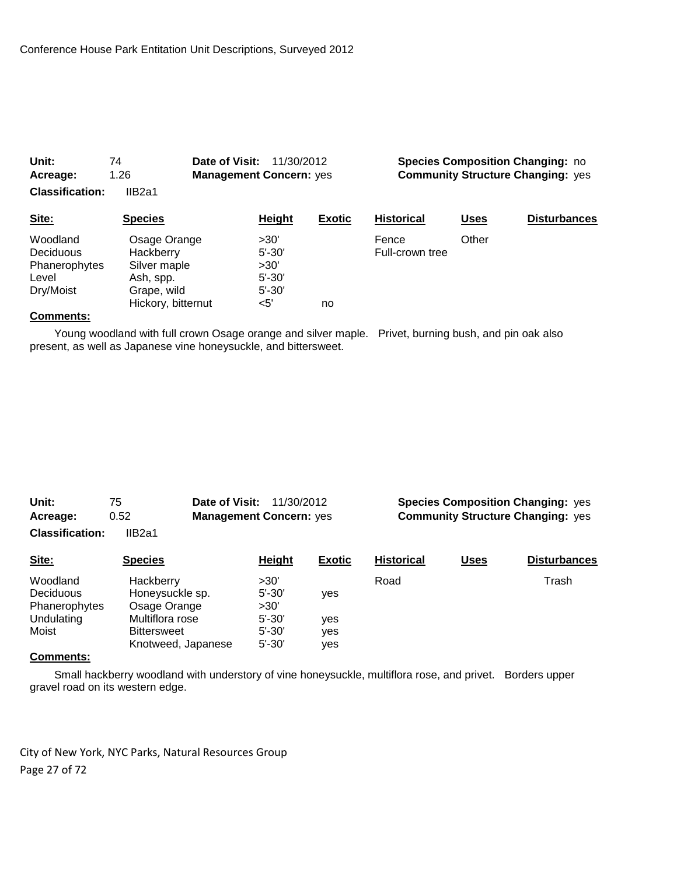| Unit:<br>Acreage:                                                   | 74<br>1.26                                                                                  | Date of Visit:<br>11/30/2012<br><b>Management Concern: yes</b> |                                                               |               | <b>Species Composition Changing: no</b><br><b>Community Structure Changing: yes</b> |             |                     |  |
|---------------------------------------------------------------------|---------------------------------------------------------------------------------------------|----------------------------------------------------------------|---------------------------------------------------------------|---------------|-------------------------------------------------------------------------------------|-------------|---------------------|--|
| <b>Classification:</b><br>Site:                                     | IIB <sub>2a1</sub><br><b>Species</b>                                                        |                                                                | <b>Height</b>                                                 | <b>Exotic</b> | <b>Historical</b>                                                                   | <b>Uses</b> | <b>Disturbances</b> |  |
| Woodland<br><b>Deciduous</b><br>Phanerophytes<br>Level<br>Dry/Moist | Osage Orange<br>Hackberry<br>Silver maple<br>Ash, spp.<br>Grape, wild<br>Hickory, bitternut |                                                                | >30'<br>$5' - 30'$<br>>30'<br>$5' - 30'$<br>$5' - 30'$<br><5' | no            | Fence<br>Full-crown tree                                                            | Other       |                     |  |

 Young woodland with full crown Osage orange and silver maple. Privet, burning bush, and pin oak also present, as well as Japanese vine honeysuckle, and bittersweet.

| Unit:                  | Date of Visit:<br>75 | 11/30/2012                     |               | <b>Species Composition Changing: yes</b> |                                          |                     |  |  |
|------------------------|----------------------|--------------------------------|---------------|------------------------------------------|------------------------------------------|---------------------|--|--|
| Acreage:               | 0.52                 | <b>Management Concern: yes</b> |               |                                          | <b>Community Structure Changing: yes</b> |                     |  |  |
| <b>Classification:</b> | IIB <sub>2a1</sub>   |                                |               |                                          |                                          |                     |  |  |
| Site:                  | <b>Species</b>       | Height                         | <b>Exotic</b> | <b>Historical</b>                        | <b>Uses</b>                              | <b>Disturbances</b> |  |  |
| Woodland               | Hackberry            | >30'                           |               | Road                                     |                                          | Trash               |  |  |
| Deciduous              | Honeysuckle sp.      | $5' - 30'$                     | yes           |                                          |                                          |                     |  |  |
| Phanerophytes          | Osage Orange         | >30'                           |               |                                          |                                          |                     |  |  |
| Undulating             | Multiflora rose      | $5' - 30'$                     | yes           |                                          |                                          |                     |  |  |
| Moist                  | <b>Bittersweet</b>   | $5' - 30'$                     | yes           |                                          |                                          |                     |  |  |
|                        | Knotweed, Japanese   | $5' - 30'$                     | ves           |                                          |                                          |                     |  |  |

# **Comments:**

 Small hackberry woodland with understory of vine honeysuckle, multiflora rose, and privet. Borders upper gravel road on its western edge.

City of New York, NYC Parks, Natural Resources Group Page 27 of 72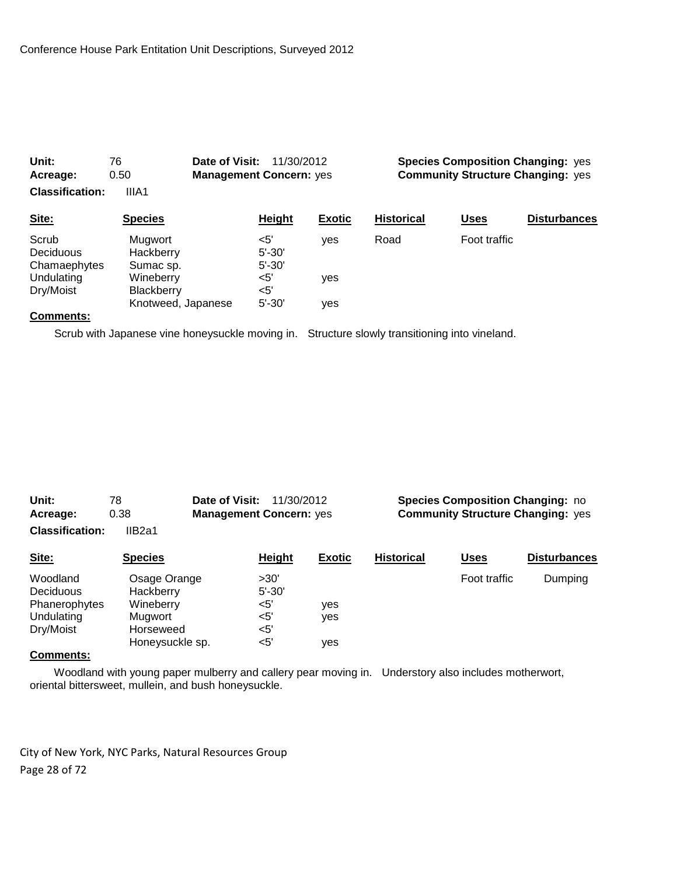| Unit:<br>76<br>0.50<br>Acreage:<br><b>Classification:</b><br>IIIA1 |                                                      | Date of Visit:<br>11/30/2012<br><b>Management Concern: yes</b> |                                    |               | <b>Species Composition Changing: yes</b><br><b>Community Structure Changing: yes</b> |              |                     |
|--------------------------------------------------------------------|------------------------------------------------------|----------------------------------------------------------------|------------------------------------|---------------|--------------------------------------------------------------------------------------|--------------|---------------------|
| Site:                                                              | <b>Species</b>                                       |                                                                | Height                             | <b>Exotic</b> | <b>Historical</b>                                                                    | Uses         | <b>Disturbances</b> |
| Scrub<br>Deciduous<br>Chamaephytes                                 | Mugwort<br>Hackberry<br>Sumac sp.                    |                                                                | $<$ 5'<br>$5' - 30'$<br>$5' - 30'$ | ves           | Road                                                                                 | Foot traffic |                     |
| Undulating<br>Dry/Moist                                            | Wineberry<br><b>Blackberry</b><br>Knotweed, Japanese |                                                                | $<$ 5'<br>$<$ 5'<br>$5' - 30'$     | yes<br>ves    |                                                                                      |              |                     |

Scrub with Japanese vine honeysuckle moving in. Structure slowly transitioning into vineland.

| Unit:<br>78            |                | Date of Visit:<br>11/30/2012   |               | <b>Species Composition Changing: no</b>  |              |                     |  |  |
|------------------------|----------------|--------------------------------|---------------|------------------------------------------|--------------|---------------------|--|--|
| Acreage:               | 0.38           | <b>Management Concern: yes</b> |               | <b>Community Structure Changing: yes</b> |              |                     |  |  |
| <b>Classification:</b> | IIB2a1         |                                |               |                                          |              |                     |  |  |
| Site:                  | <b>Species</b> | Height                         | <b>Exotic</b> | <b>Historical</b>                        | <b>Uses</b>  | <b>Disturbances</b> |  |  |
| Woodland               | Osage Orange   | >30'                           |               |                                          | Foot traffic | Dumping             |  |  |
| <b>Deciduous</b>       | Hackberry      | $5' - 30'$                     |               |                                          |              |                     |  |  |
| Phanerophytes          | Wineberry      | $<$ 5'                         | ves           |                                          |              |                     |  |  |
| Undulating             | Mugwort        | <5'                            | ves           |                                          |              |                     |  |  |
|                        |                |                                |               |                                          |              |                     |  |  |

#### **Comments:**

 Woodland with young paper mulberry and callery pear moving in. Understory also includes motherwort, oriental bittersweet, mullein, and bush honeysuckle.

City of New York, NYC Parks, Natural Resources Group Page 28 of 72

Dry/Moist Horseweed <5'

Honeysuckle sp.  $\leq$ 5' yes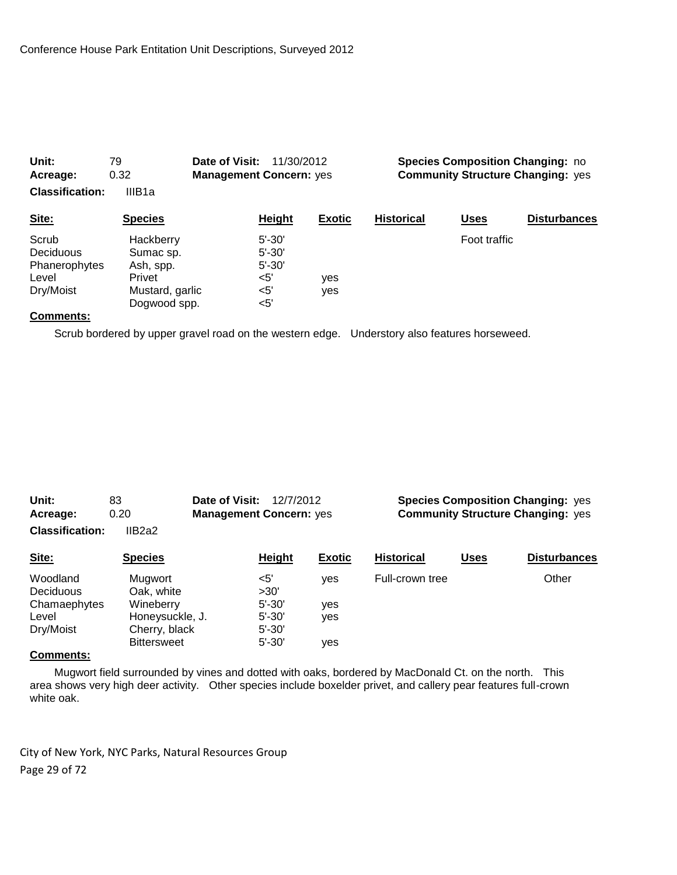| Unit:<br>79<br>0.32<br>Acreage:<br><b>Classification:</b><br>IIIB <sub>1a</sub> |                                                                                  | Date of Visit:<br>11/30/2012<br><b>Management Concern: yes</b>   |               | <b>Species Composition Changing: no</b><br><b>Community Structure Changing: yes</b> |              |                     |
|---------------------------------------------------------------------------------|----------------------------------------------------------------------------------|------------------------------------------------------------------|---------------|-------------------------------------------------------------------------------------|--------------|---------------------|
| Site:                                                                           | <b>Species</b>                                                                   | <b>Height</b>                                                    | <b>Exotic</b> | <b>Historical</b>                                                                   | <u>Uses</u>  | <b>Disturbances</b> |
| Scrub<br><b>Deciduous</b><br>Phanerophytes<br>Level<br>Dry/Moist                | Hackberry<br>Sumac sp.<br>Ash, spp.<br>Privet<br>Mustard, garlic<br>Dogwood spp. | $5' - 30'$<br>$5' - 30'$<br>$5' - 30'$<br>$5'$<br>$5'$<br>$<$ 5' | yes<br>yes    |                                                                                     | Foot traffic |                     |

Scrub bordered by upper gravel road on the western edge. Understory also features horseweed.

| Unit:                  | 83              | Date of Visit:<br>12/7/2012    |        |                    |        | <b>Species Composition Changing: yes</b> |
|------------------------|-----------------|--------------------------------|--------|--------------------|--------|------------------------------------------|
| Acreage:               | 0.20            | <b>Management Concern: yes</b> |        |                    |        | <b>Community Structure Changing: yes</b> |
| <b>Classification:</b> | IIB2a2          |                                |        |                    |        |                                          |
| C <sub>14</sub>        | <b>C</b> nociac | <b>Uninht</b>                  | Evotic | <b>Llietorieal</b> | l leae | Dicturbonces                             |

| Site:            | <b>Species</b>     | <b>Height</b> | <b>Exotic</b> | <b>Historical</b> | Uses | <b>Disturbances</b> |
|------------------|--------------------|---------------|---------------|-------------------|------|---------------------|
| Woodland         | Mugwort            | $<$ 5'        | ves           | Full-crown tree   |      | Other               |
| <b>Deciduous</b> | Oak, white         | >30'          |               |                   |      |                     |
| Chamaephytes     | Wineberry          | $5' - 30'$    | ves           |                   |      |                     |
| Level            | Honeysuckle, J.    | $5' - 30'$    | ves           |                   |      |                     |
| Dry/Moist        | Cherry, black      | $5' - 30'$    |               |                   |      |                     |
|                  | <b>Bittersweet</b> | $5' - 30'$    | ves           |                   |      |                     |
|                  |                    |               |               |                   |      |                     |

#### **Comments:**

 Mugwort field surrounded by vines and dotted with oaks, bordered by MacDonald Ct. on the north. This area shows very high deer activity. Other species include boxelder privet, and callery pear features full-crown white oak.

City of New York, NYC Parks, Natural Resources Group Page 29 of 72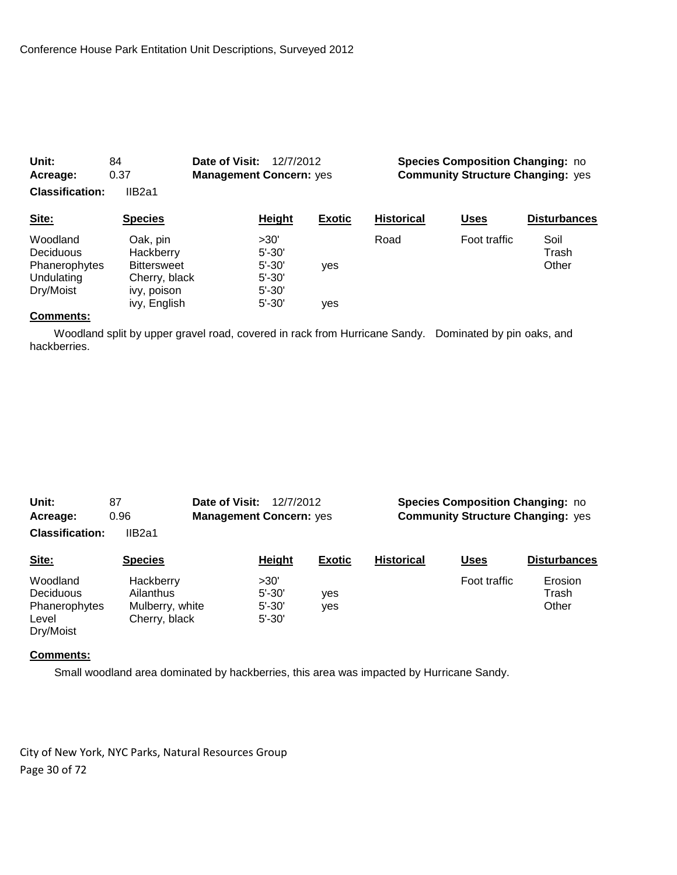| Unit:                                                             | 84                                                                          | Date of Visit:<br>12/7/2012                                  |                                |                   | <b>Species Composition Changing: no</b><br><b>Community Structure Changing: yes</b> |                        |  |  |
|-------------------------------------------------------------------|-----------------------------------------------------------------------------|--------------------------------------------------------------|--------------------------------|-------------------|-------------------------------------------------------------------------------------|------------------------|--|--|
| Acreage:                                                          | 0.37                                                                        |                                                              | <b>Management Concern: yes</b> |                   |                                                                                     |                        |  |  |
| <b>Classification:</b>                                            | IIB <sub>2a1</sub>                                                          |                                                              |                                |                   |                                                                                     |                        |  |  |
| Site:                                                             | <b>Species</b>                                                              | Height                                                       | <b>Exotic</b>                  | <b>Historical</b> | <b>Uses</b>                                                                         | <b>Disturbances</b>    |  |  |
| Woodland<br>Deciduous<br>Phanerophytes<br>Undulating<br>Dry/Moist | Oak, pin<br>Hackberry<br><b>Bittersweet</b><br>Cherry, black<br>ivy, poison | >30'<br>$5' - 30'$<br>$5' - 30'$<br>$5' - 30'$<br>$5' - 30'$ | yes                            | Road              | Foot traffic                                                                        | Soil<br>Trash<br>Other |  |  |
|                                                                   | ivy, English                                                                | $5' - 30'$                                                   | yes                            |                   |                                                                                     |                        |  |  |

 Woodland split by upper gravel road, covered in rack from Hurricane Sandy. Dominated by pin oaks, and hackberries.

| Unit:                  | 87                 | Date of Visit:<br>12/7/2012<br><b>Management Concern: yes</b> |               | <b>Species Composition Changing: no</b>  |              |                     |  |
|------------------------|--------------------|---------------------------------------------------------------|---------------|------------------------------------------|--------------|---------------------|--|
| Acreage:               | 0.96               |                                                               |               | <b>Community Structure Changing: yes</b> |              |                     |  |
| <b>Classification:</b> | IIB <sub>2a1</sub> |                                                               |               |                                          |              |                     |  |
| Site:                  | <b>Species</b>     | Height                                                        | <b>Exotic</b> | <b>Historical</b>                        | <b>Uses</b>  | <b>Disturbances</b> |  |
| Woodland               | Hackberry          | >30'                                                          |               |                                          | Foot traffic | Erosion             |  |
| Deciduous              | Ailanthus          | $5' - 30'$                                                    | yes           |                                          |              | Trash               |  |
| Phanerophytes          | Mulberry, white    | $5' - 30'$                                                    | yes           |                                          |              | Other               |  |
| Level<br>Dry/Moist     | Cherry, black      | $5' - 30'$                                                    |               |                                          |              |                     |  |

#### **Comments:**

Small woodland area dominated by hackberries, this area was impacted by Hurricane Sandy.

City of New York, NYC Parks, Natural Resources Group Page 30 of 72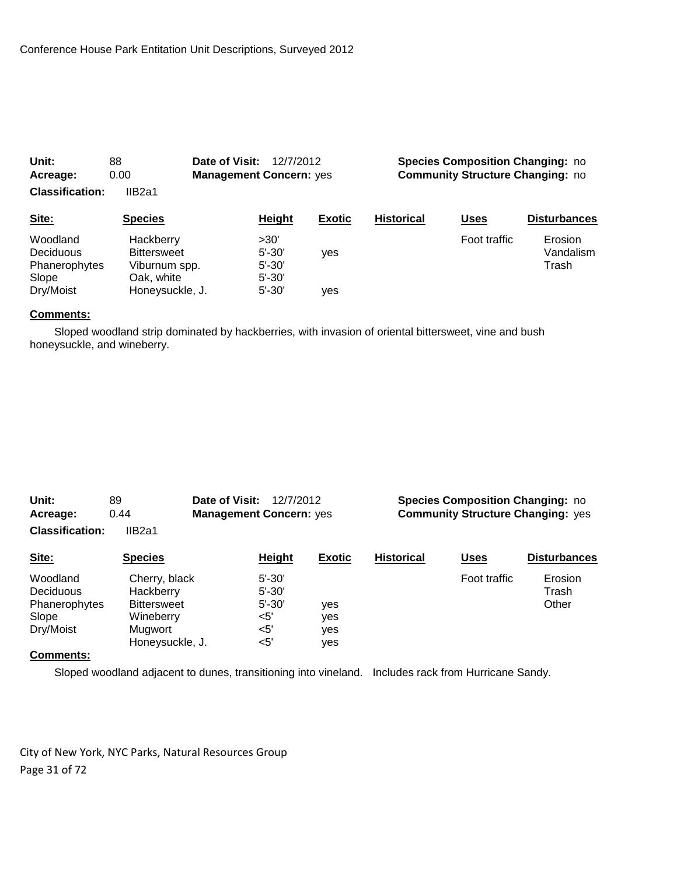| Unit:<br>Acreage:<br><b>Classification:</b>                  | 88<br>0.00<br>IIB <sub>2a1</sub>                                                  | Date of Visit:<br>12/7/2012<br><b>Management Concern: yes</b> |               | <b>Species Composition Changing: no</b><br><b>Community Structure Changing: no</b> |              |                               |  |
|--------------------------------------------------------------|-----------------------------------------------------------------------------------|---------------------------------------------------------------|---------------|------------------------------------------------------------------------------------|--------------|-------------------------------|--|
| Site:                                                        | <b>Species</b>                                                                    | Height                                                        | <b>Exotic</b> | <b>Historical</b>                                                                  | <b>Uses</b>  | <b>Disturbances</b>           |  |
| Woodland<br>Deciduous<br>Phanerophytes<br>Slope<br>Dry/Moist | Hackberry<br><b>Bittersweet</b><br>Viburnum spp.<br>Oak, white<br>Honeysuckle, J. | >30'<br>$5' - 30'$<br>$5' - 30'$<br>$5' - 30'$<br>$5' - 30'$  | yes<br>ves    |                                                                                    | Foot traffic | Erosion<br>Vandalism<br>Trash |  |

 Sloped woodland strip dominated by hackberries, with invasion of oriental bittersweet, vine and bush honeysuckle, and wineberry.

| Unit:<br>Date of Visit:<br>89 |                    | 12/7/2012                      |               | <b>Species Composition Changing: no</b>  |              |                     |  |
|-------------------------------|--------------------|--------------------------------|---------------|------------------------------------------|--------------|---------------------|--|
| Acreage:                      | 0.44               | <b>Management Concern: yes</b> |               | <b>Community Structure Changing: yes</b> |              |                     |  |
| <b>Classification:</b>        | IIB2a1             |                                |               |                                          |              |                     |  |
| Site:                         | <b>Species</b>     | Height                         | <b>Exotic</b> | <b>Historical</b>                        | <b>Uses</b>  | <b>Disturbances</b> |  |
| Woodland                      | Cherry, black      | $5' - 30'$                     |               |                                          | Foot traffic | Erosion             |  |
| Deciduous                     | Hackberry          | $5' - 30'$                     |               |                                          |              | Trash               |  |
| Phanerophytes                 | <b>Bittersweet</b> | $5' - 30'$                     | ves           |                                          |              | Other               |  |
| Slope                         | Wineberry          | $<$ 5'                         | yes           |                                          |              |                     |  |
| Dry/Moist                     | Mugwort            | $<$ 5'                         | yes           |                                          |              |                     |  |
|                               | Honeysuckle, J.    | $5$                            | yes           |                                          |              |                     |  |

#### **Comments:**

Sloped woodland adjacent to dunes, transitioning into vineland. Includes rack from Hurricane Sandy.

City of New York, NYC Parks, Natural Resources Group Page 31 of 72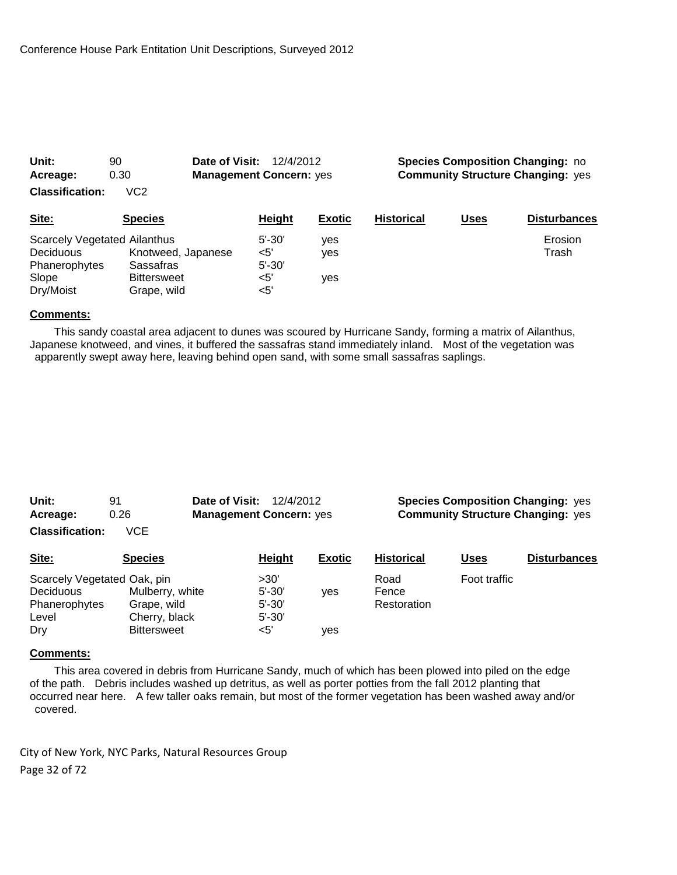| Acreage:                            | 0.30               | <b>Management Concern: yes</b> |               | <b>Community Structure Changing: yes</b> |      |                     |  |
|-------------------------------------|--------------------|--------------------------------|---------------|------------------------------------------|------|---------------------|--|
| <b>Classification:</b>              | VC <sub>2</sub>    |                                |               |                                          |      |                     |  |
| Site:                               | <b>Species</b>     | Height                         | <b>Exotic</b> | <b>Historical</b>                        | Uses | <b>Disturbances</b> |  |
| <b>Scarcely Vegetated Ailanthus</b> |                    | $5' - 30'$                     | ves           |                                          |      | Erosion             |  |
| <b>Deciduous</b>                    | Knotweed, Japanese | <5'                            | ves           |                                          |      | Trash               |  |
| Phanerophytes                       | Sassafras          | $5' - 30'$                     |               |                                          |      |                     |  |
| Slope                               | <b>Bittersweet</b> | <5'                            | ves           |                                          |      |                     |  |
| Dry/Moist                           | Grape, wild        | <5'                            |               |                                          |      |                     |  |

**Unit:** 90 **Date of Visit:** 12/4/2012 **Species Composition Changing:** no

#### **Comments:**

 This sandy coastal area adjacent to dunes was scoured by Hurricane Sandy, forming a matrix of Ailanthus, Japanese knotweed, and vines, it buffered the sassafras stand immediately inland. Most of the vegetation was apparently swept away here, leaving behind open sand, with some small sassafras saplings.

| Unit:                       | 91              | Date of Visit:<br>12/4/2012<br><b>Management Concern: yes</b> |            |               | <b>Species Composition Changing: yes</b><br><b>Community Structure Changing: yes</b> |              |                     |  |
|-----------------------------|-----------------|---------------------------------------------------------------|------------|---------------|--------------------------------------------------------------------------------------|--------------|---------------------|--|
| Acreage:                    | 0.26            |                                                               |            |               |                                                                                      |              |                     |  |
| <b>Classification:</b>      | <b>VCE</b>      |                                                               |            |               |                                                                                      |              |                     |  |
| Site:                       | <b>Species</b>  |                                                               | Height     | <b>Exotic</b> | <b>Historical</b>                                                                    | <b>Uses</b>  | <b>Disturbances</b> |  |
| Scarcely Vegetated Oak, pin |                 |                                                               | >30'       |               | Road                                                                                 | Foot traffic |                     |  |
| <b>Deciduous</b>            | Mulberry, white |                                                               | $5' - 30'$ | <b>ves</b>    | Fence                                                                                |              |                     |  |
| Phanerophytes               | Grape, wild     |                                                               | $5' - 30'$ |               | Restoration                                                                          |              |                     |  |

#### **Comments:**

 This area covered in debris from Hurricane Sandy, much of which has been plowed into piled on the edge of the path. Debris includes washed up detritus, as well as porter potties from the fall 2012 planting that occurred near here. A few taller oaks remain, but most of the former vegetation has been washed away and/or covered.

City of New York, NYC Parks, Natural Resources Group Page 32 of 72

Level Cherry, black 5'-30'

Dry Bittersweet <5' yes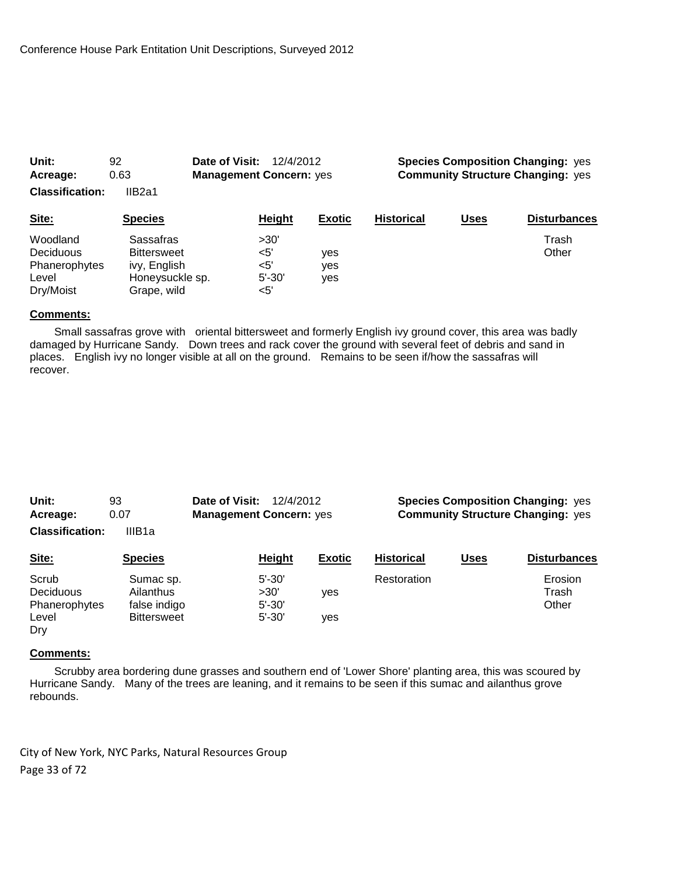| Acreage:                                                     | 0.63                                                                              | <b>Management Concern: yes</b>              |                   | <b>Community Structure Changing: yes</b> |             |                     |
|--------------------------------------------------------------|-----------------------------------------------------------------------------------|---------------------------------------------|-------------------|------------------------------------------|-------------|---------------------|
| <b>Classification:</b>                                       | IIB <sub>2a1</sub>                                                                |                                             |                   |                                          |             |                     |
| Site:                                                        | <b>Species</b>                                                                    | Height                                      | <b>Exotic</b>     | <b>Historical</b>                        | <b>Uses</b> | <b>Disturbances</b> |
| Woodland<br>Deciduous<br>Phanerophytes<br>Level<br>Dry/Moist | Sassafras<br><b>Bittersweet</b><br>ivy, English<br>Honeysuckle sp.<br>Grape, wild | >30'<br>$5'$<br>$<$ 5'<br>$5' - 30'$<br><5' | yes<br>yes<br>ves |                                          |             | Trash<br>Other      |

**Unit:** 92 **Date of Visit:** 12/4/2012 **Species Composition Changing:** yes

#### **Comments:**

 Small sassafras grove with oriental bittersweet and formerly English ivy ground cover, this area was badly damaged by Hurricane Sandy. Down trees and rack cover the ground with several feet of debris and sand in places. English ivy no longer visible at all on the ground. Remains to be seen if/how the sassafras will recover.

| Unit:                  | 93             | Date of Visit:                 | 12/4/2012 |               |                   |      | <b>Species Composition Changing: yes</b> |
|------------------------|----------------|--------------------------------|-----------|---------------|-------------------|------|------------------------------------------|
| Acreage:               | 0.07           | <b>Management Concern: yes</b> |           |               |                   |      | <b>Community Structure Changing: yes</b> |
| <b>Classification:</b> | IIIB1a         |                                |           |               |                   |      |                                          |
| Site:                  | <b>Species</b> |                                | Heiaht    | <b>Exotic</b> | <b>Historical</b> | Uses | <b>Disturbances</b>                      |

| $\sim$        |                    | ______     |            |             | $\overline{\phantom{a}}$ |         |
|---------------|--------------------|------------|------------|-------------|--------------------------|---------|
| Scrub         | Sumac sp.          | $5' - 30'$ |            | Restoration |                          | Erosion |
| Deciduous     | Ailanthus          | >30'       | <b>ves</b> |             |                          | Trash   |
| Phanerophytes | false indigo       | $5' - 30'$ |            |             |                          | Other   |
| Level         | <b>Bittersweet</b> | $5' - 30'$ | ves        |             |                          |         |
| Dry           |                    |            |            |             |                          |         |

### **Comments:**

 Scrubby area bordering dune grasses and southern end of 'Lower Shore' planting area, this was scoured by Hurricane Sandy. Many of the trees are leaning, and it remains to be seen if this sumac and ailanthus grove rebounds.

City of New York, NYC Parks, Natural Resources Group Page 33 of 72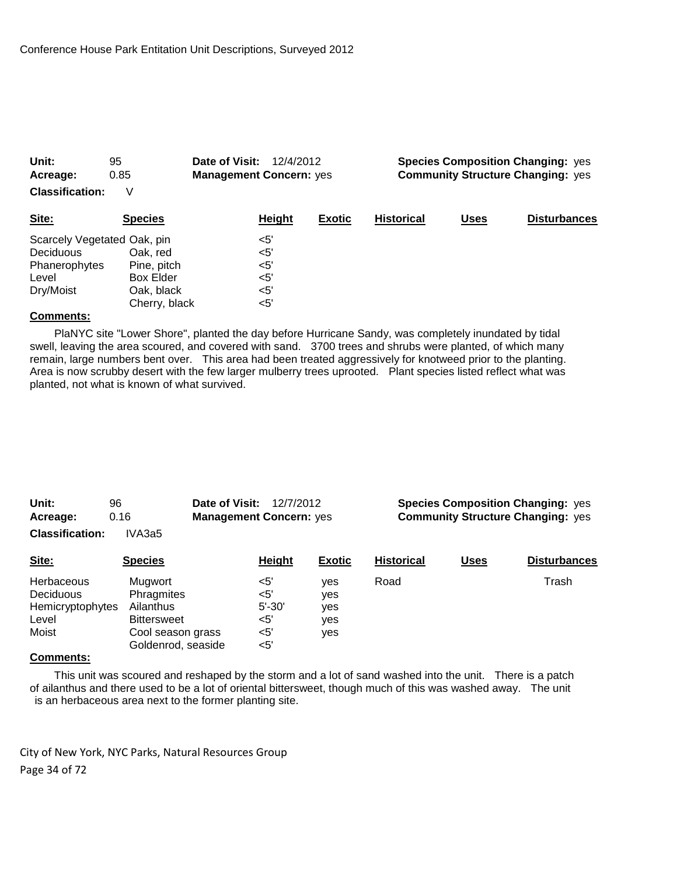| Unit:<br>Acreage:           | 95<br>0.85       | Date of Visit:<br>12/4/2012<br><b>Management Concern: yes</b> |               | <b>Species Composition Changing: yes</b><br><b>Community Structure Changing: yes</b> |             |                     |  |
|-----------------------------|------------------|---------------------------------------------------------------|---------------|--------------------------------------------------------------------------------------|-------------|---------------------|--|
| <b>Classification:</b>      | V                |                                                               |               |                                                                                      |             |                     |  |
| Site:                       | <b>Species</b>   | Height                                                        | <b>Exotic</b> | <b>Historical</b>                                                                    | <b>Uses</b> | <b>Disturbances</b> |  |
| Scarcely Vegetated Oak, pin |                  | $<$ 5'                                                        |               |                                                                                      |             |                     |  |
| <b>Deciduous</b>            | Oak. red         | $<$ 5'                                                        |               |                                                                                      |             |                     |  |
| Phanerophytes               | Pine, pitch      | $<$ 5'                                                        |               |                                                                                      |             |                     |  |
| Level                       | <b>Box Elder</b> | $<$ 5'                                                        |               |                                                                                      |             |                     |  |
| Dry/Moist                   | Oak, black       | $<$ 5'                                                        |               |                                                                                      |             |                     |  |
|                             | Cherry, black    | <5'                                                           |               |                                                                                      |             |                     |  |
|                             |                  |                                                               |               |                                                                                      |             |                     |  |

 PlaNYC site "Lower Shore", planted the day before Hurricane Sandy, was completely inundated by tidal swell, leaving the area scoured, and covered with sand. 3700 trees and shrubs were planted, of which many remain, large numbers bent over. This area had been treated aggressively for knotweed prior to the planting. Area is now scrubby desert with the few larger mulberry trees uprooted. Plant species listed reflect what was planted, not what is known of what survived.

| Unit:                  | 96                 | Date of Visit:<br>12/7/2012    |               | <b>Species Composition Changing: yes</b> |      |                     |  |
|------------------------|--------------------|--------------------------------|---------------|------------------------------------------|------|---------------------|--|
| Acreage:               | 0.16               | <b>Management Concern: yes</b> |               | <b>Community Structure Changing: yes</b> |      |                     |  |
| <b>Classification:</b> | IVA3a5             |                                |               |                                          |      |                     |  |
| Site:                  | <b>Species</b>     | Height                         | <b>Exotic</b> | <b>Historical</b>                        | Uses | <b>Disturbances</b> |  |
| Herbaceous             | Mugwort            | <5'                            | ves           | Road                                     |      | Trash               |  |
| <b>Deciduous</b>       | Phragmites         | $<$ 5'                         | yes           |                                          |      |                     |  |
| Hemicryptophytes       | Ailanthus          | $5' - 30'$                     | yes           |                                          |      |                     |  |
| Level                  | <b>Bittersweet</b> | <5'                            | yes           |                                          |      |                     |  |
| Moist                  | Cool season grass  | $<$ 5'                         | yes           |                                          |      |                     |  |
|                        | Goldenrod, seaside | $<$ 5'                         |               |                                          |      |                     |  |

# **Comments:**

 This unit was scoured and reshaped by the storm and a lot of sand washed into the unit. There is a patch of ailanthus and there used to be a lot of oriental bittersweet, though much of this was washed away. The unit is an herbaceous area next to the former planting site.

City of New York, NYC Parks, Natural Resources Group Page 34 of 72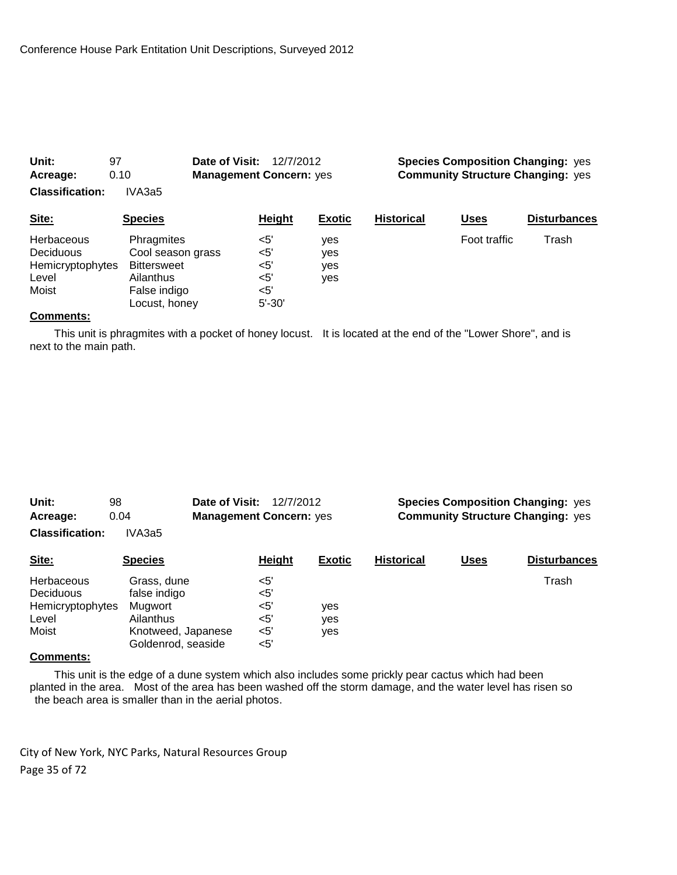| Acreage:<br><b>Classification:</b> | 0.10<br><b>Management Concern: yes</b><br>IVA3a5 |            |               | <b>Community Structure Changing: yes</b> |              |                     |  |
|------------------------------------|--------------------------------------------------|------------|---------------|------------------------------------------|--------------|---------------------|--|
| Site:                              | <b>Species</b>                                   | Height     | <b>Exotic</b> | <b>Historical</b>                        | Uses         | <b>Disturbances</b> |  |
| <b>Herbaceous</b>                  | Phragmites                                       | $<$ 5'     | yes           |                                          | Foot traffic | Trash               |  |
| <b>Deciduous</b>                   | Cool season grass                                | $<$ 5'     | yes           |                                          |              |                     |  |
| Hemicryptophytes                   | <b>Bittersweet</b>                               | $<$ 5'     | yes           |                                          |              |                     |  |
| Level                              | Ailanthus                                        | $<$ 5'     | yes           |                                          |              |                     |  |
| Moist                              | False indigo                                     | $<$ 5'     |               |                                          |              |                     |  |
|                                    | Locust, honey                                    | $5' - 30'$ |               |                                          |              |                     |  |

**Unit:** 97 **Date of Visit:** 12/7/2012 **Species Composition Changing:** yes

### **Comments:**

 This unit is phragmites with a pocket of honey locust. It is located at the end of the "Lower Shore", and is next to the main path.

| Unit:<br>Acreage:                                             | Date of Visit:<br>98<br>0.04                                                                    | 12/7/2012<br><b>Management Concern: yes</b>              |                   | <b>Species Composition Changing: yes</b><br><b>Community Structure Changing: yes</b> |             |                     |  |
|---------------------------------------------------------------|-------------------------------------------------------------------------------------------------|----------------------------------------------------------|-------------------|--------------------------------------------------------------------------------------|-------------|---------------------|--|
| <b>Classification:</b>                                        | IVA3a5                                                                                          |                                                          |                   |                                                                                      |             |                     |  |
| Site:                                                         | <b>Species</b>                                                                                  | <b>Height</b>                                            | Exotic            | <b>Historical</b>                                                                    | <b>Uses</b> | <b>Disturbances</b> |  |
| Herbaceous<br>Deciduous<br>Hemicryptophytes<br>Level<br>Moist | Grass, dune<br>false indigo<br>Mugwort<br>Ailanthus<br>Knotweed, Japanese<br>Goldenrod, seaside | $<$ 5'<br>$<$ 5'<br>$<$ 5'<br>$<$ 5'<br>$<$ 5'<br>$<$ 5' | yes<br>yes<br>yes |                                                                                      |             | Trash               |  |

# **Comments:**

 This unit is the edge of a dune system which also includes some prickly pear cactus which had been planted in the area. Most of the area has been washed off the storm damage, and the water level has risen so the beach area is smaller than in the aerial photos.

City of New York, NYC Parks, Natural Resources Group Page 35 of 72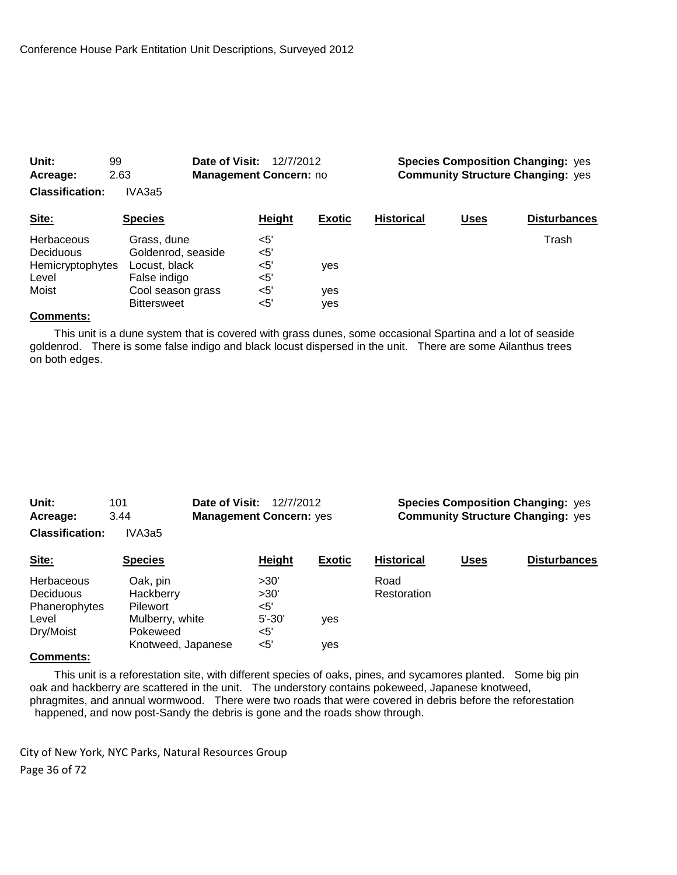| Acreage:<br><b>Classification:</b>                                   | 2.63<br>IVA3a5                                                                                                | <b>Management Concern: no</b>                    |                          |                   | <b>Community Structure Changing: yes</b> |                     |  |  |
|----------------------------------------------------------------------|---------------------------------------------------------------------------------------------------------------|--------------------------------------------------|--------------------------|-------------------|------------------------------------------|---------------------|--|--|
| Site:                                                                | <b>Species</b>                                                                                                | Height                                           | <b>Exotic</b>            | <b>Historical</b> | <b>Uses</b>                              | <b>Disturbances</b> |  |  |
| <b>Herbaceous</b><br>Deciduous<br>Hemicryptophytes<br>Level<br>Moist | Grass, dune<br>Goldenrod, seaside<br>Locust, black<br>False indigo<br>Cool season grass<br><b>Bittersweet</b> | $<$ 5'<br>$<$ 5'<br>$<$ 5'<br><5'<br><5'<br>$5'$ | <b>ves</b><br>yes<br>ves |                   |                                          | Trash               |  |  |

**Unit:** 99 **Date of Visit:** 12/7/2012 **Species Composition Changing:** yes

### **Comments:**

 This unit is a dune system that is covered with grass dunes, some occasional Spartina and a lot of seaside goldenrod. There is some false indigo and black locust dispersed in the unit. There are some Ailanthus trees on both edges.

| Unit:                  | 101                                    | Date of Visit:<br>12/7/2012 |               | <b>Species Composition Changing: yes</b> |             |                     |  |
|------------------------|----------------------------------------|-----------------------------|---------------|------------------------------------------|-------------|---------------------|--|
| Acreage:               | <b>Management Concern: yes</b><br>3.44 |                             |               | <b>Community Structure Changing: yes</b> |             |                     |  |
| <b>Classification:</b> | IVA3a5                                 |                             |               |                                          |             |                     |  |
| Site:                  | <b>Species</b>                         | Height                      | <b>Exotic</b> | <b>Historical</b>                        | <u>Uses</u> | <b>Disturbances</b> |  |
| Herbaceous             | Oak, pin                               | >30'                        |               | Road                                     |             |                     |  |
| Deciduous              | Hackberry                              | >30'                        |               | Restoration                              |             |                     |  |
| Phanerophytes          | Pilewort                               | <5'                         |               |                                          |             |                     |  |
| Level                  | Mulberry, white                        | $5' - 30'$                  | yes           |                                          |             |                     |  |
| Dry/Moist              | Pokeweed                               | <5'                         |               |                                          |             |                     |  |
|                        | Knotweed, Japanese                     | $<$ 5'                      | ves           |                                          |             |                     |  |

## **Comments:**

 This unit is a reforestation site, with different species of oaks, pines, and sycamores planted. Some big pin oak and hackberry are scattered in the unit. The understory contains pokeweed, Japanese knotweed, phragmites, and annual wormwood. There were two roads that were covered in debris before the reforestation happened, and now post-Sandy the debris is gone and the roads show through.

City of New York, NYC Parks, Natural Resources Group Page 36 of 72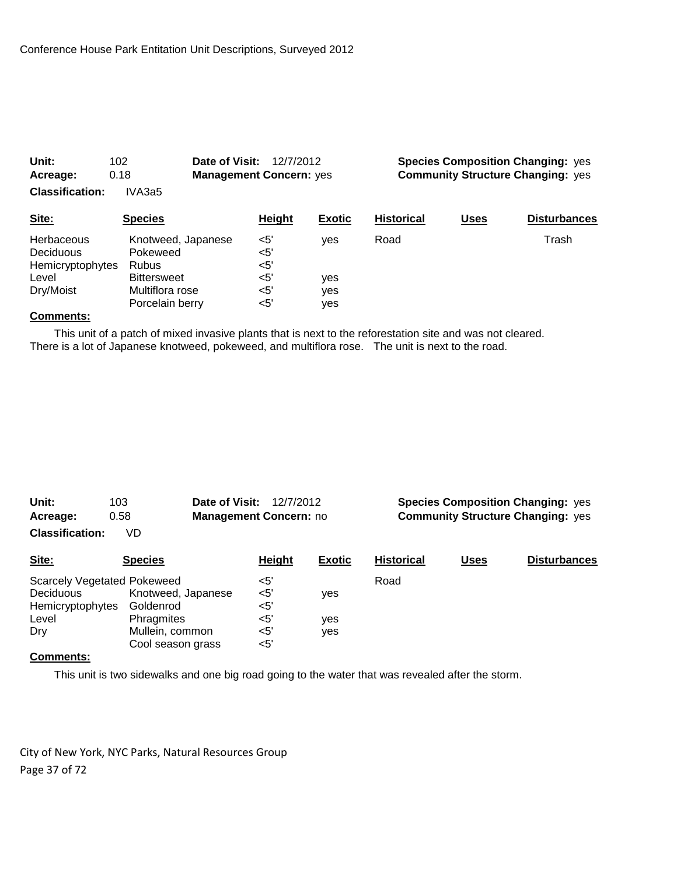| Acreage:               | 0.18               | <b>Management Concern: yes</b> |               | <b>Community Structure Changing: yes</b> |             |                     |  |
|------------------------|--------------------|--------------------------------|---------------|------------------------------------------|-------------|---------------------|--|
| <b>Classification:</b> | IVA3a5             |                                |               |                                          |             |                     |  |
| Site:                  | <b>Species</b>     | Height                         | <b>Exotic</b> | <b>Historical</b>                        | <b>Uses</b> | <b>Disturbances</b> |  |
| <b>Herbaceous</b>      | Knotweed, Japanese | $<$ 5'                         | ves           | Road                                     |             | Trash               |  |
| <b>Deciduous</b>       | Pokeweed           | <5'                            |               |                                          |             |                     |  |
| Hemicryptophytes       | <b>Rubus</b>       | $<$ 5'                         |               |                                          |             |                     |  |
| Level                  | <b>Bittersweet</b> | $<$ 5'                         | yes           |                                          |             |                     |  |
| Dry/Moist              | Multiflora rose    | $<$ 5'                         | yes           |                                          |             |                     |  |
|                        | Porcelain berry    | $5'$                           | yes           |                                          |             |                     |  |

**Unit:** 102 **Date of Visit:** 12/7/2012 **Species Composition Changing:** yes

### **Comments:**

 This unit of a patch of mixed invasive plants that is next to the reforestation site and was not cleared. There is a lot of Japanese knotweed, pokeweed, and multiflora rose. The unit is next to the road.

| Unit:<br>Acreage:                  | Date of Visit:<br>103<br>0.58 | 12/7/2012<br>Management Concern: no |               | <b>Species Composition Changing: yes</b><br><b>Community Structure Changing: yes</b> |             |                     |  |
|------------------------------------|-------------------------------|-------------------------------------|---------------|--------------------------------------------------------------------------------------|-------------|---------------------|--|
| <b>Classification:</b>             | VD                            |                                     |               |                                                                                      |             |                     |  |
| Site:                              | <b>Species</b>                | <b>Height</b>                       | <b>Exotic</b> | <b>Historical</b>                                                                    | <b>Uses</b> | <b>Disturbances</b> |  |
| <b>Scarcely Vegetated Pokeweed</b> |                               | $<$ 5'                              |               | Road                                                                                 |             |                     |  |
| <b>Deciduous</b>                   | Knotweed, Japanese            | <5'                                 | yes           |                                                                                      |             |                     |  |
| Hemicryptophytes                   | Goldenrod                     | <5'                                 |               |                                                                                      |             |                     |  |
| Level                              | Phragmites                    | <5'                                 | yes           |                                                                                      |             |                     |  |
| Dry                                | Mullein, common               | <5'                                 | yes           |                                                                                      |             |                     |  |
|                                    | Cool season grass             | <5'                                 |               |                                                                                      |             |                     |  |

# **Comments:**

This unit is two sidewalks and one big road going to the water that was revealed after the storm.

City of New York, NYC Parks, Natural Resources Group Page 37 of 72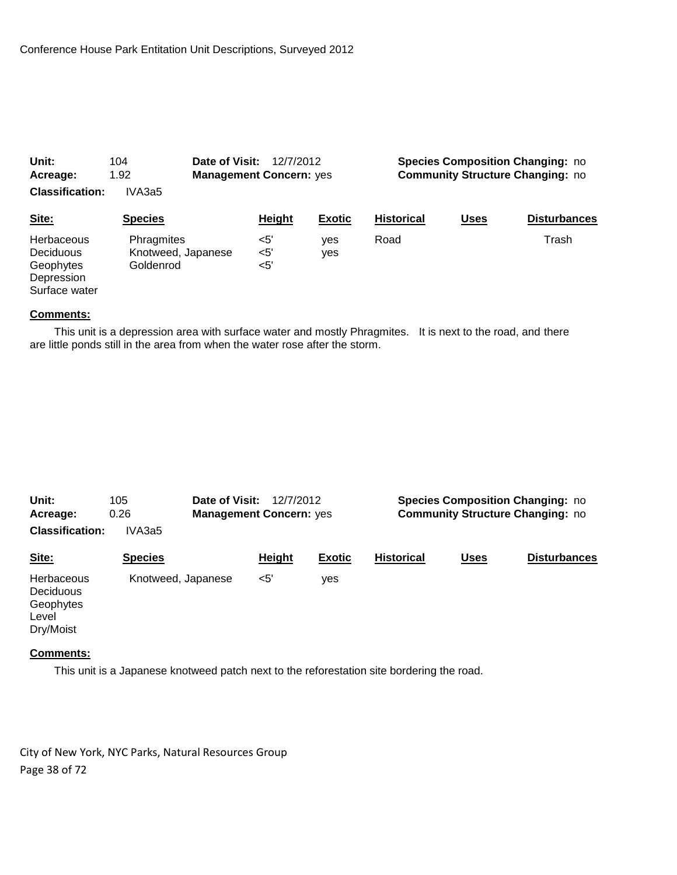| Unit:                  | Date of Visit:<br>104 | 12/7/2012                      |               | <b>Species Composition Changing: no</b> |                                         |                     |  |  |
|------------------------|-----------------------|--------------------------------|---------------|-----------------------------------------|-----------------------------------------|---------------------|--|--|
| Acreage:               | 1.92                  | <b>Management Concern: yes</b> |               |                                         | <b>Community Structure Changing: no</b> |                     |  |  |
| <b>Classification:</b> | IVA3a5                |                                |               |                                         |                                         |                     |  |  |
| Site:                  | <b>Species</b>        | Height                         | <b>Exotic</b> | <b>Historical</b>                       | Uses                                    | <b>Disturbances</b> |  |  |
| <b>Herbaceous</b>      | Phragmites            | $<$ 5'                         | ves           | Road                                    |                                         | Trash               |  |  |
| <b>Deciduous</b>       | Knotweed, Japanese    | <5'                            | yes           |                                         |                                         |                     |  |  |
| Geophytes              | Goldenrod             | $<$ 5'                         |               |                                         |                                         |                     |  |  |
| Depression             |                       |                                |               |                                         |                                         |                     |  |  |
| Surface water          |                       |                                |               |                                         |                                         |                     |  |  |

 This unit is a depression area with surface water and mostly Phragmites. It is next to the road, and there are little ponds still in the area from when the water rose after the storm.

| Unit:<br>Acreage:<br><b>Classification:</b>                       | 105<br>0.26<br>IVA3a5 | Date of Visit:<br><b>Management Concern: yes</b> | 12/7/2012     |               | <b>Species Composition Changing: no</b><br><b>Community Structure Changing: no</b> |             |                     |  |
|-------------------------------------------------------------------|-----------------------|--------------------------------------------------|---------------|---------------|------------------------------------------------------------------------------------|-------------|---------------------|--|
| Site:                                                             | <b>Species</b>        |                                                  | <b>Height</b> | <b>Exotic</b> | <b>Historical</b>                                                                  | <b>Uses</b> | <b>Disturbances</b> |  |
| Herbaceous<br><b>Deciduous</b><br>Geophytes<br>Level<br>Dry/Moist | Knotweed, Japanese    |                                                  | $<$ 5'        | yes           |                                                                                    |             |                     |  |

#### **Comments:**

This unit is a Japanese knotweed patch next to the reforestation site bordering the road.

City of New York, NYC Parks, Natural Resources Group Page 38 of 72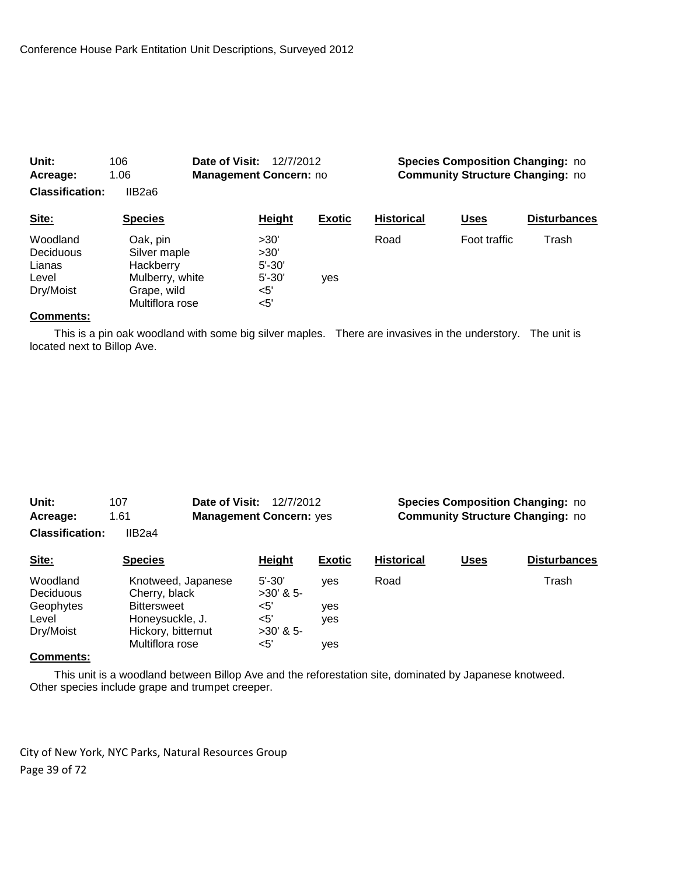| Unit:<br>106<br>Date of Visit:<br>1.06<br><b>Management Concern: no</b><br>Acreage:<br><b>Classification:</b><br>IIB2a6 |                                                                                            | 12/7/2012        |                                          | <b>Species Composition Changing: no</b><br><b>Community Structure Changing: no</b> |                   |              |                     |
|-------------------------------------------------------------------------------------------------------------------------|--------------------------------------------------------------------------------------------|------------------|------------------------------------------|------------------------------------------------------------------------------------|-------------------|--------------|---------------------|
| Site:                                                                                                                   | <b>Species</b>                                                                             |                  | <b>Height</b>                            | <b>Exotic</b>                                                                      | <b>Historical</b> | <u>Uses</u>  | <b>Disturbances</b> |
| Woodland<br>Deciduous<br>Lianas<br>Level<br>Dry/Moist                                                                   | Oak, pin<br>Silver maple<br>Hackberry<br>Mulberry, white<br>Grape, wild<br>Multiflora rose | $<$ 5'<br>$<$ 5' | >30'<br>>30'<br>$5' - 30'$<br>$5' - 30'$ | yes                                                                                | Road              | Foot traffic | Trash               |

 This is a pin oak woodland with some big silver maples. There are invasives in the understory. The unit is located next to Billop Ave.

| Unit:<br>Acreage:<br><b>Classification:</b> | 107<br>1.61<br>IIB2a4 | Date of Visit:<br><b>Management Concern: yes</b> | 12/7/2012     |               |                   |             | <b>Species Composition Changing: no</b><br><b>Community Structure Changing: no</b> |
|---------------------------------------------|-----------------------|--------------------------------------------------|---------------|---------------|-------------------|-------------|------------------------------------------------------------------------------------|
| Site:                                       | <b>Species</b>        |                                                  | <b>Height</b> | <b>Exotic</b> | <b>Historical</b> | <b>Uses</b> | <b>Disturbances</b>                                                                |

| Woodland         | Knotweed, Japanese | $5' - 30'$  | ves | Road | Trash |
|------------------|--------------------|-------------|-----|------|-------|
| <b>Deciduous</b> | Cherry, black      | $>30'$ & 5- |     |      |       |
| Geophytes        | <b>Bittersweet</b> | <5'         | ves |      |       |
| Level            | Honeysuckle, J.    | <5'         | ves |      |       |
| Dry/Moist        | Hickory, bitternut | $>30'$ & 5- |     |      |       |
|                  | Multiflora rose    | <5'         | ves |      |       |
| $\sim$           |                    |             |     |      |       |

### **Comments:**

 This unit is a woodland between Billop Ave and the reforestation site, dominated by Japanese knotweed. Other species include grape and trumpet creeper.

City of New York, NYC Parks, Natural Resources Group Page 39 of 72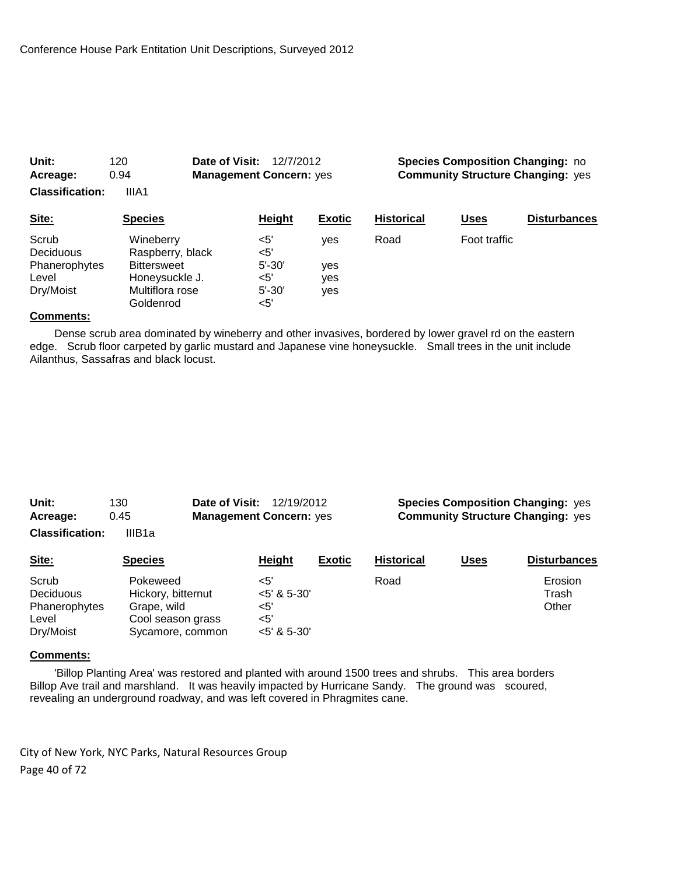| 0.94<br>Acreage:<br><b>Classification:</b><br>IIIA1       |                                                                                                       | <b>Management Concern: yes</b>                       |                          | <b>Community Structure Changing: yes</b> |              |                     |
|-----------------------------------------------------------|-------------------------------------------------------------------------------------------------------|------------------------------------------------------|--------------------------|------------------------------------------|--------------|---------------------|
| Site:                                                     | <b>Species</b>                                                                                        | Height                                               | <b>Exotic</b>            | <b>Historical</b>                        | <b>Uses</b>  | <b>Disturbances</b> |
| Scrub<br>Deciduous<br>Phanerophytes<br>Level<br>Dry/Moist | Wineberry<br>Raspberry, black<br><b>Bittersweet</b><br>Honeysuckle J.<br>Multiflora rose<br>Goldenrod | <5'<br><5'<br>$5' - 30'$<br><5'<br>$5' - 30'$<br><5' | ves<br>yes<br>yes<br>yes | Road                                     | Foot traffic |                     |

**Unit:** 120 **Date of Visit:** 12/7/2012 **Species Composition Changing:** no

## **Comments:**

 Dense scrub area dominated by wineberry and other invasives, bordered by lower gravel rd on the eastern edge. Scrub floor carpeted by garlic mustard and Japanese vine honeysuckle. Small trees in the unit include Ailanthus, Sassafras and black locust.

| Unit:                  | 130    | <b>Date of Visit: 12/19/2012</b> |  | <b>Species Composition Changing: yes</b>                                                                                                                                                                                             |
|------------------------|--------|----------------------------------|--|--------------------------------------------------------------------------------------------------------------------------------------------------------------------------------------------------------------------------------------|
| Acreage:               | 0.45   | <b>Management Concern: yes</b>   |  | <b>Community Structure Changing: yes</b>                                                                                                                                                                                             |
| <b>Classification:</b> | IIIB1a |                                  |  |                                                                                                                                                                                                                                      |
| $\sim$ $\sim$          | .      | .                                |  | <b>Particular and the contract of the contract of the contract of the contract of the contract of the contract of the contract of the contract of the contract of the contract of the contract of the contract of the contract o</b> |

| <u>Site:</u>                                              | <b>Species</b>                                                                         | Height                                                    | <b>EXOUC</b> | <b>Historical</b> | uses | <b>Disturbances</b>       |
|-----------------------------------------------------------|----------------------------------------------------------------------------------------|-----------------------------------------------------------|--------------|-------------------|------|---------------------------|
| Scrub<br>Deciduous<br>Phanerophytes<br>Level<br>Dry/Moist | Pokeweed<br>Hickory, bitternut<br>Grape, wild<br>Cool season grass<br>Sycamore, common | $5'$<br>$<$ 5' & 5-30'<br><5'<br>$<$ 5'<br>$<$ 5' & 5-30' |              | Road              |      | Erosion<br>Trash<br>Other |
|                                                           |                                                                                        |                                                           |              |                   |      |                           |

#### **Comments:**

 'Billop Planting Area' was restored and planted with around 1500 trees and shrubs. This area borders Billop Ave trail and marshland. It was heavily impacted by Hurricane Sandy. The ground was scoured, revealing an underground roadway, and was left covered in Phragmites cane.

City of New York, NYC Parks, Natural Resources Group Page 40 of 72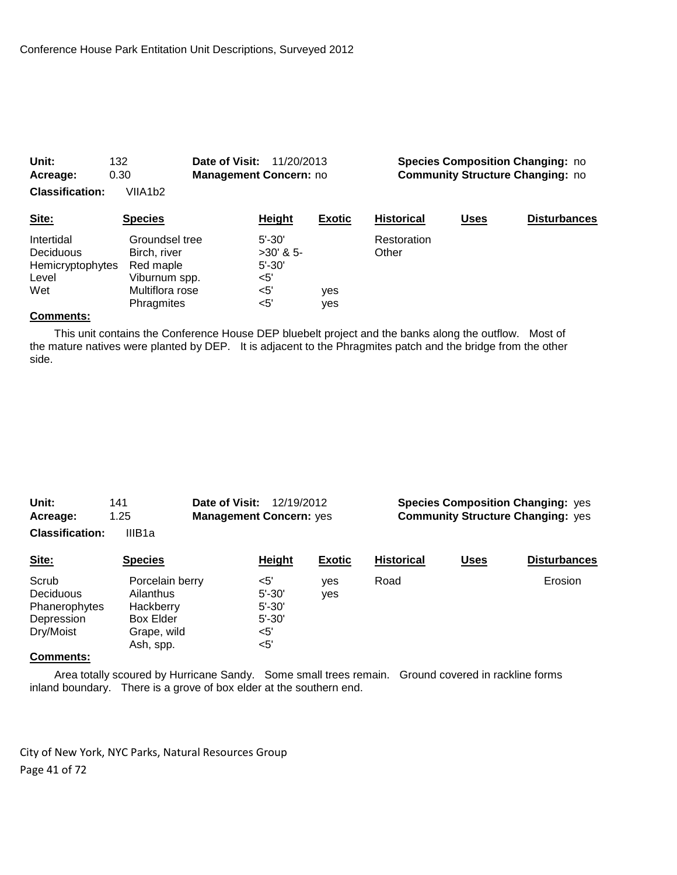| Acreage:                                                           | 0.30                                                                                          | <b>Management Concern: no</b>                                   |               | <b>Community Structure Changing: no</b> |             |                     |
|--------------------------------------------------------------------|-----------------------------------------------------------------------------------------------|-----------------------------------------------------------------|---------------|-----------------------------------------|-------------|---------------------|
| <b>Classification:</b>                                             | VIIA1b2                                                                                       |                                                                 |               |                                         |             |                     |
| Site:                                                              | <b>Species</b>                                                                                | <b>Height</b>                                                   | <b>Exotic</b> | <b>Historical</b>                       | <b>Uses</b> | <b>Disturbances</b> |
| Intertidal<br><b>Deciduous</b><br>Hemicryptophytes<br>Level<br>Wet | Groundsel tree<br>Birch, river<br>Red maple<br>Viburnum spp.<br>Multiflora rose<br>Phragmites | $5' - 30'$<br>$>30'$ & 5-<br>$5' - 30'$<br><5'<br>$<$ 5'<br><5' | ves<br>yes    | Restoration<br>Other                    |             |                     |

**Unit:** 132 **Date of Visit:** 11/20/2013 **Species Composition Changing:** no

## **Comments:**

 This unit contains the Conference House DEP bluebelt project and the banks along the outflow. Most of the mature natives were planted by DEP. It is adjacent to the Phragmites patch and the bridge from the other side.

| Unit:                  | 141    | <b>Date of Visit: 12/19/2012</b> |  |
|------------------------|--------|----------------------------------|--|
| Acreage:               | 1.25   | <b>Management Concern: yes</b>   |  |
| <b>Classification:</b> | IIIB1a |                                  |  |

**Species Composition Changing: yes Community Structure Changing:** yes

| Site:                   | <b>Species</b>                               | Height                         | <b>Exotic</b> | <b>Historical</b> | <u>Uses</u> | <b>Disturbances</b> |
|-------------------------|----------------------------------------------|--------------------------------|---------------|-------------------|-------------|---------------------|
| Scrub<br>Deciduous      | Porcelain berry<br>Ailanthus                 | <5'<br>$5' - 30'$              | ves<br>yes    | Road              |             | Erosion             |
| Phanerophytes           | Hackberry                                    | $5' - 30'$                     |               |                   |             |                     |
| Depression<br>Dry/Moist | <b>Box Elder</b><br>Grape, wild<br>Ash, spp. | $5' - 30'$<br>$<$ 5'<br>$<$ 5' |               |                   |             |                     |

## **Comments:**

 Area totally scoured by Hurricane Sandy. Some small trees remain. Ground covered in rackline forms inland boundary. There is a grove of box elder at the southern end.

City of New York, NYC Parks, Natural Resources Group Page 41 of 72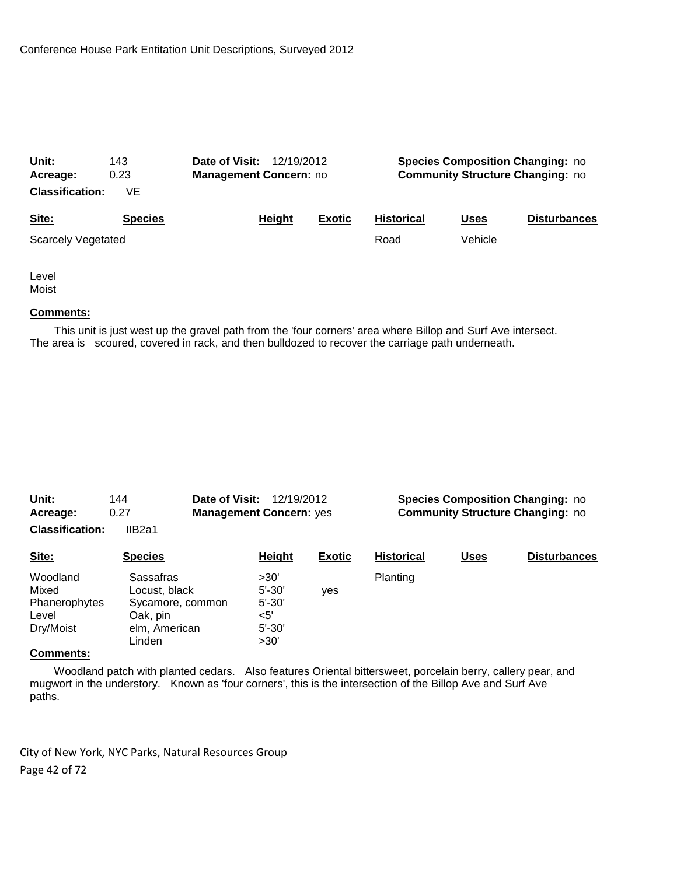| Unit:<br>Acreage:         | 143<br>0.23    | Date of Visit:<br>12/19/2012<br><b>Management Concern: no</b> |        | <b>Species Composition Changing: no</b><br><b>Community Structure Changing: no</b> |                   |             |                     |
|---------------------------|----------------|---------------------------------------------------------------|--------|------------------------------------------------------------------------------------|-------------------|-------------|---------------------|
| <b>Classification:</b>    | VE             |                                                               |        |                                                                                    |                   |             |                     |
| Site:                     | <b>Species</b> |                                                               | Height | <b>Exotic</b>                                                                      | <b>Historical</b> | <b>Uses</b> | <b>Disturbances</b> |
| <b>Scarcely Vegetated</b> |                |                                                               |        |                                                                                    | Road              | Vehicle     |                     |
|                           |                |                                                               |        |                                                                                    |                   |             |                     |

Level Moist

### **Comments:**

 This unit is just west up the gravel path from the 'four corners' area where Billop and Surf Ave intersect. The area is scoured, covered in rack, and then bulldozed to recover the carriage path underneath.

| Unit:<br>Acreage:                                        | Date of Visit:<br>144<br>12/19/2012<br><b>Management Concern: yes</b><br>0.27         |                                                               |               | <b>Species Composition Changing: no</b><br><b>Community Structure Changing: no</b> |             |                     |  |
|----------------------------------------------------------|---------------------------------------------------------------------------------------|---------------------------------------------------------------|---------------|------------------------------------------------------------------------------------|-------------|---------------------|--|
| <b>Classification:</b>                                   | IIB <sub>2a1</sub>                                                                    |                                                               |               |                                                                                    |             |                     |  |
| Site:                                                    | <b>Species</b>                                                                        | Height                                                        | <b>Exotic</b> | <b>Historical</b>                                                                  | <b>Uses</b> | <b>Disturbances</b> |  |
| Woodland<br>Mixed<br>Phanerophytes<br>Level<br>Dry/Moist | Sassafras<br>Locust, black<br>Sycamore, common<br>Oak, pin<br>elm, American<br>Linden | >30'<br>$5' - 30'$<br>$5' - 30'$<br><5'<br>$5' - 30'$<br>>30' | <b>ves</b>    | Planting                                                                           |             |                     |  |

### **Comments:**

 Woodland patch with planted cedars. Also features Oriental bittersweet, porcelain berry, callery pear, and mugwort in the understory. Known as 'four corners', this is the intersection of the Billop Ave and Surf Ave paths.

City of New York, NYC Parks, Natural Resources Group Page 42 of 72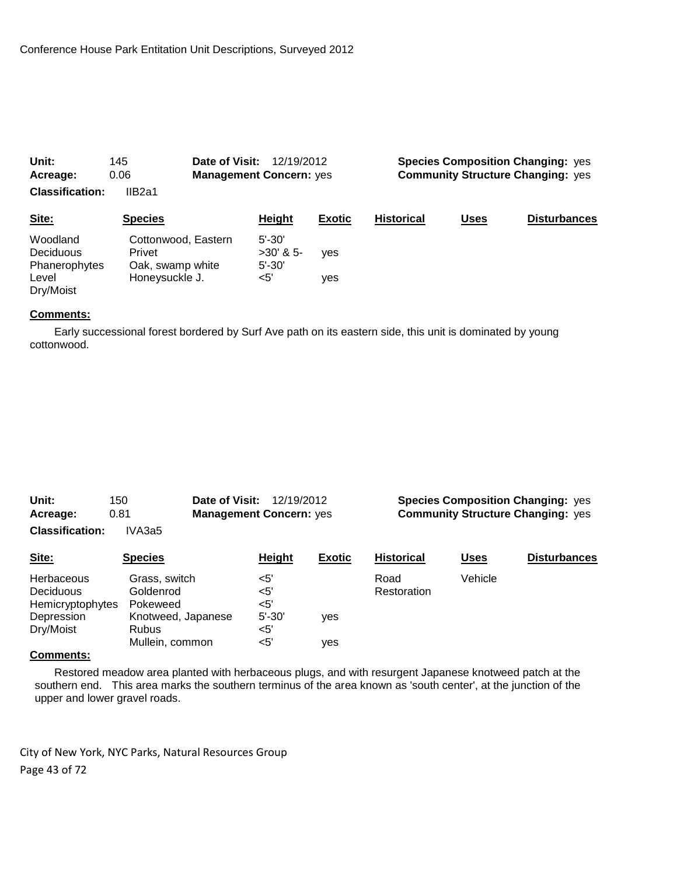| Unit:                  | Date of Visit:<br>145 |                                | <b>Species Composition Changing: yes</b><br>12/19/2012 |                   |             |                     |
|------------------------|-----------------------|--------------------------------|--------------------------------------------------------|-------------------|-------------|---------------------|
| Acreage:               | 0.06                  | <b>Management Concern: yes</b> | <b>Community Structure Changing: yes</b>               |                   |             |                     |
| <b>Classification:</b> | IIB2a1                |                                |                                                        |                   |             |                     |
| Site:                  | <b>Species</b>        | Height                         | <b>Exotic</b>                                          | <b>Historical</b> | <b>Uses</b> | <b>Disturbances</b> |
| Woodland               | Cottonwood, Eastern   | $5' - 30'$                     |                                                        |                   |             |                     |
| Deciduous              | Privet                | $>30'$ & 5-                    | yes                                                    |                   |             |                     |
| Phanerophytes          | Oak, swamp white      | $5' - 30'$                     |                                                        |                   |             |                     |
| Level                  | Honeysuckle J.        | $<$ 5'                         | yes                                                    |                   |             |                     |
| Dry/Moist              |                       |                                |                                                        |                   |             |                     |

 Early successional forest bordered by Surf Ave path on its eastern side, this unit is dominated by young cottonwood.

| Unit:                  | Date of Visit:<br>150 | 12/19/2012                     |               | <b>Species Composition Changing: yes</b> |         |                     |
|------------------------|-----------------------|--------------------------------|---------------|------------------------------------------|---------|---------------------|
| Acreage:               | 0.81                  | <b>Management Concern: yes</b> |               | <b>Community Structure Changing: yes</b> |         |                     |
| <b>Classification:</b> | IVA3a5                |                                |               |                                          |         |                     |
| Site:                  | <b>Species</b>        | <b>Height</b>                  | <b>Exotic</b> | <b>Historical</b>                        | Uses    | <b>Disturbances</b> |
| Herbaceous             | Grass, switch         | $<$ 5'                         |               | Road                                     | Vehicle |                     |
| Deciduous              | Goldenrod             | $<$ 5'                         |               | Restoration                              |         |                     |
| Hemicryptophytes       | Pokeweed              | $<$ 5'                         |               |                                          |         |                     |
| Depression             | Knotweed, Japanese    | $5' - 30'$                     | yes           |                                          |         |                     |
| Dry/Moist              | <b>Rubus</b>          | $<$ 5'                         |               |                                          |         |                     |
|                        | Mullein, common       | $<$ 5'                         | yes           |                                          |         |                     |

#### **Comments:**

 Restored meadow area planted with herbaceous plugs, and with resurgent Japanese knotweed patch at the southern end. This area marks the southern terminus of the area known as 'south center', at the junction of the upper and lower gravel roads.

City of New York, NYC Parks, Natural Resources Group Page 43 of 72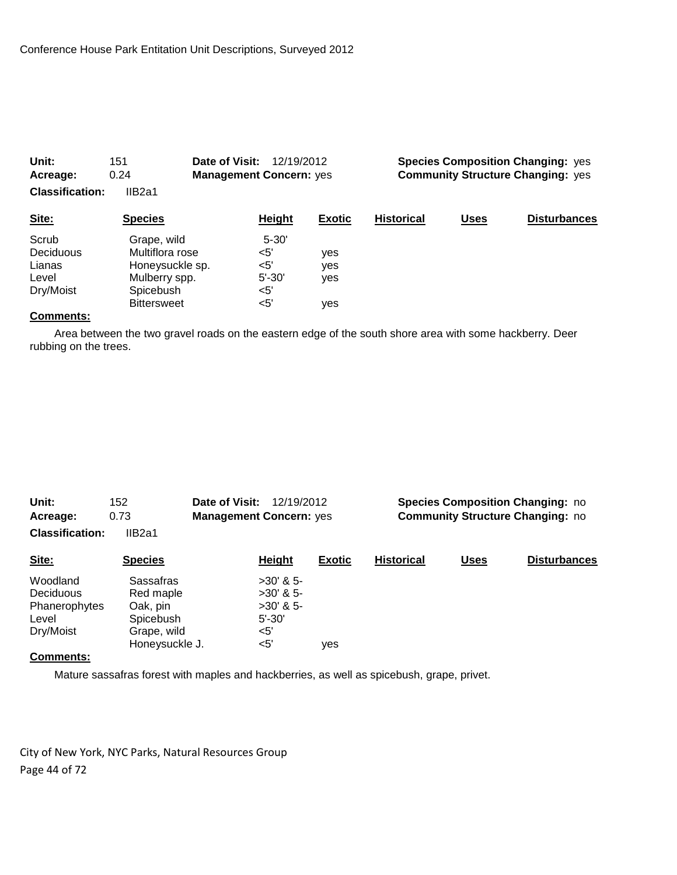| 0.24<br>Acreage:<br><b>Classification:</b><br>IIB2a1 |                                                                                                       | <b>Management Concern: yes</b>                         |                                 |                   | <b>Community Structure Changing: yes</b> |                     |
|------------------------------------------------------|-------------------------------------------------------------------------------------------------------|--------------------------------------------------------|---------------------------------|-------------------|------------------------------------------|---------------------|
| Site:                                                | <b>Species</b>                                                                                        | Height                                                 | <b>Exotic</b>                   | <b>Historical</b> | <u>Uses</u>                              | <b>Disturbances</b> |
| Scrub<br>Deciduous<br>Lianas<br>Level<br>Dry/Moist   | Grape, wild<br>Multiflora rose<br>Honeysuckle sp.<br>Mulberry spp.<br>Spicebush<br><b>Bittersweet</b> | $5 - 30'$<br>$<$ 5'<br><5'<br>$5' - 30'$<br><5'<br><5' | <b>ves</b><br>yes<br>yes<br>ves |                   |                                          |                     |

**Unit:** 151 **Date of Visit:** 12/19/2012 **Species Composition Changing:** yes

### **Comments:**

 Area between the two gravel roads on the eastern edge of the south shore area with some hackberry. Deer rubbing on the trees.

| Unit:<br>Acreage:      | 152<br>0.73    | Date of Visit:<br>12/19/2012<br><b>Management Concern: yes</b> |               | <b>Species Composition Changing: no</b><br><b>Community Structure Changing: no</b> |             |                     |
|------------------------|----------------|----------------------------------------------------------------|---------------|------------------------------------------------------------------------------------|-------------|---------------------|
| <b>Classification:</b> | IIB2a1         |                                                                |               |                                                                                    |             |                     |
| Site:                  | <b>Species</b> | <b>Height</b>                                                  | <b>Exotic</b> | <b>Historical</b>                                                                  | <b>Uses</b> | <b>Disturbances</b> |
| Woodland               | Sassafras      | $>30'$ & 5-                                                    |               |                                                                                    |             |                     |
| Deciduous              | Red maple      | $>30'$ & 5-                                                    |               |                                                                                    |             |                     |
| Phanerophytes          | Oak, pin       | $>30'$ & 5-                                                    |               |                                                                                    |             |                     |
| Level                  | Spicebush      | $5' - 30'$                                                     |               |                                                                                    |             |                     |
| Dry/Moist              |                | <5'                                                            |               |                                                                                    |             |                     |
|                        | Honeysuckle J. | $<$ 5'                                                         | yes           |                                                                                    |             |                     |
| $R$ ammanta:           | Grape, wild    |                                                                |               |                                                                                    |             |                     |

#### **Comments:**

Mature sassafras forest with maples and hackberries, as well as spicebush, grape, privet.

City of New York, NYC Parks, Natural Resources Group Page 44 of 72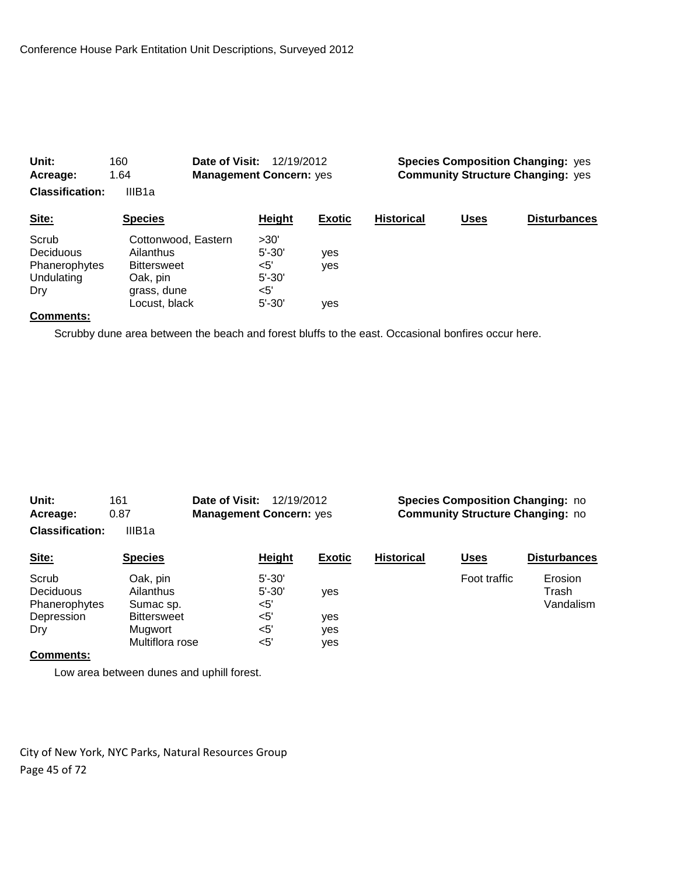| Unit:                  | 160                 | Date of Visit:<br>12/19/2012   |               | <b>Species Composition Changing: yes</b> |             |                     |  |
|------------------------|---------------------|--------------------------------|---------------|------------------------------------------|-------------|---------------------|--|
| Acreage:               | 1.64                | <b>Management Concern: yes</b> |               | <b>Community Structure Changing: yes</b> |             |                     |  |
| <b>Classification:</b> | IIIB <sub>1a</sub>  |                                |               |                                          |             |                     |  |
| Site:                  | <b>Species</b>      | Height                         | <b>Exotic</b> | <b>Historical</b>                        | <b>Uses</b> | <b>Disturbances</b> |  |
| Scrub                  | Cottonwood, Eastern | >30'                           |               |                                          |             |                     |  |
| Deciduous              | Ailanthus           | $5' - 30'$                     | yes           |                                          |             |                     |  |
| Phanerophytes          | <b>Bittersweet</b>  | $5'$                           | yes           |                                          |             |                     |  |
| Undulating             | Oak, pin            | $5' - 30'$                     |               |                                          |             |                     |  |
| Dry                    | grass, dune         | $<$ 5'                         |               |                                          |             |                     |  |
|                        | Locust, black       | $5' - 30'$                     | ves           |                                          |             |                     |  |

Scrubby dune area between the beach and forest bluffs to the east. Occasional bonfires occur here.

| Unit:<br>Acreage:                                        | 161<br>0.87                                              | Date of Visit:<br>12/19/2012<br><b>Management Concern: yes</b> |                   | <b>Species Composition Changing: no</b><br><b>Community Structure Changing: no</b> |              |                               |  |
|----------------------------------------------------------|----------------------------------------------------------|----------------------------------------------------------------|-------------------|------------------------------------------------------------------------------------|--------------|-------------------------------|--|
| <b>Classification:</b>                                   | IIIB1a                                                   |                                                                |                   |                                                                                    |              |                               |  |
| Site:                                                    | <b>Species</b>                                           | Height                                                         | <b>Exotic</b>     | <b>Historical</b>                                                                  | <b>Uses</b>  | <b>Disturbances</b>           |  |
| Scrub<br><b>Deciduous</b><br>Phanerophytes<br>Depression | Oak, pin<br>Ailanthus<br>Sumac sp.<br><b>Bittersweet</b> | $5' - 30'$<br>$5' - 30'$<br><5'<br>$<$ 5'                      | <b>ves</b><br>yes |                                                                                    | Foot traffic | Erosion<br>Trash<br>Vandalism |  |
| Dry                                                      | Mugwort<br>Multiflora rose                               | $<$ 5'<br>$<$ 5'                                               | yes<br>ves        |                                                                                    |              |                               |  |

#### **Comments:**

Low area between dunes and uphill forest.

City of New York, NYC Parks, Natural Resources Group Page 45 of 72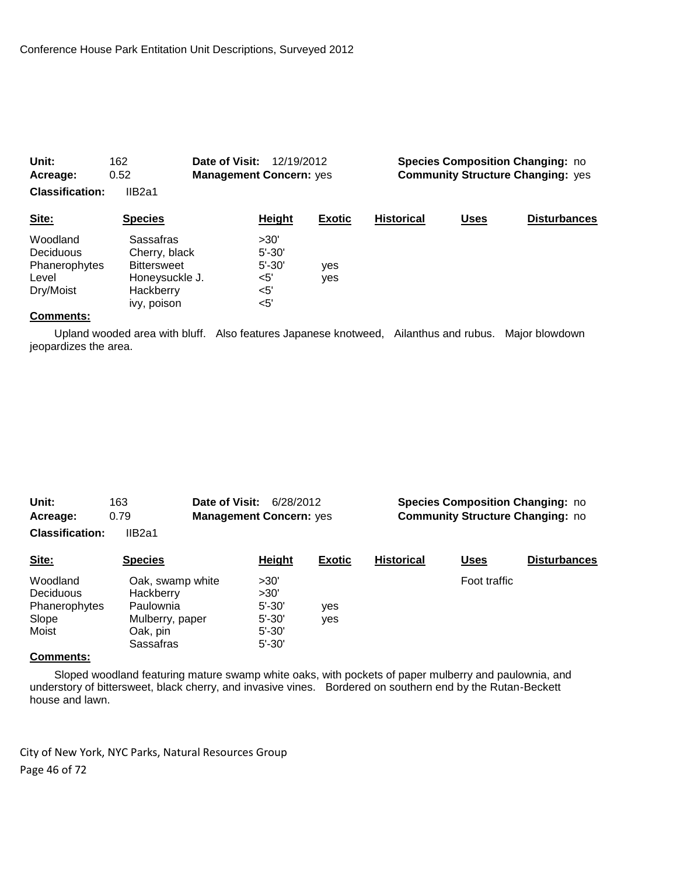| Acreage:               | 0.52<br><b>Management Concern: yes</b> |                    | <b>Community Structure Changing: yes</b> |                   |             |                     |
|------------------------|----------------------------------------|--------------------|------------------------------------------|-------------------|-------------|---------------------|
| <b>Classification:</b> | IIB <sub>2a1</sub>                     |                    |                                          |                   |             |                     |
| Site:                  | <b>Species</b>                         | Height             | <b>Exotic</b>                            | <b>Historical</b> | <b>Uses</b> | <b>Disturbances</b> |
| Woodland<br>Deciduous  | Sassafras<br>Cherry, black             | >30'<br>$5' - 30'$ |                                          |                   |             |                     |
| Phanerophytes<br>Level | <b>Bittersweet</b><br>Honeysuckle J.   | $5' - 30'$<br><5'  | ves<br>yes                               |                   |             |                     |
| Dry/Moist              | Hackberry<br>ivy, poison               | <5'<br>$<$ 5'      |                                          |                   |             |                     |

**Unit:** 162 **Date of Visit:** 12/19/2012 **Species Composition Changing:** no

## **Comments:**

 Upland wooded area with bluff. Also features Japanese knotweed, Ailanthus and rubus. Major blowdown jeopardizes the area.

| Unit:<br>Date of Visit:<br>163 |                  | 6/28/2012 |                                |               | <b>Species Composition Changing: no</b> |              |                     |  |  |
|--------------------------------|------------------|-----------|--------------------------------|---------------|-----------------------------------------|--------------|---------------------|--|--|
| Acreage:                       | 0.79             |           | <b>Management Concern: yes</b> |               | <b>Community Structure Changing: no</b> |              |                     |  |  |
| <b>Classification:</b>         | IIB2a1           |           |                                |               |                                         |              |                     |  |  |
| Site:                          | <b>Species</b>   |           | Height                         | <b>Exotic</b> | <b>Historical</b>                       | <b>Uses</b>  | <b>Disturbances</b> |  |  |
| Woodland                       | Oak, swamp white |           | >30'                           |               |                                         | Foot traffic |                     |  |  |
| <b>Deciduous</b>               | Hackberry        |           | >30'                           |               |                                         |              |                     |  |  |
| Phanerophytes                  | Paulownia        |           | $5' - 30'$                     | ves           |                                         |              |                     |  |  |
| Slope                          | Mulberry, paper  |           | $5' - 30'$                     | ves           |                                         |              |                     |  |  |

#### **Comments:**

 Sloped woodland featuring mature swamp white oaks, with pockets of paper mulberry and paulownia, and understory of bittersweet, black cherry, and invasive vines. Bordered on southern end by the Rutan-Beckett house and lawn.

City of New York, NYC Parks, Natural Resources Group Page 46 of 72

Moist Cak, pin 5'-30'<br>Sassafras 5'-30' Sassafras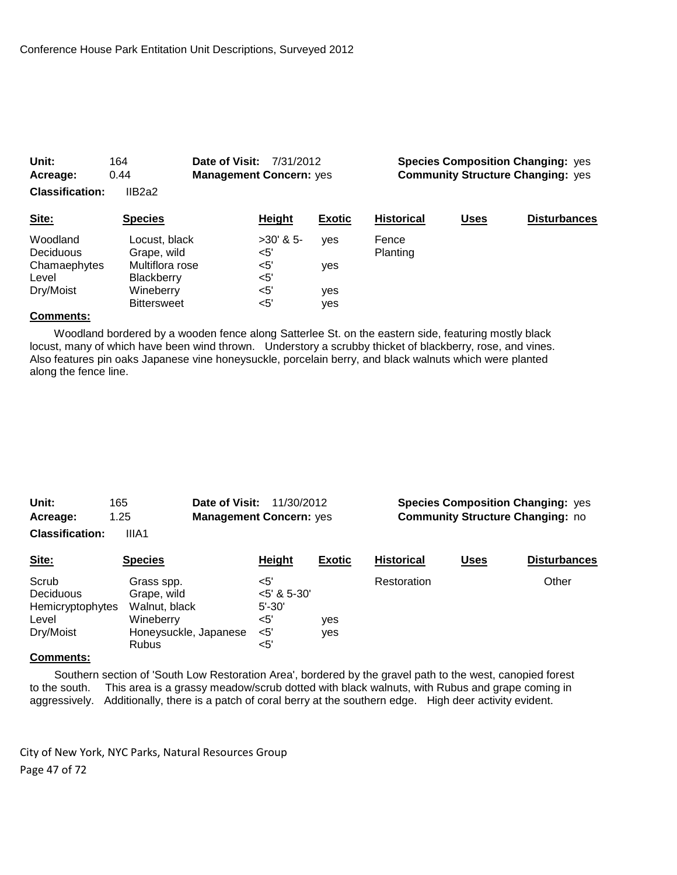| 0.44<br>Acreage:<br><b>Classification:</b><br>IIB2a2 |                                                                      | <b>Management Concern: yes</b>   | <b>Community Structure Changing: yes</b> |                          |             |                     |
|------------------------------------------------------|----------------------------------------------------------------------|----------------------------------|------------------------------------------|--------------------------|-------------|---------------------|
| Site:                                                | <b>Species</b>                                                       | Height                           | <b>Exotic</b>                            | <b>Historical</b>        | <b>Uses</b> | <b>Disturbances</b> |
| Woodland<br>Deciduous<br>Chamaephytes<br>Level       | Locust, black<br>Grape, wild<br>Multiflora rose<br><b>Blackberry</b> | $>30'$ & 5-<br><5'<br><5'<br><5' | ves<br><b>ves</b>                        | Fence<br><b>Planting</b> |             |                     |
| Dry/Moist                                            | Wineberry<br><b>Bittersweet</b>                                      | $<$ 5'<br>$<$ 5'                 | ves<br>ves                               |                          |             |                     |

**Unit:** 164 **Date of Visit:** 7/31/2012 **Species Composition Changing:** yes

#### **Comments:**

 Woodland bordered by a wooden fence along Satterlee St. on the eastern side, featuring mostly black locust, many of which have been wind thrown. Understory a scrubby thicket of blackberry, rose, and vines. Also features pin oaks Japanese vine honeysuckle, porcelain berry, and black walnuts which were planted along the fence line.

| Unit:                  | 165   | <b>Date of Visit: 11/30/2012</b> |  |
|------------------------|-------|----------------------------------|--|
| Acreage:               | 1.25  | <b>Management Concern: yes</b>   |  |
| <b>Classification:</b> | IIIA1 |                                  |  |

**Species Composition Changing: yes Community Structure Changing: no** 

| Site:                                                        | <b>Species</b>                                                                                   | Height                                                            | <b>Exotic</b> | <b>Historical</b> | <u>Uses</u> | <b>Disturbances</b> |
|--------------------------------------------------------------|--------------------------------------------------------------------------------------------------|-------------------------------------------------------------------|---------------|-------------------|-------------|---------------------|
| Scrub<br>Deciduous<br>Hemicryptophytes<br>Level<br>Dry/Moist | Grass spp.<br>Grape, wild<br>Walnut, black<br>Wineberry<br>Honeysuckle, Japanese<br><b>Rubus</b> | <5'<br>$<$ 5' & 5-30'<br>$5' - 30'$<br>$<$ 5'<br>$<$ 5'<br>$<$ 5' | yes<br>ves    | Restoration       |             | Other               |

### **Comments:**

 Southern section of 'South Low Restoration Area', bordered by the gravel path to the west, canopied forest to the south. This area is a grassy meadow/scrub dotted with black walnuts, with Rubus and grape coming in aggressively. Additionally, there is a patch of coral berry at the southern edge. High deer activity evident.

City of New York, NYC Parks, Natural Resources Group Page 47 of 72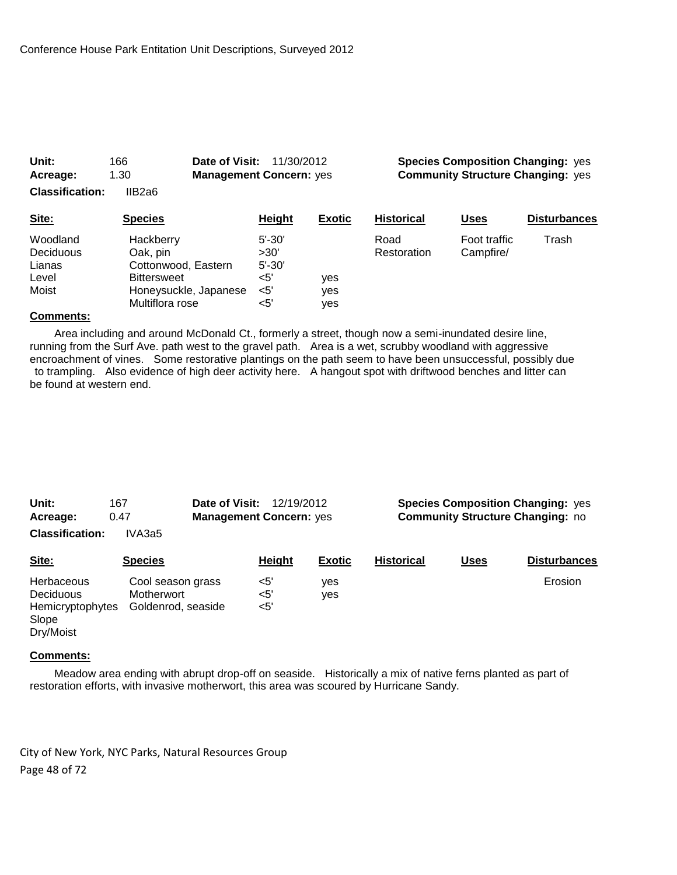| 1.30<br>Acreage:             |                       | <b>Management Concern: yes</b> |               | <b>Community Structure Changing: yes</b> |                           |                     |
|------------------------------|-----------------------|--------------------------------|---------------|------------------------------------------|---------------------------|---------------------|
| <b>Classification:</b>       | IIB2a6                |                                |               |                                          |                           |                     |
| Site:                        | <b>Species</b>        | Height                         | <b>Exotic</b> | <b>Historical</b>                        | <b>Uses</b>               | <b>Disturbances</b> |
| Woodland<br><b>Deciduous</b> | Hackberry<br>Oak, pin | $5' - 30'$<br>>30'             |               | Road<br>Restoration                      | Foot traffic<br>Campfire/ | Trash               |
| Lianas                       | Cottonwood, Eastern   | $5' - 30'$                     |               |                                          |                           |                     |
| Level                        | <b>Bittersweet</b>    | $<$ 5'                         | yes           |                                          |                           |                     |
| Moist                        | Honeysuckle, Japanese | <5'                            | yes           |                                          |                           |                     |
|                              | Multiflora rose       | $5$                            | yes           |                                          |                           |                     |

**Unit:** 166 **Date of Visit:** 11/30/2012 **Species Composition Changing:** yes

### **Comments:**

 Area including and around McDonald Ct., formerly a street, though now a semi-inundated desire line, running from the Surf Ave. path west to the gravel path. Area is a wet, scrubby woodland with aggressive encroachment of vines. Some restorative plantings on the path seem to have been unsuccessful, possibly due to trampling. Also evidence of high deer activity here. A hangout spot with driftwood benches and litter can be found at western end.

| Unit:<br>167<br>0.47<br>Acreage:<br><b>Classification:</b><br>IVA3a5     |                                                       | Date of Visit:<br>12/19/2012<br><b>Management Concern: yes</b> |                      |               | <b>Species Composition Changing: yes</b><br><b>Community Structure Changing: no</b> |             |                     |
|--------------------------------------------------------------------------|-------------------------------------------------------|----------------------------------------------------------------|----------------------|---------------|-------------------------------------------------------------------------------------|-------------|---------------------|
| Site:                                                                    | <b>Species</b>                                        |                                                                | Height               | <b>Exotic</b> | <b>Historical</b>                                                                   | <b>Uses</b> | <b>Disturbances</b> |
| <b>Herbaceous</b><br>Deciduous<br>Hemicryptophytes<br>Slope<br>Dry/Moist | Cool season grass<br>Motherwort<br>Goldenrod, seaside |                                                                | $<$ 5'<br><5'<br><5' | yes<br>yes    |                                                                                     |             | Erosion             |

#### **Comments:**

 Meadow area ending with abrupt drop-off on seaside. Historically a mix of native ferns planted as part of restoration efforts, with invasive motherwort, this area was scoured by Hurricane Sandy.

City of New York, NYC Parks, Natural Resources Group Page 48 of 72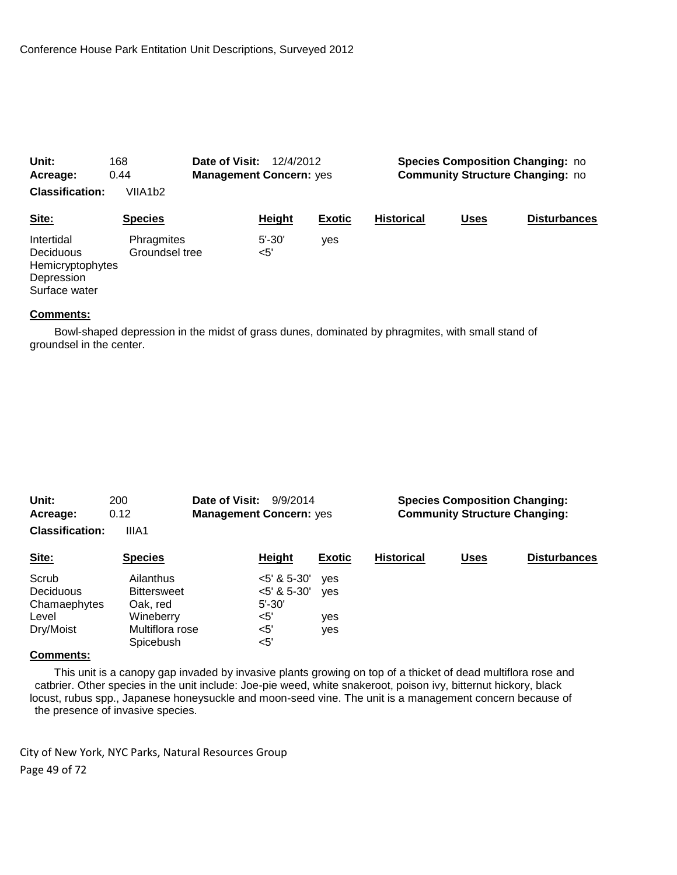| Unit:                                                                      | 168                          | Date of Visit:<br>12/4/2012    |                   |                                         | <b>Species Composition Changing: no</b> |      |                     |
|----------------------------------------------------------------------------|------------------------------|--------------------------------|-------------------|-----------------------------------------|-----------------------------------------|------|---------------------|
| Acreage:                                                                   | 0.44                         | <b>Management Concern: yes</b> |                   | <b>Community Structure Changing: no</b> |                                         |      |                     |
| <b>Classification:</b>                                                     | VIIA1b2                      |                                |                   |                                         |                                         |      |                     |
| Site:                                                                      | <b>Species</b>               |                                | <b>Height</b>     | <b>Exotic</b>                           | <b>Historical</b>                       | Uses | <b>Disturbances</b> |
| Intertidal<br>Deciduous<br>Hemicryptophytes<br>Depression<br>Surface water | Phragmites<br>Groundsel tree |                                | $5' - 30'$<br><5' | ves                                     |                                         |      |                     |

 Bowl-shaped depression in the midst of grass dunes, dominated by phragmites, with small stand of groundsel in the center.

| Unit:<br>200<br>0.12<br>Acreage:<br><b>Classification:</b><br>IIIA1 |                                                                                          | Date of Visit:<br><b>Management Concern: yes</b> | 9/9/2014                                                            |                   | <b>Species Composition Changing:</b><br><b>Community Structure Changing:</b> |                     |  |  |
|---------------------------------------------------------------------|------------------------------------------------------------------------------------------|--------------------------------------------------|---------------------------------------------------------------------|-------------------|------------------------------------------------------------------------------|---------------------|--|--|
| Site:                                                               | <b>Species</b>                                                                           | Height                                           | <b>Exotic</b>                                                       | <b>Historical</b> | <b>Uses</b>                                                                  | <b>Disturbances</b> |  |  |
| Scrub<br><b>Deciduous</b><br>Chamaephytes<br>Level<br>Dry/Moist     | Ailanthus<br><b>Bittersweet</b><br>Oak, red<br>Wineberry<br>Multiflora rose<br>Spicebush | $5' - 30'$<br>$<$ 5'<br>$<$ 5'<br>$<$ 5'         | $<$ 5' & 5-30'<br>ves<br>$<$ 5' & 5-30'<br><b>ves</b><br>yes<br>yes |                   |                                                                              |                     |  |  |

#### **Comments:**

 This unit is a canopy gap invaded by invasive plants growing on top of a thicket of dead multiflora rose and catbrier. Other species in the unit include: Joe-pie weed, white snakeroot, poison ivy, bitternut hickory, black locust, rubus spp., Japanese honeysuckle and moon-seed vine. The unit is a management concern because of the presence of invasive species.

City of New York, NYC Parks, Natural Resources Group Page 49 of 72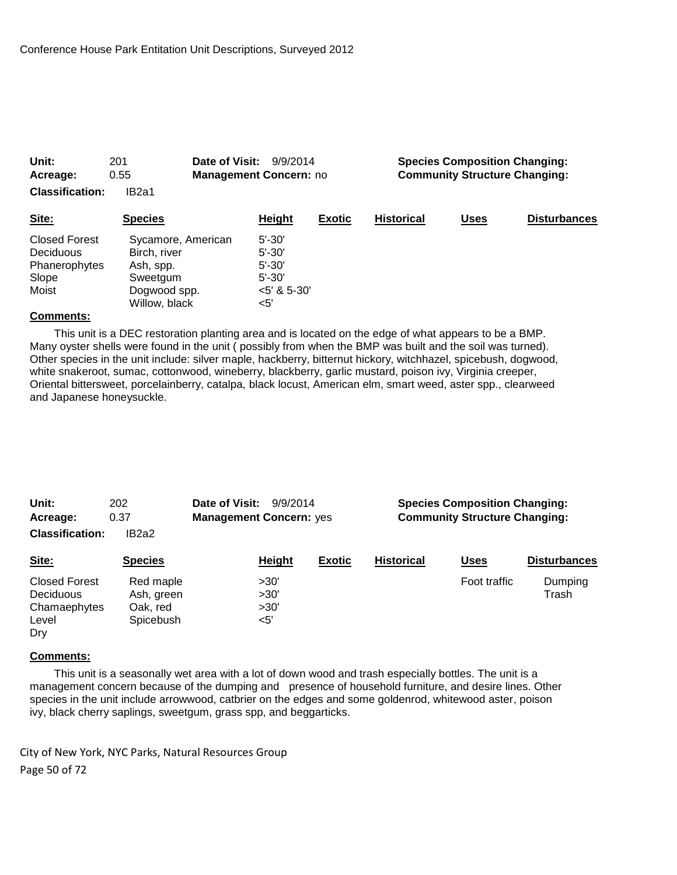| Unit:<br>201<br>0.55<br>Acreage:<br><b>Classification:</b><br>IB <sub>2</sub> a1 |                                                                                              | Date of Visit:<br><b>Management Concern: no</b> | 9/9/2014                                                                    |               | <b>Species Composition Changing:</b><br><b>Community Structure Changing:</b> |             |                     |  |
|----------------------------------------------------------------------------------|----------------------------------------------------------------------------------------------|-------------------------------------------------|-----------------------------------------------------------------------------|---------------|------------------------------------------------------------------------------|-------------|---------------------|--|
| Site:                                                                            | <b>Species</b>                                                                               |                                                 | Height                                                                      | <b>Exotic</b> | <b>Historical</b>                                                            | <b>Uses</b> | <b>Disturbances</b> |  |
| <b>Closed Forest</b><br>Deciduous<br>Phanerophytes<br>Slope<br>Moist             | Sycamore, American<br>Birch, river<br>Ash, spp.<br>Sweetgum<br>Dogwood spp.<br>Willow, black |                                                 | $5' - 30'$<br>$5' - 30'$<br>$5' - 30'$<br>$5' - 30'$<br>$5'$ & 5-30'<br><5' |               |                                                                              |             |                     |  |

 This unit is a DEC restoration planting area and is located on the edge of what appears to be a BMP. Many oyster shells were found in the unit ( possibly from when the BMP was built and the soil was turned). Other species in the unit include: silver maple, hackberry, bitternut hickory, witchhazel, spicebush, dogwood, white snakeroot, sumac, cottonwood, wineberry, blackberry, garlic mustard, poison ivy, Virginia creeper, Oriental bittersweet, porcelainberry, catalpa, black locust, American elm, smart weed, aster spp., clearweed and Japanese honeysuckle.

| Unit:<br>Acreage:                                          | 202<br>0.37                                      | Date of Visit:<br>9/9/2014<br><b>Management Concern: yes</b> |                             |               | <b>Species Composition Changing:</b><br><b>Community Structure Changing:</b> |              |                     |  |
|------------------------------------------------------------|--------------------------------------------------|--------------------------------------------------------------|-----------------------------|---------------|------------------------------------------------------------------------------|--------------|---------------------|--|
| <b>Classification:</b>                                     | IB <sub>2</sub> a <sub>2</sub>                   |                                                              |                             |               |                                                                              |              |                     |  |
| Site:                                                      | <b>Species</b>                                   |                                                              | Height                      | <b>Exotic</b> | <b>Historical</b>                                                            | <u>Uses</u>  | <b>Disturbances</b> |  |
| Closed Forest<br>Deciduous<br>Chamaephytes<br>Level<br>Dry | Red maple<br>Ash, green<br>Oak. red<br>Spicebush |                                                              | >30'<br>>30'<br>>30'<br><5' |               |                                                                              | Foot traffic | Dumping<br>Trash    |  |

#### **Comments:**

 This unit is a seasonally wet area with a lot of down wood and trash especially bottles. The unit is a management concern because of the dumping and presence of household furniture, and desire lines. Other species in the unit include arrowwood, catbrier on the edges and some goldenrod, whitewood aster, poison ivy, black cherry saplings, sweetgum, grass spp, and beggarticks.

City of New York, NYC Parks, Natural Resources Group Page 50 of 72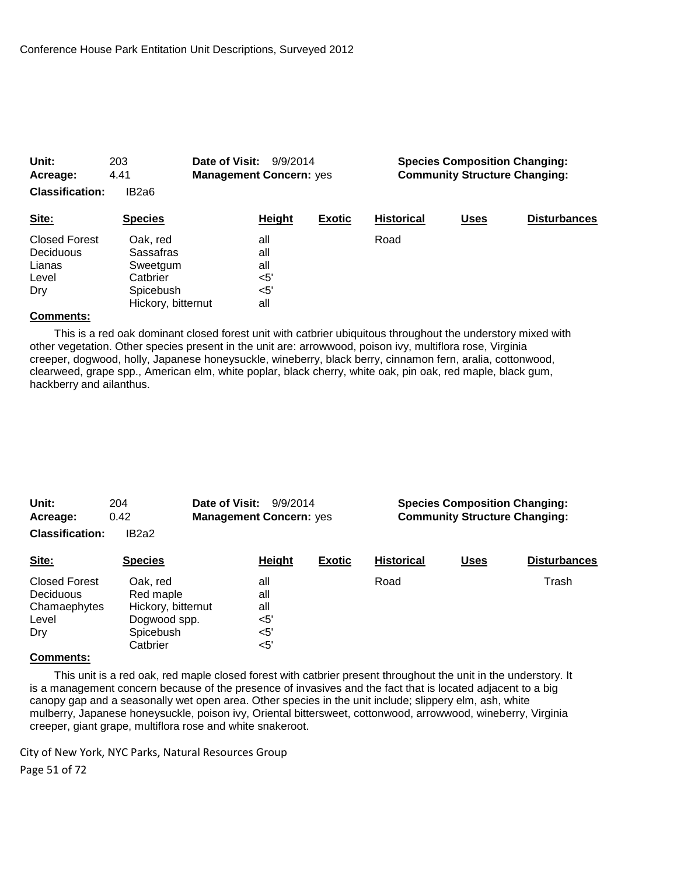| Unit:<br>Acreage:      | Date of Visit:<br>203<br>9/9/2014<br>4.41<br><b>Management Concern: yes</b> |        |               | <b>Species Composition Changing:</b><br><b>Community Structure Changing:</b> |             |                     |  |
|------------------------|-----------------------------------------------------------------------------|--------|---------------|------------------------------------------------------------------------------|-------------|---------------------|--|
| <b>Classification:</b> | IB2a6                                                                       |        |               |                                                                              |             |                     |  |
| Site:                  | <b>Species</b>                                                              | Height | <b>Exotic</b> | <b>Historical</b>                                                            | <b>Uses</b> | <b>Disturbances</b> |  |
| <b>Closed Forest</b>   | Oak. red                                                                    | all    |               | Road                                                                         |             |                     |  |
| Deciduous              | Sassafras                                                                   | all    |               |                                                                              |             |                     |  |
| Lianas                 | Sweetgum                                                                    | all    |               |                                                                              |             |                     |  |
| Level                  | Catbrier                                                                    | <5'    |               |                                                                              |             |                     |  |
| Dry                    | Spicebush                                                                   | <5'    |               |                                                                              |             |                     |  |
|                        | Hickory, bitternut                                                          | all    |               |                                                                              |             |                     |  |

 This is a red oak dominant closed forest unit with catbrier ubiquitous throughout the understory mixed with other vegetation. Other species present in the unit are: arrowwood, poison ivy, multiflora rose, Virginia creeper, dogwood, holly, Japanese honeysuckle, wineberry, black berry, cinnamon fern, aralia, cottonwood, clearweed, grape spp., American elm, white poplar, black cherry, white oak, pin oak, red maple, black gum, hackberry and ailanthus.

| Unit:<br>Acreage:      | Date of Visit:<br>204<br>9/9/2014<br>0.42<br><b>Management Concern: yes</b> |               | <b>Species Composition Changing:</b><br><b>Community Structure Changing:</b> |                   |             |                     |
|------------------------|-----------------------------------------------------------------------------|---------------|------------------------------------------------------------------------------|-------------------|-------------|---------------------|
| <b>Classification:</b> | IB <sub>2a2</sub>                                                           |               |                                                                              |                   |             |                     |
| Site:                  | <b>Species</b>                                                              | <b>Height</b> | <b>Exotic</b>                                                                | <b>Historical</b> | <b>Uses</b> | <b>Disturbances</b> |
| Closed Forest          | Oak, red                                                                    | all           |                                                                              | Road              |             | Trash               |
| <b>Deciduous</b>       | Red maple                                                                   | all           |                                                                              |                   |             |                     |
| Chamaephytes           | Hickory, bitternut                                                          | all           |                                                                              |                   |             |                     |
| Level                  | Dogwood spp.                                                                | $<$ 5'        |                                                                              |                   |             |                     |
| Dry                    | Spicebush                                                                   | $<$ 5'        |                                                                              |                   |             |                     |
|                        | Catbrier                                                                    | <5'           |                                                                              |                   |             |                     |
| Gamma                  |                                                                             |               |                                                                              |                   |             |                     |

#### **Comments:**

 This unit is a red oak, red maple closed forest with catbrier present throughout the unit in the understory. It is a management concern because of the presence of invasives and the fact that is located adjacent to a big canopy gap and a seasonally wet open area. Other species in the unit include; slippery elm, ash, white mulberry, Japanese honeysuckle, poison ivy, Oriental bittersweet, cottonwood, arrowwood, wineberry, Virginia creeper, giant grape, multiflora rose and white snakeroot.

City of New York, NYC Parks, Natural Resources Group Page 51 of 72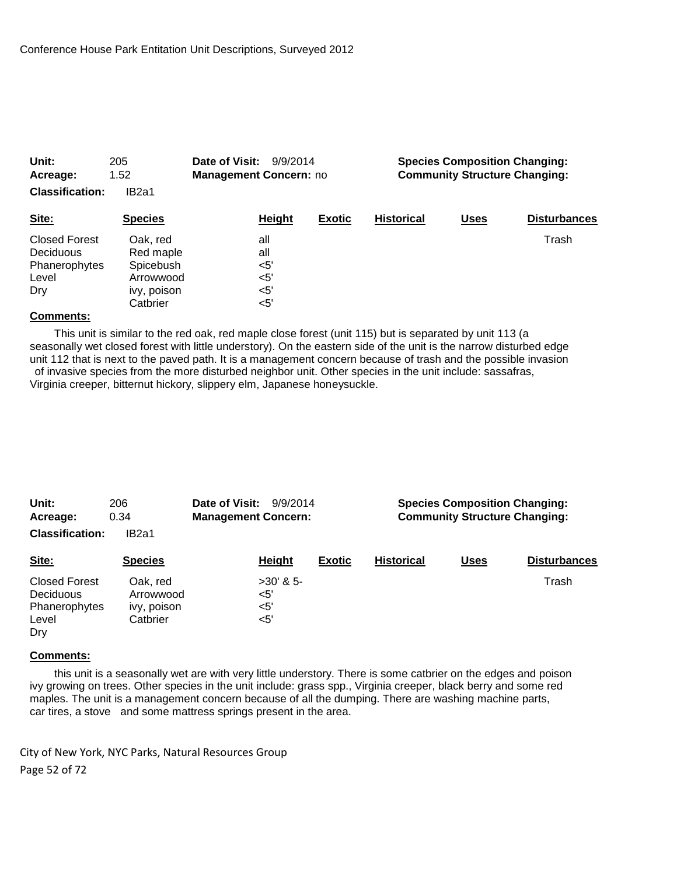| Unit:<br>Acreage:<br><b>Classification:</b>                               | Date of Visit:<br>205<br>9/9/2014<br>1.52<br><b>Management Concern: no</b><br>IB <sub>2a1</sub> |  |                                                 | <b>Species Composition Changing:</b><br><b>Community Structure Changing:</b> |                   |             |                     |
|---------------------------------------------------------------------------|-------------------------------------------------------------------------------------------------|--|-------------------------------------------------|------------------------------------------------------------------------------|-------------------|-------------|---------------------|
| Site:                                                                     | <b>Species</b>                                                                                  |  | Height                                          | <b>Exotic</b>                                                                | <b>Historical</b> | <b>Uses</b> | <b>Disturbances</b> |
| <b>Closed Forest</b><br><b>Deciduous</b><br>Phanerophytes<br>Level<br>Dry | Oak, red<br>Red maple<br>Spicebush<br>Arrowwood<br>ivy, poison<br>Catbrier                      |  | all<br>all<br>$<$ 5'<br>$<$ 5'<br>$<$ 5'<br><5' |                                                                              |                   |             | Trash               |

 This unit is similar to the red oak, red maple close forest (unit 115) but is separated by unit 113 (a seasonally wet closed forest with little understory). On the eastern side of the unit is the narrow disturbed edge unit 112 that is next to the paved path. It is a management concern because of trash and the possible invasion of invasive species from the more disturbed neighbor unit. Other species in the unit include: sassafras, Virginia creeper, bitternut hickory, slippery elm, Japanese honeysuckle.

| Unit:<br>Acreage:                                                  | 206<br>0.34                                      | Date of Visit:<br>9/9/2014<br><b>Management Concern:</b> |               | <b>Species Composition Changing:</b><br><b>Community Structure Changing:</b> |             |                     |  |
|--------------------------------------------------------------------|--------------------------------------------------|----------------------------------------------------------|---------------|------------------------------------------------------------------------------|-------------|---------------------|--|
| <b>Classification:</b>                                             | IB <sub>2a1</sub>                                |                                                          |               |                                                                              |             |                     |  |
| Site:                                                              | <b>Species</b>                                   | Height                                                   | <b>Exotic</b> | <b>Historical</b>                                                            | <b>Uses</b> | <b>Disturbances</b> |  |
| <b>Closed Forest</b><br>Deciduous<br>Phanerophytes<br>Level<br>Dry | Oak. red<br>Arrowwood<br>ivy, poison<br>Catbrier | $>30'$ & 5-<br>$<$ 5'<br><5'<br><5'                      |               |                                                                              |             | Trash               |  |

#### **Comments:**

 this unit is a seasonally wet are with very little understory. There is some catbrier on the edges and poison ivy growing on trees. Other species in the unit include: grass spp., Virginia creeper, black berry and some red maples. The unit is a management concern because of all the dumping. There are washing machine parts, car tires, a stove and some mattress springs present in the area.

City of New York, NYC Parks, Natural Resources Group Page 52 of 72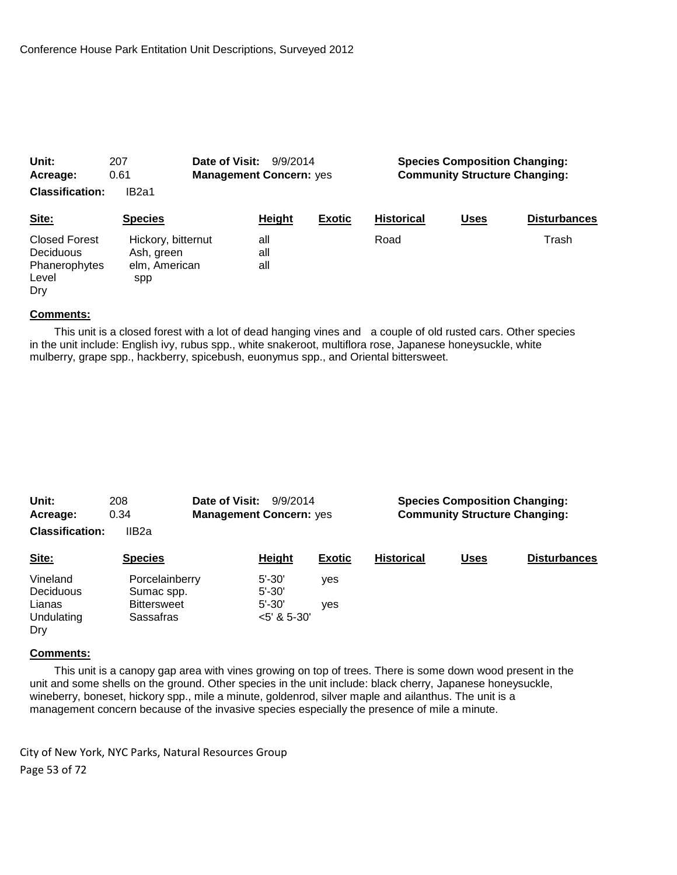| Unit:                                                                     | Date of Visit:<br>207                                    |                                | 9/9/2014 |                                      | <b>Species Composition Changing:</b> |             |                     |
|---------------------------------------------------------------------------|----------------------------------------------------------|--------------------------------|----------|--------------------------------------|--------------------------------------|-------------|---------------------|
| Acreage:                                                                  | 0.61                                                     | <b>Management Concern: yes</b> |          | <b>Community Structure Changing:</b> |                                      |             |                     |
| <b>Classification:</b>                                                    | IB <sub>2a1</sub>                                        |                                |          |                                      |                                      |             |                     |
| Site:                                                                     | <b>Species</b>                                           |                                | Height   | <b>Exotic</b>                        | <b>Historical</b>                    | <u>Uses</u> | <b>Disturbances</b> |
| <b>Closed Forest</b><br><b>Deciduous</b><br>Phanerophytes<br>Level<br>Dry | Hickory, bitternut<br>Ash, green<br>elm, American<br>spp | all<br>all<br>all              |          |                                      | Road                                 |             | Trash               |

 This unit is a closed forest with a lot of dead hanging vines and a couple of old rusted cars. Other species in the unit include: English ivy, rubus spp., white snakeroot, multiflora rose, Japanese honeysuckle, white mulberry, grape spp., hackberry, spicebush, euonymus spp., and Oriental bittersweet.

| Unit:<br>208                 |                              | Date of Visit:<br>9/9/2014     |                          |                                      | <b>Species Composition Changing:</b> |             |                     |  |
|------------------------------|------------------------------|--------------------------------|--------------------------|--------------------------------------|--------------------------------------|-------------|---------------------|--|
| Acreage:                     | 0.34                         | <b>Management Concern: yes</b> |                          | <b>Community Structure Changing:</b> |                                      |             |                     |  |
| <b>Classification:</b>       | IIB <sub>2a</sub>            |                                |                          |                                      |                                      |             |                     |  |
| Site:                        | <b>Species</b>               |                                | Height                   | <b>Exotic</b>                        | <b>Historical</b>                    | <b>Uses</b> | <b>Disturbances</b> |  |
| Vineland<br><b>Deciduous</b> | Porcelainberry<br>Sumac spp. |                                | $5' - 30'$<br>$5' - 30'$ | yes                                  |                                      |             |                     |  |
| Lianas                       | <b>Bittersweet</b>           |                                | $5' - 30'$               | ves                                  |                                      |             |                     |  |
| Undulating<br>Drv            | Sassafras                    |                                | $<$ 5' & 5-30'           |                                      |                                      |             |                     |  |

### **Comments:**

 This unit is a canopy gap area with vines growing on top of trees. There is some down wood present in the unit and some shells on the ground. Other species in the unit include: black cherry, Japanese honeysuckle, wineberry, boneset, hickory spp., mile a minute, goldenrod, silver maple and ailanthus. The unit is a management concern because of the invasive species especially the presence of mile a minute.

City of New York, NYC Parks, Natural Resources Group Page 53 of 72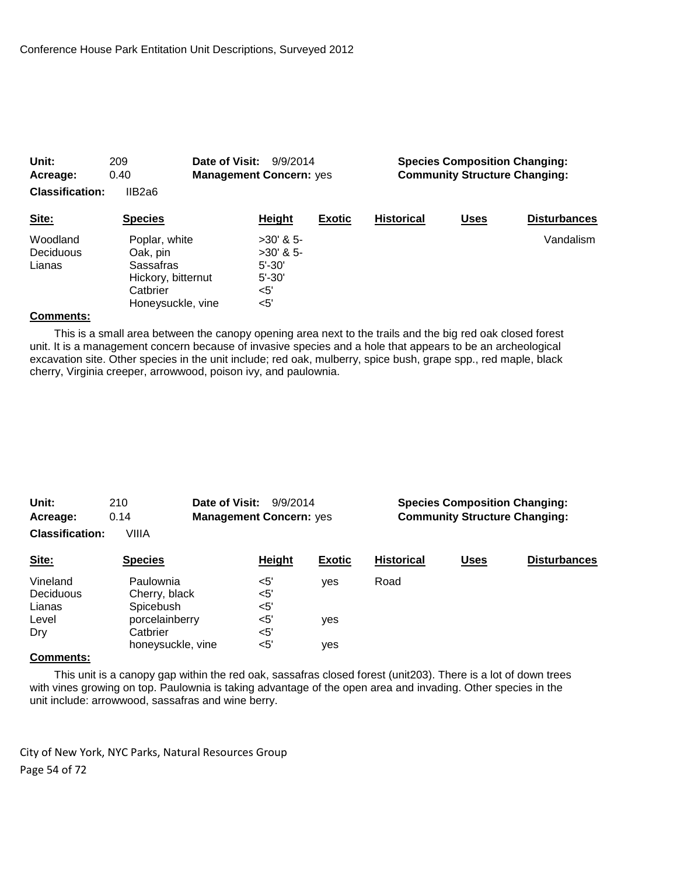| Unit:<br>Acreage:               | 209<br>0.40                                                                                   | Date of Visit:<br>9/9/2014<br><b>Management Concern: yes</b>               |               |                   | <b>Species Composition Changing:</b><br><b>Community Structure Changing:</b> |                     |  |  |
|---------------------------------|-----------------------------------------------------------------------------------------------|----------------------------------------------------------------------------|---------------|-------------------|------------------------------------------------------------------------------|---------------------|--|--|
| <b>Classification:</b>          | IIB2a6                                                                                        |                                                                            |               |                   |                                                                              |                     |  |  |
| Site:                           | <b>Species</b>                                                                                | <b>Height</b>                                                              | <b>Exotic</b> | <b>Historical</b> | <b>Uses</b>                                                                  | <b>Disturbances</b> |  |  |
| Woodland<br>Deciduous<br>Lianas | Poplar, white<br>Oak, pin<br>Sassafras<br>Hickory, bitternut<br>Catbrier<br>Honeysuckle, vine | $>30'$ & 5-<br>$>30'$ & 5-<br>$5' - 30'$<br>$5' - 30'$<br>$<$ 5'<br>$<$ 5' |               |                   |                                                                              | Vandalism           |  |  |

 This is a small area between the canopy opening area next to the trails and the big red oak closed forest unit. It is a management concern because of invasive species and a hole that appears to be an archeological excavation site. Other species in the unit include; red oak, mulberry, spice bush, grape spp., red maple, black cherry, Virginia creeper, arrowwood, poison ivy, and paulownia.

| Unit:                  | 210               | Date of Visit:<br>9/9/2014     | <b>Species Composition Changing:</b> |                   |             |                     |
|------------------------|-------------------|--------------------------------|--------------------------------------|-------------------|-------------|---------------------|
| Acreage:               | 0.14              | <b>Management Concern: yes</b> | <b>Community Structure Changing:</b> |                   |             |                     |
| <b>Classification:</b> | VIIIA             |                                |                                      |                   |             |                     |
| Site:                  | <b>Species</b>    | Height                         | <b>Exotic</b>                        | <b>Historical</b> | <b>Uses</b> | <b>Disturbances</b> |
| Vineland               | Paulownia         | $<$ 5'                         | ves                                  | Road              |             |                     |
| Deciduous              | Cherry, black     | $<$ 5'                         |                                      |                   |             |                     |
| Lianas                 | Spicebush         | $<$ 5'                         |                                      |                   |             |                     |
| Level                  | porcelainberry    | $<$ 5'                         | yes                                  |                   |             |                     |
| Dry                    | Catbrier          | $<$ 5'                         |                                      |                   |             |                     |
|                        | honeysuckle, vine | $<$ 5'                         | ves                                  |                   |             |                     |

## **Comments:**

 This unit is a canopy gap within the red oak, sassafras closed forest (unit203). There is a lot of down trees with vines growing on top. Paulownia is taking advantage of the open area and invading. Other species in the unit include: arrowwood, sassafras and wine berry.

City of New York, NYC Parks, Natural Resources Group Page 54 of 72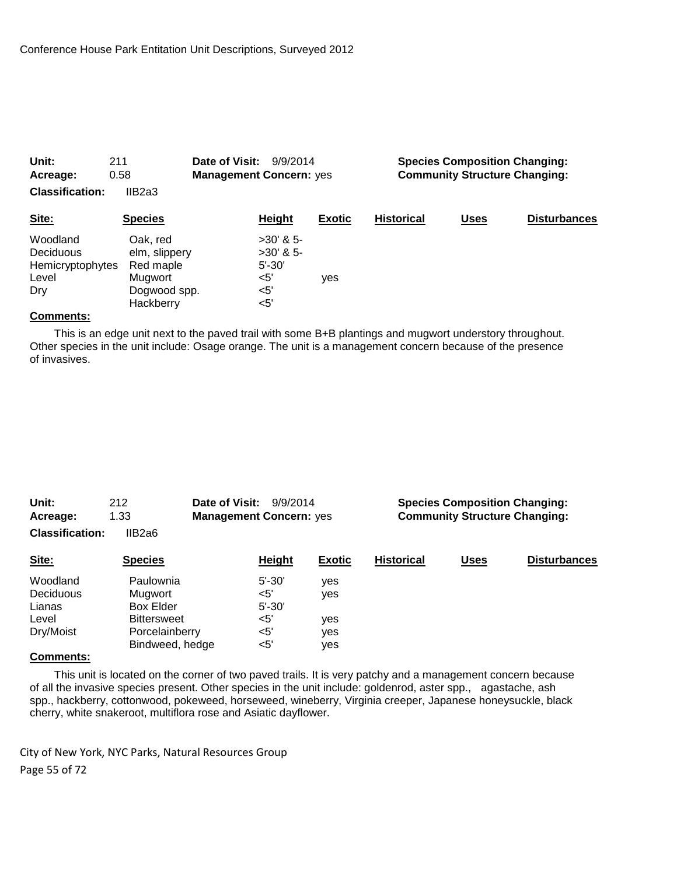| Unit:<br>211<br>0.58<br>Acreage:<br><b>Classification:</b><br>IIB2a3 |                                                                                | Date of Visit:<br>9/9/2014<br><b>Management Concern: yes</b> |                                          |               | <b>Species Composition Changing:</b><br><b>Community Structure Changing:</b> |             |                     |  |
|----------------------------------------------------------------------|--------------------------------------------------------------------------------|--------------------------------------------------------------|------------------------------------------|---------------|------------------------------------------------------------------------------|-------------|---------------------|--|
| Site:                                                                | <b>Species</b>                                                                 |                                                              | Height                                   | <b>Exotic</b> | <b>Historical</b>                                                            | <b>Uses</b> | <b>Disturbances</b> |  |
| Woodland<br>Deciduous<br>Hemicryptophytes<br>Level<br>Dry            | Oak. red<br>elm, slippery<br>Red maple<br>Mugwort<br>Dogwood spp.<br>Hackberry | <5'<br>$<$ 5'<br><5'                                         | $>30'$ & 5-<br>$>30'$ & 5-<br>$5' - 30'$ | yes           |                                                                              |             |                     |  |

 This is an edge unit next to the paved trail with some B+B plantings and mugwort understory throughout. Other species in the unit include: Osage orange. The unit is a management concern because of the presence of invasives.

| Unit:<br>212<br>1.33<br>Acreage: |                                        | Date of Visit:<br>9/9/2014<br><b>Management Concern: yes</b> |                          | <b>Species Composition Changing:</b><br><b>Community Structure Changing:</b> |             |                     |  |
|----------------------------------|----------------------------------------|--------------------------------------------------------------|--------------------------|------------------------------------------------------------------------------|-------------|---------------------|--|
| <b>Classification:</b>           | IIB2a6                                 |                                                              |                          |                                                                              |             |                     |  |
| Site:                            | <b>Species</b>                         | Height                                                       | <b>Exotic</b>            | <b>Historical</b>                                                            | <b>Uses</b> | <b>Disturbances</b> |  |
| Woodland<br>Deciduous            | Paulownia<br>Mugwort                   | $5' - 30'$<br><5'                                            | <b>ves</b><br><b>ves</b> |                                                                              |             |                     |  |
| Lianas<br>Level                  | <b>Box Elder</b><br><b>Bittersweet</b> | $5' - 30'$<br>$5'$                                           | ves                      |                                                                              |             |                     |  |
| Dry/Moist                        | Porcelainberry<br>Bindweed, hedge      | $5'$<br><5'                                                  | ves<br>ves               |                                                                              |             |                     |  |

### **Comments:**

 This unit is located on the corner of two paved trails. It is very patchy and a management concern because of all the invasive species present. Other species in the unit include: goldenrod, aster spp., agastache, ash spp., hackberry, cottonwood, pokeweed, horseweed, wineberry, Virginia creeper, Japanese honeysuckle, black cherry, white snakeroot, multiflora rose and Asiatic dayflower.

City of New York, NYC Parks, Natural Resources Group Page 55 of 72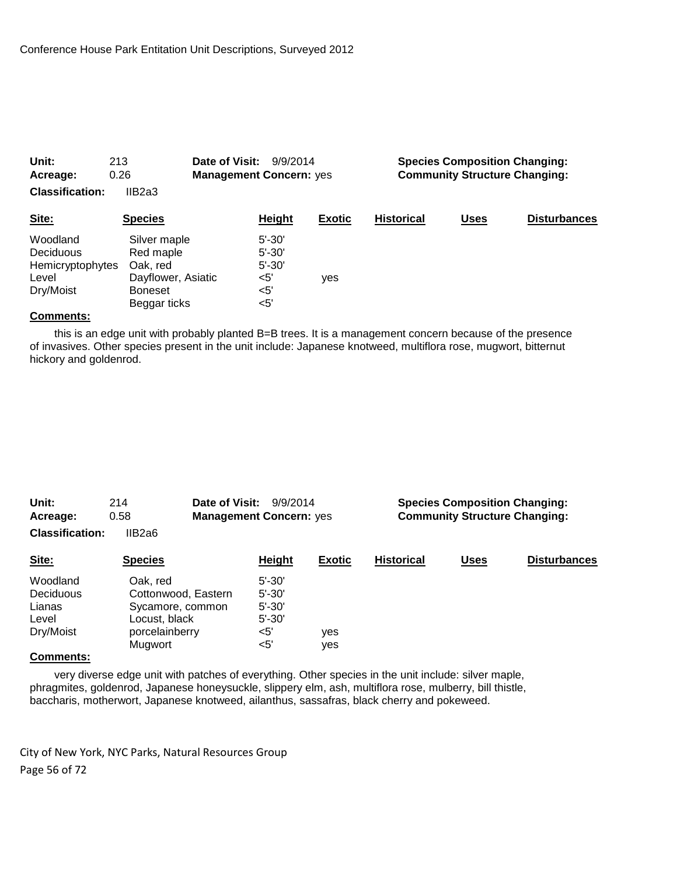| Unit:<br>213<br>0.26<br>Acreage:<br><b>Classification:</b><br>IIB2a3 |                                                                                               | Date of Visit:<br>9/9/2014<br><b>Management Concern: yes</b> |                                                              |               | <b>Species Composition Changing:</b><br><b>Community Structure Changing:</b> |             |                     |  |
|----------------------------------------------------------------------|-----------------------------------------------------------------------------------------------|--------------------------------------------------------------|--------------------------------------------------------------|---------------|------------------------------------------------------------------------------|-------------|---------------------|--|
| Site:                                                                | <b>Species</b>                                                                                |                                                              | <b>Height</b>                                                | <b>Exotic</b> | <b>Historical</b>                                                            | <u>Uses</u> | <b>Disturbances</b> |  |
| Woodland<br>Deciduous<br>Hemicryptophytes<br>Level<br>Dry/Moist      | Silver maple<br>Red maple<br>Oak. red<br>Dayflower, Asiatic<br><b>Boneset</b><br>Beggar ticks |                                                              | $5' - 30'$<br>$5' - 30'$<br>$5' - 30'$<br>$5'$<br><5'<br><5' | yes           |                                                                              |             |                     |  |

 this is an edge unit with probably planted B=B trees. It is a management concern because of the presence of invasives. Other species present in the unit include: Japanese knotweed, multiflora rose, mugwort, bitternut hickory and goldenrod.

| Unit:<br>Acreage:      | 214<br>0.58         | Date of Visit:<br>9/9/2014<br><b>Management Concern: yes</b> |               |                   | <b>Species Composition Changing:</b><br><b>Community Structure Changing:</b> |                     |  |  |
|------------------------|---------------------|--------------------------------------------------------------|---------------|-------------------|------------------------------------------------------------------------------|---------------------|--|--|
| <b>Classification:</b> | IIB2a6              |                                                              |               |                   |                                                                              |                     |  |  |
| Site:                  | <b>Species</b>      | Height                                                       | <b>Exotic</b> | <b>Historical</b> | <b>Uses</b>                                                                  | <b>Disturbances</b> |  |  |
| Woodland               | Oak. red            | $5' - 30'$                                                   |               |                   |                                                                              |                     |  |  |
| Deciduous              | Cottonwood, Eastern | $5' - 30'$                                                   |               |                   |                                                                              |                     |  |  |
| Lianas                 | Sycamore, common    | $5' - 30'$                                                   |               |                   |                                                                              |                     |  |  |
| Level                  | Locust, black       | $5' - 30'$                                                   |               |                   |                                                                              |                     |  |  |
| Dry/Moist              | porcelainberry      | $<$ 5'                                                       | yes           |                   |                                                                              |                     |  |  |
|                        | Mugwort             | $<$ 5'                                                       | yes           |                   |                                                                              |                     |  |  |
| $P$ and the analysis   |                     |                                                              |               |                   |                                                                              |                     |  |  |

#### **Comments:**

 very diverse edge unit with patches of everything. Other species in the unit include: silver maple, phragmites, goldenrod, Japanese honeysuckle, slippery elm, ash, multiflora rose, mulberry, bill thistle, baccharis, motherwort, Japanese knotweed, ailanthus, sassafras, black cherry and pokeweed.

City of New York, NYC Parks, Natural Resources Group Page 56 of 72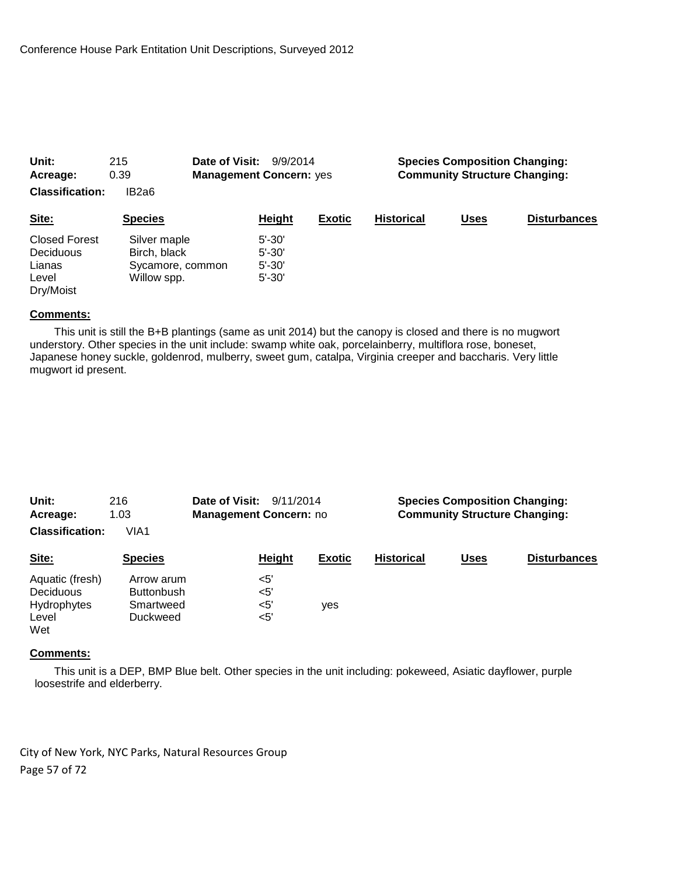| Unit:                  | 215              | Date of Visit:<br>9/9/2014     |               |                   | <b>Species Composition Changing:</b> |                     |  |  |
|------------------------|------------------|--------------------------------|---------------|-------------------|--------------------------------------|---------------------|--|--|
| Acreage:               | 0.39             | <b>Management Concern: yes</b> |               |                   | <b>Community Structure Changing:</b> |                     |  |  |
| <b>Classification:</b> | IB2a6            |                                |               |                   |                                      |                     |  |  |
| Site:                  | <b>Species</b>   | Height                         | <b>Exotic</b> | <b>Historical</b> | <b>Uses</b>                          | <b>Disturbances</b> |  |  |
| <b>Closed Forest</b>   | Silver maple     | $5' - 30'$                     |               |                   |                                      |                     |  |  |
| Deciduous              | Birch, black     | $5' - 30'$                     |               |                   |                                      |                     |  |  |
| Lianas                 | Sycamore, common | $5' - 30'$                     |               |                   |                                      |                     |  |  |
| Level                  | Willow spp.      | $5' - 30'$                     |               |                   |                                      |                     |  |  |
| Dry/Moist              |                  |                                |               |                   |                                      |                     |  |  |

 This unit is still the B+B plantings (same as unit 2014) but the canopy is closed and there is no mugwort understory. Other species in the unit include: swamp white oak, porcelainberry, multiflora rose, boneset, Japanese honey suckle, goldenrod, mulberry, sweet gum, catalpa, Virginia creeper and baccharis. Very little mugwort id present.

| Unit:<br>Acreage:                                           | 216<br>1.03                                              | Date of Visit:<br>9/11/2014<br><b>Management Concern: no</b> |                                  |               | <b>Species Composition Changing:</b><br><b>Community Structure Changing:</b> |             |                     |  |
|-------------------------------------------------------------|----------------------------------------------------------|--------------------------------------------------------------|----------------------------------|---------------|------------------------------------------------------------------------------|-------------|---------------------|--|
| <b>Classification:</b>                                      | VIA1                                                     |                                                              |                                  |               |                                                                              |             |                     |  |
| Site:                                                       | <b>Species</b>                                           |                                                              | Height                           | <b>Exotic</b> | <b>Historical</b>                                                            | <b>Uses</b> | <b>Disturbances</b> |  |
| Aquatic (fresh)<br>Deciduous<br>Hydrophytes<br>Level<br>Wet | Arrow arum<br><b>Buttonbush</b><br>Smartweed<br>Duckweed |                                                              | $5'$<br>$<$ 5'<br>$5'$<br>$<$ 5' | <b>ves</b>    |                                                                              |             |                     |  |

### **Comments:**

 This unit is a DEP, BMP Blue belt. Other species in the unit including: pokeweed, Asiatic dayflower, purple loosestrife and elderberry.

City of New York, NYC Parks, Natural Resources Group Page 57 of 72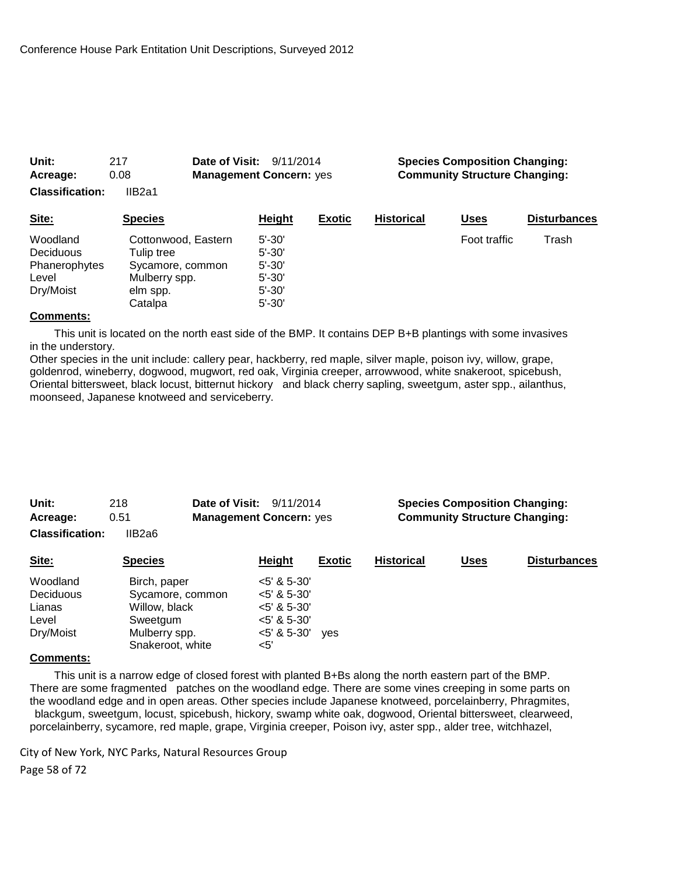| Acreage:               | 0.08                              | <b>Management Concern: yes</b> |               |                   | <b>Community Structure Changing:</b> |                     |  |  |
|------------------------|-----------------------------------|--------------------------------|---------------|-------------------|--------------------------------------|---------------------|--|--|
| <b>Classification:</b> | IIB2a1                            |                                |               |                   |                                      |                     |  |  |
| Site:                  | <b>Species</b>                    | Height                         | <b>Exotic</b> | <b>Historical</b> | <u>Uses</u>                          | <b>Disturbances</b> |  |  |
| Woodland<br>Deciduous  | Cottonwood, Eastern<br>Tulip tree | $5' - 30'$<br>$5' - 30'$       |               |                   | Foot traffic                         | Trash               |  |  |
| Phanerophytes<br>Level | Sycamore, common                  | $5' - 30'$<br>$5' - 30'$       |               |                   |                                      |                     |  |  |
| Dry/Moist              | Mulberry spp.<br>elm spp.         | $5' - 30'$                     |               |                   |                                      |                     |  |  |
|                        | Catalpa                           | $5' - 30'$                     |               |                   |                                      |                     |  |  |

**Unit:** 217 **Date of Visit:** 9/11/2014 **Species Composition Changing:**

#### **Comments:**

 This unit is located on the north east side of the BMP. It contains DEP B+B plantings with some invasives in the understory.

Other species in the unit include: callery pear, hackberry, red maple, silver maple, poison ivy, willow, grape, goldenrod, wineberry, dogwood, mugwort, red oak, Virginia creeper, arrowwood, white snakeroot, spicebush, Oriental bittersweet, black locust, bitternut hickory and black cherry sapling, sweetgum, aster spp., ailanthus, moonseed, Japanese knotweed and serviceberry.

| Unit:<br>Acreage:                                     | 218<br>0.51                                                                                        | Date of Visit:<br>9/11/2014<br><b>Management Concern: yes</b> |                                                                                             | <b>Species Composition Changing:</b><br><b>Community Structure Changing:</b> |             |                     |  |
|-------------------------------------------------------|----------------------------------------------------------------------------------------------------|---------------------------------------------------------------|---------------------------------------------------------------------------------------------|------------------------------------------------------------------------------|-------------|---------------------|--|
| <b>Classification:</b>                                | IIB2a6                                                                                             |                                                               |                                                                                             |                                                                              |             |                     |  |
| Site:                                                 | <b>Species</b>                                                                                     | <b>Height</b>                                                 | <b>Exotic</b>                                                                               | <b>Historical</b>                                                            | <b>Uses</b> | <b>Disturbances</b> |  |
| Woodland<br>Deciduous<br>Lianas<br>Level<br>Dry/Moist | Birch, paper<br>Sycamore, common<br>Willow, black<br>Sweetgum<br>Mulberry spp.<br>Snakeroot, white | <5'                                                           | $<5'$ & 5-30'<br>$<$ 5' & 5-30'<br>$<$ 5' & 5-30'<br>$<$ 5' & 5-30'<br>$<5'$ & 5-30'<br>ves |                                                                              |             |                     |  |

#### **Comments:**

 This unit is a narrow edge of closed forest with planted B+Bs along the north eastern part of the BMP. There are some fragmented patches on the woodland edge. There are some vines creeping in some parts on the woodland edge and in open areas. Other species include Japanese knotweed, porcelainberry, Phragmites, blackgum, sweetgum, locust, spicebush, hickory, swamp white oak, dogwood, Oriental bittersweet, clearweed, porcelainberry, sycamore, red maple, grape, Virginia creeper, Poison ivy, aster spp., alder tree, witchhazel,

City of New York, NYC Parks, Natural Resources Group Page 58 of 72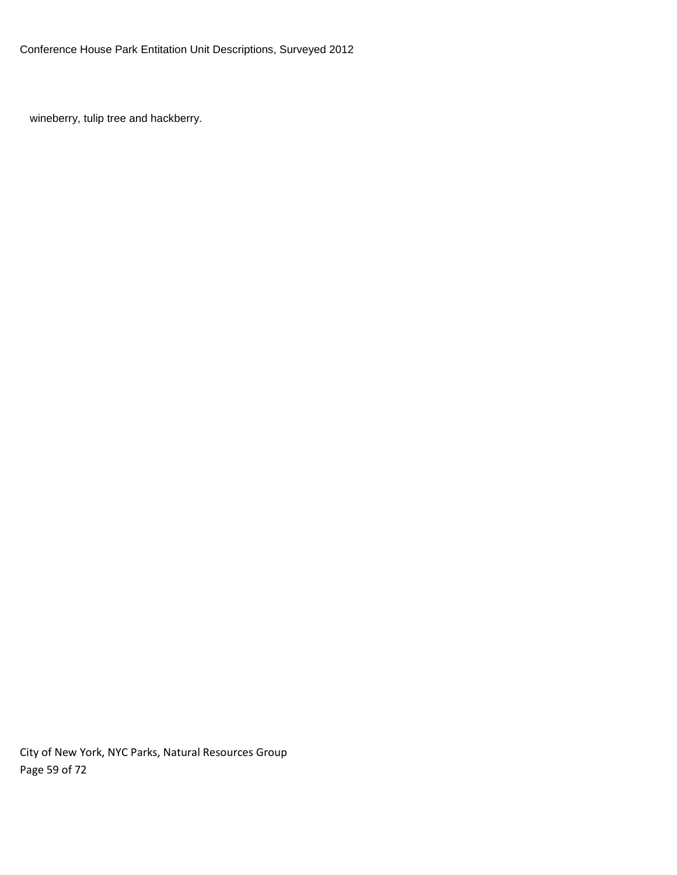wineberry, tulip tree and hackberry.

City of New York, NYC Parks, Natural Resources Group Page 59 of 72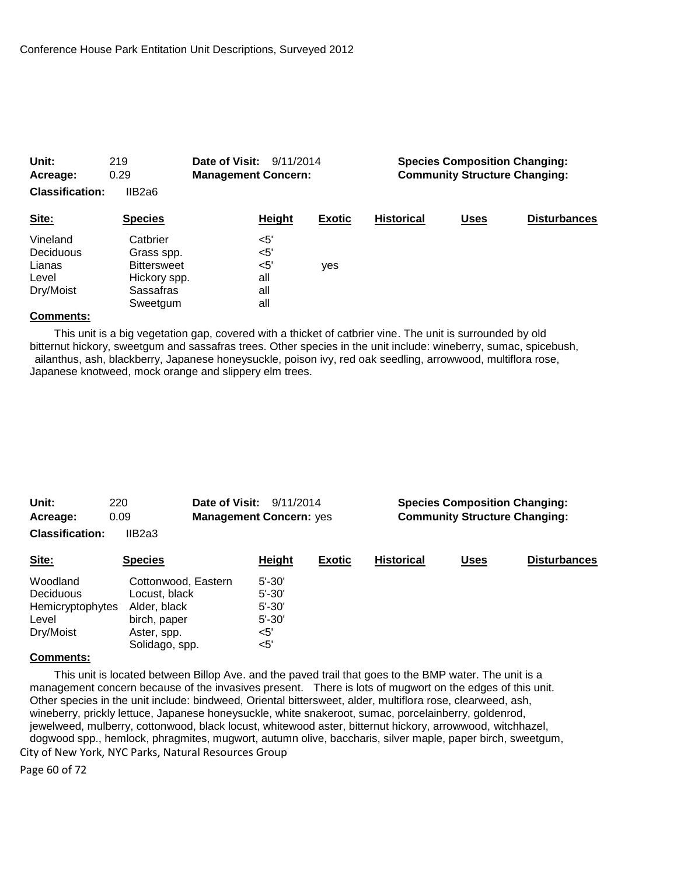| Unit:<br>219<br>0.29<br>Acreage:<br><b>Classification:</b><br>IIB2a6 |                                                                                       | Date of Visit:<br>9/11/2014<br><b>Management Concern:</b> |        |               | <b>Species Composition Changing:</b><br><b>Community Structure Changing:</b> |             |                     |  |
|----------------------------------------------------------------------|---------------------------------------------------------------------------------------|-----------------------------------------------------------|--------|---------------|------------------------------------------------------------------------------|-------------|---------------------|--|
| Site:                                                                | <b>Species</b>                                                                        |                                                           | Height | <b>Exotic</b> | <b>Historical</b>                                                            | <b>Uses</b> | <b>Disturbances</b> |  |
| Vineland<br>Deciduous<br>Lianas<br>Level<br>Dry/Moist                | Catbrier<br>Grass spp.<br><b>Bittersweet</b><br>Hickory spp.<br>Sassafras<br>Sweetgum | $<$ 5'<br>$<$ 5'<br>$<$ 5'<br>all<br>all<br>all           |        | yes           |                                                                              |             |                     |  |

 This unit is a big vegetation gap, covered with a thicket of catbrier vine. The unit is surrounded by old bitternut hickory, sweetgum and sassafras trees. Other species in the unit include: wineberry, sumac, spicebush, ailanthus, ash, blackberry, Japanese honeysuckle, poison ivy, red oak seedling, arrowwood, multiflora rose, Japanese knotweed, mock orange and slippery elm trees.

| Unit:                                                           | 220                                                                                                   | Date of Visit:<br>9/11/2014                                              |               | <b>Species Composition Changing:</b> |             |                     |  |
|-----------------------------------------------------------------|-------------------------------------------------------------------------------------------------------|--------------------------------------------------------------------------|---------------|--------------------------------------|-------------|---------------------|--|
| 0.09<br>Acreage:                                                |                                                                                                       | <b>Management Concern: yes</b>                                           |               | <b>Community Structure Changing:</b> |             |                     |  |
| <b>Classification:</b>                                          | IIB2a3                                                                                                |                                                                          |               |                                      |             |                     |  |
| Site:                                                           | <b>Species</b>                                                                                        | Height                                                                   | <b>Exotic</b> | <b>Historical</b>                    | <b>Uses</b> | <b>Disturbances</b> |  |
| Woodland<br>Deciduous<br>Hemicryptophytes<br>Level<br>Dry/Moist | Cottonwood, Eastern<br>Locust, black<br>Alder, black<br>birch, paper<br>Aster, spp.<br>Solidago, spp. | $5' - 30'$<br>$5' - 30'$<br>$5' - 30'$<br>$5' - 30'$<br>$<$ 5'<br>$<$ 5' |               |                                      |             |                     |  |

### **Comments:**

City of New York, NYC Parks, Natural Resources Group This unit is located between Billop Ave. and the paved trail that goes to the BMP water. The unit is a management concern because of the invasives present. There is lots of mugwort on the edges of this unit. Other species in the unit include: bindweed, Oriental bittersweet, alder, multiflora rose, clearweed, ash, wineberry, prickly lettuce, Japanese honeysuckle, white snakeroot, sumac, porcelainberry, goldenrod, jewelweed, mulberry, cottonwood, black locust, whitewood aster, bitternut hickory, arrowwood, witchhazel, dogwood spp., hemlock, phragmites, mugwort, autumn olive, baccharis, silver maple, paper birch, sweetgum,

Page 60 of 72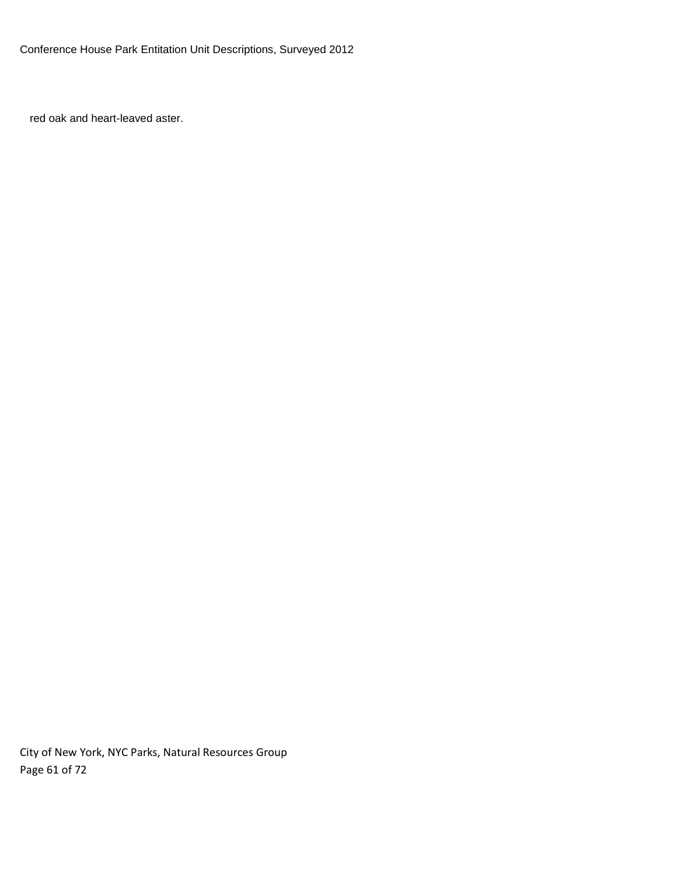red oak and heart-leaved aster.

City of New York, NYC Parks, Natural Resources Group Page 61 of 72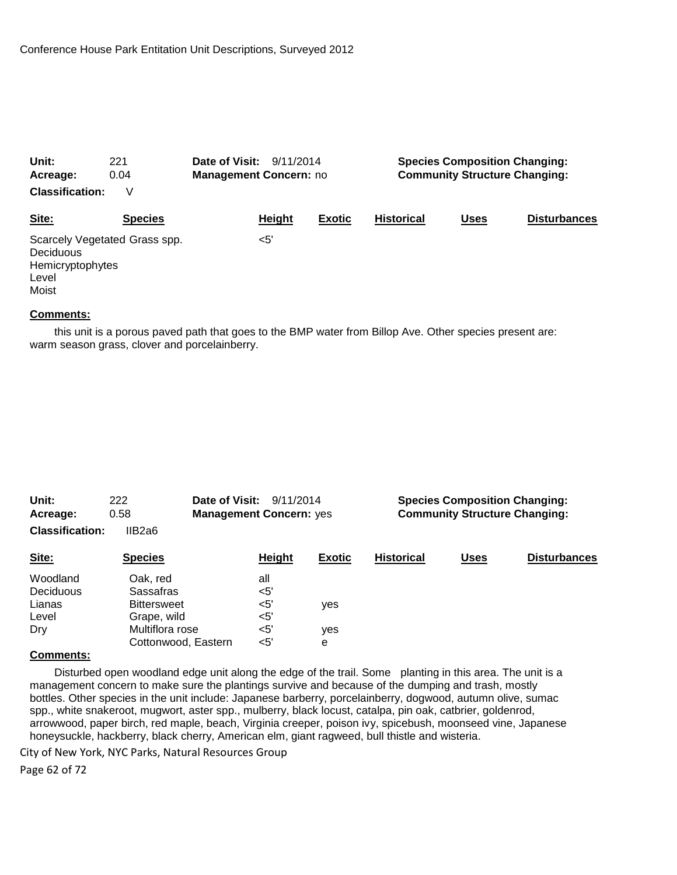| Unit:                                           | 221                           | <b>Date of Visit: 9/11/2014</b> |        | <b>Species Composition Changing:</b><br><b>Community Structure Changing:</b> |                   |             |                     |
|-------------------------------------------------|-------------------------------|---------------------------------|--------|------------------------------------------------------------------------------|-------------------|-------------|---------------------|
| Acreage:                                        | 0.04                          | <b>Management Concern: no</b>   |        |                                                                              |                   |             |                     |
| <b>Classification:</b>                          | V                             |                                 |        |                                                                              |                   |             |                     |
| Site:                                           | <b>Species</b>                |                                 | Height | <b>Exotic</b>                                                                | <b>Historical</b> | <b>Uses</b> | <b>Disturbances</b> |
| Deciduous<br>Hemicryptophytes<br>Level<br>Moist | Scarcely Vegetated Grass spp. |                                 | <5'    |                                                                              |                   |             |                     |

 this unit is a porous paved path that goes to the BMP water from Billop Ave. Other species present are: warm season grass, clover and porcelainberry.

| Unit:<br>Acreage:      | 222<br>0.58         | <b>Date of Visit: 9/11/2014</b><br><b>Management Concern: yes</b> |               | <b>Species Composition Changing:</b><br><b>Community Structure Changing:</b> |             |                     |  |
|------------------------|---------------------|-------------------------------------------------------------------|---------------|------------------------------------------------------------------------------|-------------|---------------------|--|
| <b>Classification:</b> | IIB <sub>2</sub> a6 |                                                                   |               |                                                                              |             |                     |  |
| Site:                  | <b>Species</b>      | Height                                                            | <b>Exotic</b> | <b>Historical</b>                                                            | <b>Uses</b> | <b>Disturbances</b> |  |
| Woodland               | Oak. red            | all                                                               |               |                                                                              |             |                     |  |
| Deciduous              | <b>Sassafras</b>    | $<$ 5'                                                            |               |                                                                              |             |                     |  |
| Lianas                 | <b>Bittersweet</b>  | $<$ 5'                                                            | yes           |                                                                              |             |                     |  |
| Level                  | Grape, wild         | $<$ 5'                                                            |               |                                                                              |             |                     |  |
| Dry                    | Multiflora rose     | $<$ 5'                                                            | yes           |                                                                              |             |                     |  |
| $\sim$ $\sim$          | Cottonwood, Eastern | $<$ 5'                                                            | е             |                                                                              |             |                     |  |

#### **Comments:**

 Disturbed open woodland edge unit along the edge of the trail. Some planting in this area. The unit is a management concern to make sure the plantings survive and because of the dumping and trash, mostly bottles. Other species in the unit include: Japanese barberry, porcelainberry, dogwood, autumn olive, sumac spp., white snakeroot, mugwort, aster spp., mulberry, black locust, catalpa, pin oak, catbrier, goldenrod, arrowwood, paper birch, red maple, beach, Virginia creeper, poison ivy, spicebush, moonseed vine, Japanese honeysuckle, hackberry, black cherry, American elm, giant ragweed, bull thistle and wisteria.

City of New York, NYC Parks, Natural Resources Group

Page 62 of 72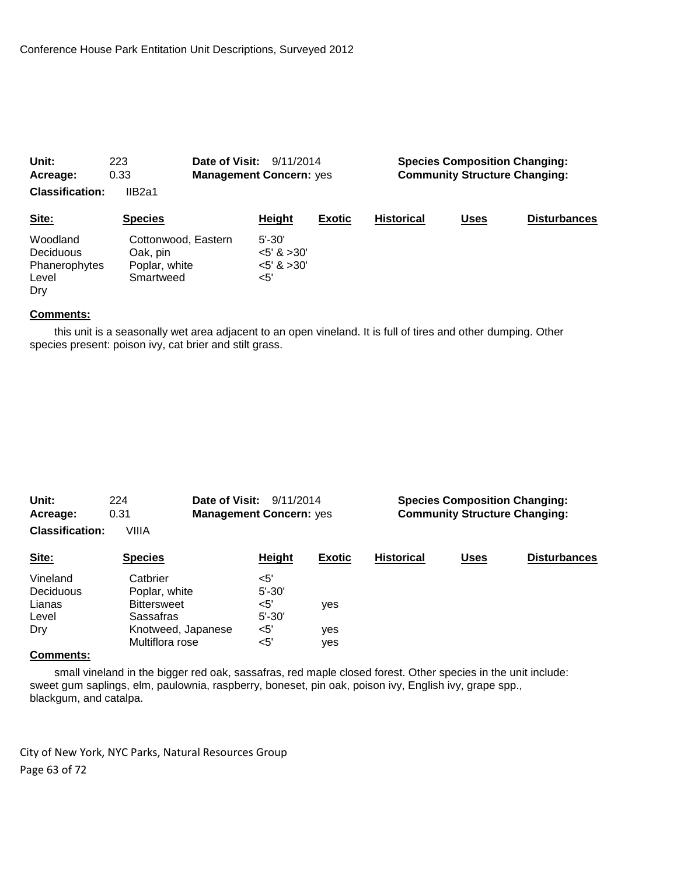| Unit:                                                         | Date of Visit:<br>223                                         |                                | 9/11/2014                                            |               | <b>Species Composition Changing:</b><br><b>Community Structure Changing:</b> |             |                     |  |
|---------------------------------------------------------------|---------------------------------------------------------------|--------------------------------|------------------------------------------------------|---------------|------------------------------------------------------------------------------|-------------|---------------------|--|
| 0.33<br>Acreage:                                              |                                                               | <b>Management Concern: yes</b> |                                                      |               |                                                                              |             |                     |  |
| <b>Classification:</b>                                        | IIB2a1                                                        |                                |                                                      |               |                                                                              |             |                     |  |
| Site:                                                         | <b>Species</b>                                                |                                | Height                                               | <b>Exotic</b> | <b>Historical</b>                                                            | <b>Uses</b> | <b>Disturbances</b> |  |
| Woodland<br><b>Deciduous</b><br>Phanerophytes<br>Level<br>Dry | Cottonwood, Eastern<br>Oak, pin<br>Poplar, white<br>Smartweed |                                | $5' - 30'$<br>$<5'$ & $>30'$<br>$5'$ & $>30'$<br><5' |               |                                                                              |             |                     |  |

 this unit is a seasonally wet area adjacent to an open vineland. It is full of tires and other dumping. Other species present: poison ivy, cat brier and stilt grass.

| Unit:<br>224<br>0.31<br>Acreage: |                    | Date of Visit:<br>9/11/2014<br><b>Management Concern: yes</b> |               | <b>Species Composition Changing:</b><br><b>Community Structure Changing:</b> |             |                     |  |
|----------------------------------|--------------------|---------------------------------------------------------------|---------------|------------------------------------------------------------------------------|-------------|---------------------|--|
| <b>Classification:</b>           | VIIIA              |                                                               |               |                                                                              |             |                     |  |
| Site:                            | <b>Species</b>     | Height                                                        | <b>Exotic</b> | <b>Historical</b>                                                            | <b>Uses</b> | <b>Disturbances</b> |  |
| Vineland                         | Catbrier           | $<$ 5'                                                        |               |                                                                              |             |                     |  |
| Deciduous                        | Poplar, white      | $5' - 30'$                                                    |               |                                                                              |             |                     |  |
| Lianas                           | <b>Bittersweet</b> | $5'$                                                          | ves           |                                                                              |             |                     |  |
| Level                            | Sassafras          | $5' - 30'$                                                    |               |                                                                              |             |                     |  |
| Dry                              | Knotweed, Japanese | $<$ 5'                                                        | yes           |                                                                              |             |                     |  |
|                                  | Multiflora rose    | $<$ 5'                                                        | yes           |                                                                              |             |                     |  |
| $\sim$                           |                    |                                                               |               |                                                                              |             |                     |  |

#### **Comments:**

 small vineland in the bigger red oak, sassafras, red maple closed forest. Other species in the unit include: sweet gum saplings, elm, paulownia, raspberry, boneset, pin oak, poison ivy, English ivy, grape spp., blackgum, and catalpa.

City of New York, NYC Parks, Natural Resources Group Page 63 of 72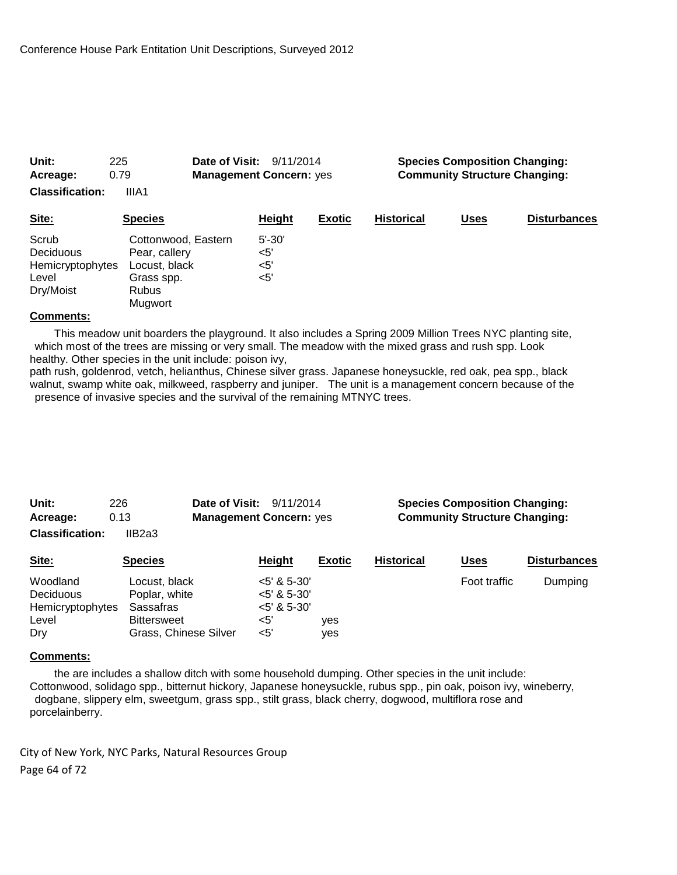| Unit:<br>Acreage:                                            | 225<br>0.79                                                                                    | Date of Visit:<br>9/11/2014<br><b>Management Concern: yes</b> |                                     |               | <b>Species Composition Changing:</b><br><b>Community Structure Changing:</b> |             |                     |  |
|--------------------------------------------------------------|------------------------------------------------------------------------------------------------|---------------------------------------------------------------|-------------------------------------|---------------|------------------------------------------------------------------------------|-------------|---------------------|--|
| <b>Classification:</b>                                       | IIIA1                                                                                          |                                                               |                                     |               |                                                                              |             |                     |  |
| Site:                                                        | <b>Species</b>                                                                                 |                                                               | Height                              | <b>Exotic</b> | <b>Historical</b>                                                            | <b>Uses</b> | <b>Disturbances</b> |  |
| Scrub<br>Deciduous<br>Hemicryptophytes<br>Level<br>Dry/Moist | Cottonwood, Eastern<br>Pear, callery<br>Locust, black<br>Grass spp.<br><b>Rubus</b><br>Mugwort |                                                               | $5' - 30'$<br><5'<br>$5'$<br>$<$ 5' |               |                                                                              |             |                     |  |

 This meadow unit boarders the playground. It also includes a Spring 2009 Million Trees NYC planting site, which most of the trees are missing or very small. The meadow with the mixed grass and rush spp. Look healthy. Other species in the unit include: poison ivy,

path rush, goldenrod, vetch, helianthus, Chinese silver grass. Japanese honeysuckle, red oak, pea spp., black walnut, swamp white oak, milkweed, raspberry and juniper. The unit is a management concern because of the presence of invasive species and the survival of the remaining MTNYC trees.

| Unit:<br>226<br>0.13<br>Acreage:<br><b>Classification:</b><br>IIB2a3 |                    | Date of Visit:<br>9/11/2014<br><b>Management Concern: yes</b> |               | <b>Species Composition Changing:</b><br><b>Community Structure Changing:</b> |              |                     |  |
|----------------------------------------------------------------------|--------------------|---------------------------------------------------------------|---------------|------------------------------------------------------------------------------|--------------|---------------------|--|
| Site:                                                                | <b>Species</b>     | Height                                                        | <b>Exotic</b> | <b>Historical</b>                                                            | <b>Uses</b>  | <b>Disturbances</b> |  |
| Woodland                                                             | Locust, black      | $<5'$ & 5-30'                                                 |               |                                                                              | Foot traffic | Dumping             |  |
| Deciduous                                                            | Poplar, white      | $<$ 5' & 5-30'                                                |               |                                                                              |              |                     |  |
| Hemicryptophytes                                                     | Sassafras          | $<$ 5' & 5-30'                                                |               |                                                                              |              |                     |  |
| Level                                                                | <b>Bittersweet</b> | $<$ 5'                                                        | ves           |                                                                              |              |                     |  |

#### **Comments:**

 the are includes a shallow ditch with some household dumping. Other species in the unit include: Cottonwood, solidago spp., bitternut hickory, Japanese honeysuckle, rubus spp., pin oak, poison ivy, wineberry, dogbane, slippery elm, sweetgum, grass spp., stilt grass, black cherry, dogwood, multiflora rose and porcelainberry.

City of New York, NYC Parks, Natural Resources Group Page 64 of 72

Dry Grass, Chinese Silver <5' yes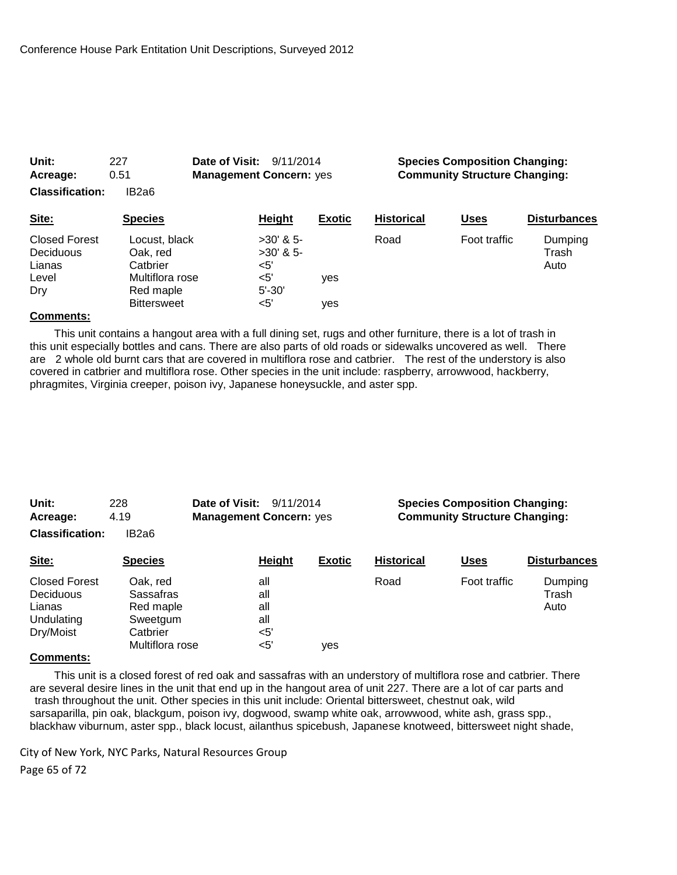| Unit:<br>Acreage:                           | 227<br>0.51                                        | <b>Date of Visit: 9/11/2014</b><br><b>Management Concern: yes</b> |               | <b>Species Composition Changing:</b><br><b>Community Structure Changing:</b> |              |                          |  |
|---------------------------------------------|----------------------------------------------------|-------------------------------------------------------------------|---------------|------------------------------------------------------------------------------|--------------|--------------------------|--|
| <b>Classification:</b>                      | IB2a6                                              |                                                                   |               |                                                                              |              |                          |  |
| Site:                                       | <b>Species</b>                                     | Height                                                            | <b>Exotic</b> | <b>Historical</b>                                                            | <b>Uses</b>  | <b>Disturbances</b>      |  |
| <b>Closed Forest</b><br>Deciduous<br>Lianas | Locust, black<br>Oak. red<br>Catbrier              | $>30'$ & 5-<br>$>30'$ & 5-<br><5'<br><5'                          |               | Road                                                                         | Foot traffic | Dumping<br>Trash<br>Auto |  |
| Level<br>Dry<br>$\sim$                      | Multiflora rose<br>Red maple<br><b>Bittersweet</b> | $5' - 30'$<br>$<$ 5'                                              | ves<br>ves    |                                                                              |              |                          |  |

 This unit contains a hangout area with a full dining set, rugs and other furniture, there is a lot of trash in this unit especially bottles and cans. There are also parts of old roads or sidewalks uncovered as well. There are 2 whole old burnt cars that are covered in multiflora rose and catbrier. The rest of the understory is also covered in catbrier and multiflora rose. Other species in the unit include: raspberry, arrowwood, hackberry, phragmites, Virginia creeper, poison ivy, Japanese honeysuckle, and aster spp.

| Unit:<br>228<br>4.19<br>Acreage:<br><b>Classification:</b><br>IB2a6 |                                    | <b>Date of Visit: 9/11/2014</b><br><b>Management Concern: yes</b> |                   |               | <b>Species Composition Changing:</b><br><b>Community Structure Changing:</b> |              |                          |
|---------------------------------------------------------------------|------------------------------------|-------------------------------------------------------------------|-------------------|---------------|------------------------------------------------------------------------------|--------------|--------------------------|
| Site:                                                               | <b>Species</b>                     |                                                                   | Height            | <b>Exotic</b> | <b>Historical</b>                                                            | <b>Uses</b>  | <b>Disturbances</b>      |
| <b>Closed Forest</b><br>Deciduous<br>Lianas                         | Oak. red<br>Sassafras<br>Red maple |                                                                   | all<br>all<br>all |               | Road                                                                         | Foot traffic | Dumping<br>Trash<br>Auto |

Multiflora rose <5' yes

# **Comments:**

 This unit is a closed forest of red oak and sassafras with an understory of multiflora rose and catbrier. There are several desire lines in the unit that end up in the hangout area of unit 227. There are a lot of car parts and trash throughout the unit. Other species in this unit include: Oriental bittersweet, chestnut oak, wild sarsaparilla, pin oak, blackgum, poison ivy, dogwood, swamp white oak, arrowwood, white ash, grass spp., blackhaw viburnum, aster spp., black locust, ailanthus spicebush, Japanese knotweed, bittersweet night shade,

City of New York, NYC Parks, Natural Resources Group Page 65 of 72

Undulating Sweetgum all Dry/Moist Catbrier <5'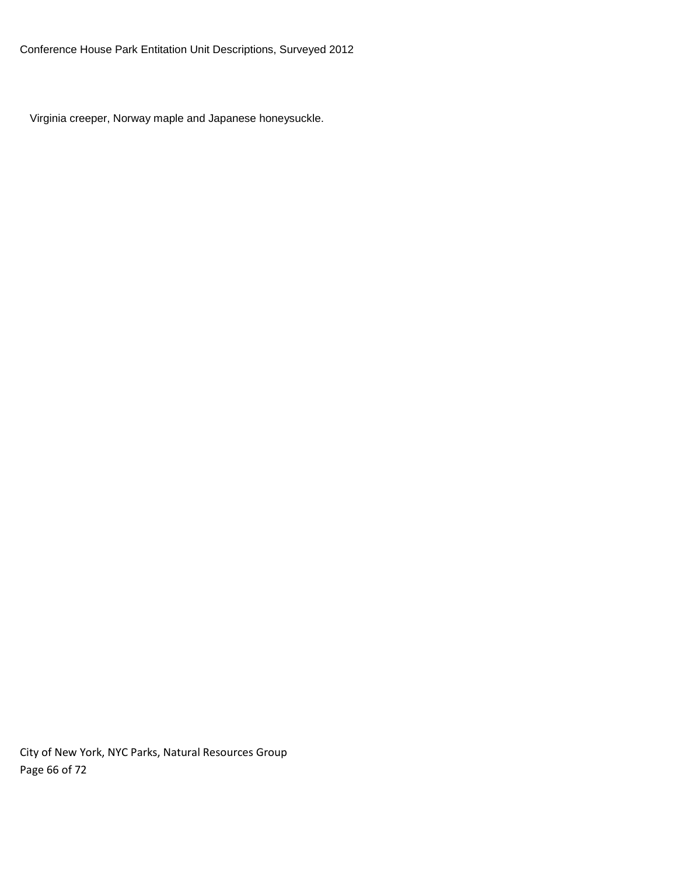Virginia creeper, Norway maple and Japanese honeysuckle.

City of New York, NYC Parks, Natural Resources Group Page 66 of 72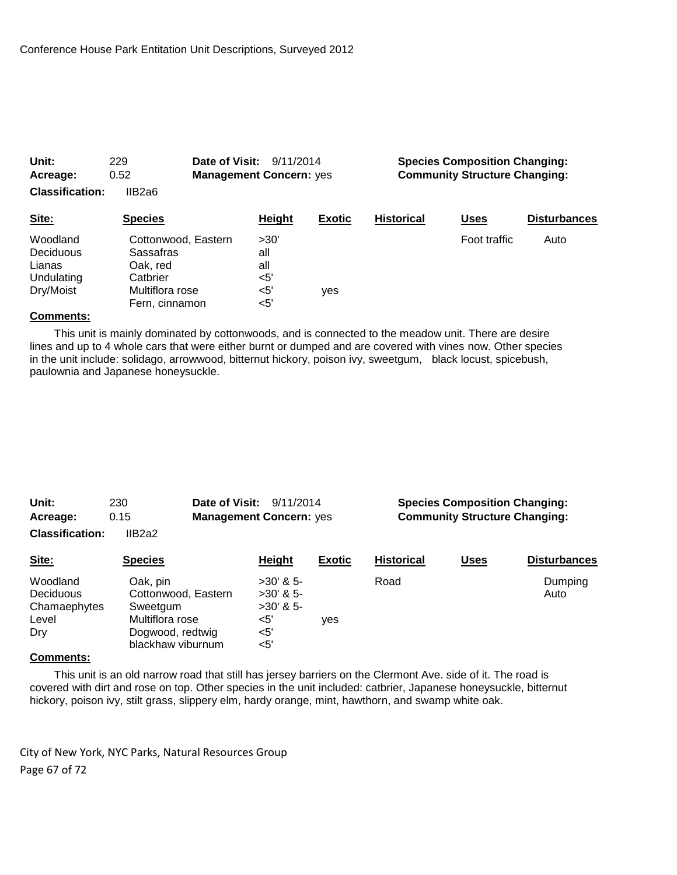| Unit:                  | 229                              | Date of Visit:<br>9/11/2014    |               | <b>Species Composition Changing:</b> |              |                     |  |
|------------------------|----------------------------------|--------------------------------|---------------|--------------------------------------|--------------|---------------------|--|
| Acreage:               | 0.52                             | <b>Management Concern: yes</b> |               | <b>Community Structure Changing:</b> |              |                     |  |
| <b>Classification:</b> | IIB2a6                           |                                |               |                                      |              |                     |  |
| Site:                  | <b>Species</b>                   | <b>Height</b>                  | <b>Exotic</b> | <b>Historical</b>                    | Uses         | <b>Disturbances</b> |  |
| Woodland<br>Deciduous  | Cottonwood, Eastern<br>Sassafras | >30'<br>all                    |               |                                      | Foot traffic | Auto                |  |
| Lianas<br>Undulating   | Oak, red<br>Catbrier             | all<br><5'                     |               |                                      |              |                     |  |
| Dry/Moist              | Multiflora rose                  | $<$ 5'                         | yes           |                                      |              |                     |  |
|                        | Fern, cinnamon                   | $<$ 5'                         |               |                                      |              |                     |  |

 This unit is mainly dominated by cottonwoods, and is connected to the meadow unit. There are desire lines and up to 4 whole cars that were either burnt or dumped and are covered with vines now. Other species in the unit include: solidago, arrowwood, bitternut hickory, poison ivy, sweetgum, black locust, spicebush, paulownia and Japanese honeysuckle.

| Unit:                  | Date of Visit:<br>230 |                                | 9/11/2014     |                   | <b>Species Composition Changing:</b> |                     |  |  |
|------------------------|-----------------------|--------------------------------|---------------|-------------------|--------------------------------------|---------------------|--|--|
| Acreage:               | 0.15                  | <b>Management Concern: yes</b> |               |                   | <b>Community Structure Changing:</b> |                     |  |  |
| <b>Classification:</b> | IIB2a2                |                                |               |                   |                                      |                     |  |  |
| Site:                  | <b>Species</b>        | Height                         | <b>Exotic</b> | <b>Historical</b> | <b>Uses</b>                          | <b>Disturbances</b> |  |  |
| Woodland               | Oak, pin              | $>30'$ & 5-                    |               | Road              |                                      | Dumping             |  |  |
| Deciduous              | Cottonwood, Eastern   | $>30'$ & 5-                    |               |                   |                                      | Auto                |  |  |
| Chamaephytes           | Sweetgum              | $>30'$ & 5-                    |               |                   |                                      |                     |  |  |
| Level                  | Multiflora rose       | <5'                            | ves           |                   |                                      |                     |  |  |
| Drv                    | Dogwood, redtwig      | <5'                            |               |                   |                                      |                     |  |  |

# **Comments:**

 This unit is an old narrow road that still has jersey barriers on the Clermont Ave. side of it. The road is covered with dirt and rose on top. Other species in the unit included: catbrier, Japanese honeysuckle, bitternut hickory, poison ivy, stilt grass, slippery elm, hardy orange, mint, hawthorn, and swamp white oak.

City of New York, NYC Parks, Natural Resources Group Page 67 of 72

blackhaw viburnum <5'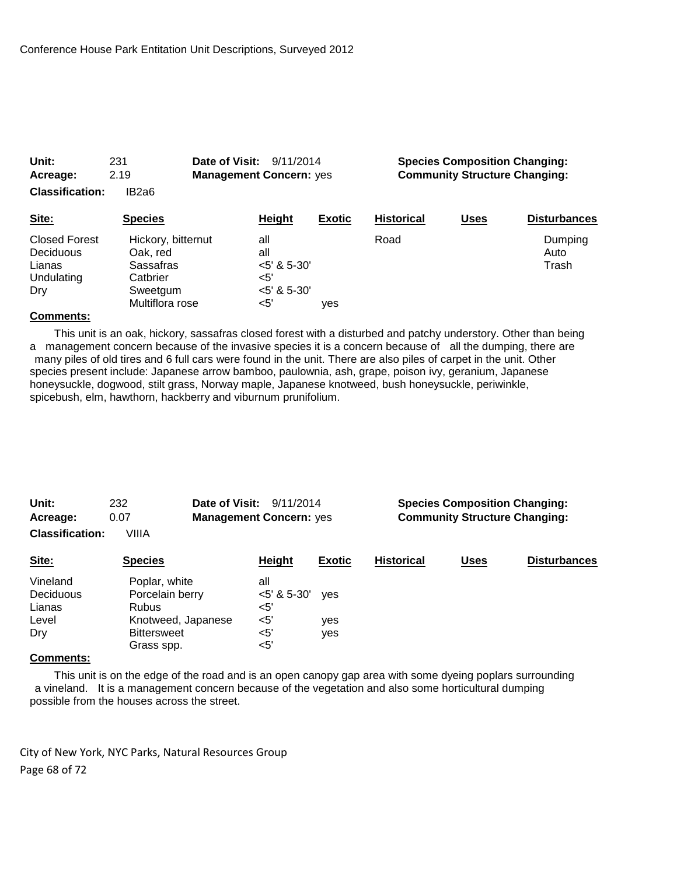| Acreage:<br><b>Classification:</b>                                      | 2.19<br>IB <sub>2</sub> a <sub>6</sub>                                                 | <b>Management Concern: yes</b>                                     |               | <b>Community Structure Changing:</b> |             |                          |
|-------------------------------------------------------------------------|----------------------------------------------------------------------------------------|--------------------------------------------------------------------|---------------|--------------------------------------|-------------|--------------------------|
| Site:                                                                   | <b>Species</b>                                                                         | Height                                                             | <b>Exotic</b> | <b>Historical</b>                    | <b>Uses</b> | <b>Disturbances</b>      |
| <b>Closed Forest</b><br><b>Deciduous</b><br>Lianas<br>Undulating<br>Dry | Hickory, bitternut<br>Oak, red<br>Sassafras<br>Catbrier<br>Sweetgum<br>Multiflora rose | all<br>all<br>$<$ 5' & 5-30'<br>$\leq 5'$<br>$<$ 5' & 5-30'<br><5' | ves           | Road                                 |             | Dumping<br>Auto<br>Trash |

**Unit:** 231 **Date of Visit:** 9/11/2014 **Species Composition Changing:**

### **Comments:**

 This unit is an oak, hickory, sassafras closed forest with a disturbed and patchy understory. Other than being a management concern because of the invasive species it is a concern because of all the dumping, there are many piles of old tires and 6 full cars were found in the unit. There are also piles of carpet in the unit. Other species present include: Japanese arrow bamboo, paulownia, ash, grape, poison ivy, geranium, Japanese honeysuckle, dogwood, stilt grass, Norway maple, Japanese knotweed, bush honeysuckle, periwinkle, spicebush, elm, hawthorn, hackberry and viburnum prunifolium.

| Unit:<br>Acreage:                        | 232<br>0.07                                                            | Date of Visit:<br>9/11/2014<br><b>Management Concern: yes</b> |               | <b>Species Composition Changing:</b><br><b>Community Structure Changing:</b> |             |                     |  |
|------------------------------------------|------------------------------------------------------------------------|---------------------------------------------------------------|---------------|------------------------------------------------------------------------------|-------------|---------------------|--|
| <b>Classification:</b>                   | VIIIA                                                                  |                                                               |               |                                                                              |             |                     |  |
| Site:                                    | <b>Species</b>                                                         | <b>Height</b>                                                 | <b>Exotic</b> | <b>Historical</b>                                                            | <u>Uses</u> | <b>Disturbances</b> |  |
| Vineland<br>Deciduous<br>Lianas<br>Level | Poplar, white<br>Porcelain berry<br><b>Rubus</b><br>Knotweed, Japanese | all<br>$<5'$ & 5-30'<br>$<$ 5'<br>$<$ 5'                      | ves<br>yes    |                                                                              |             |                     |  |
| Dry<br>Comments:                         | <b>Bittersweet</b><br>Grass spp.                                       | $<$ 5'<br>$<$ 5'                                              | yes           |                                                                              |             |                     |  |

#### **Comments:**

 This unit is on the edge of the road and is an open canopy gap area with some dyeing poplars surrounding a vineland. It is a management concern because of the vegetation and also some horticultural dumping possible from the houses across the street.

City of New York, NYC Parks, Natural Resources Group Page 68 of 72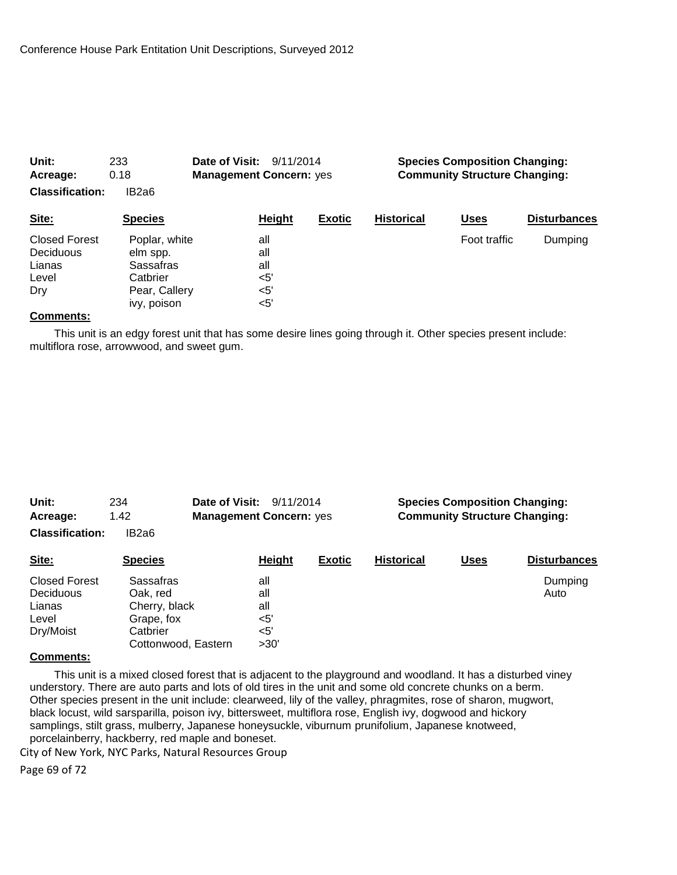| Unit:<br>Acreage:                                           | 233<br>0.18                                                                        | Date of Visit:<br>9/11/2014<br><b>Management Concern: yes</b> |               |                   | <b>Species Composition Changing:</b><br><b>Community Structure Changing:</b> |                     |  |  |
|-------------------------------------------------------------|------------------------------------------------------------------------------------|---------------------------------------------------------------|---------------|-------------------|------------------------------------------------------------------------------|---------------------|--|--|
| <b>Classification:</b>                                      | IB2a6                                                                              |                                                               |               |                   |                                                                              |                     |  |  |
| Site:                                                       | <b>Species</b>                                                                     | Height                                                        | <b>Exotic</b> | <b>Historical</b> | <b>Uses</b>                                                                  | <b>Disturbances</b> |  |  |
| <b>Closed Forest</b><br>Deciduous<br>Lianas<br>Level<br>Dry | Poplar, white<br>elm spp.<br>Sassafras<br>Catbrier<br>Pear, Callery<br>ivy, poison | all<br>all<br>all<br>$<$ 5'<br>$<$ 5'<br><5'                  |               |                   | Foot traffic                                                                 | Dumping             |  |  |

 This unit is an edgy forest unit that has some desire lines going through it. Other species present include: multiflora rose, arrowwood, and sweet gum.

| Unit:<br>Acreage:                 | Date of Visit:<br>234<br>1.42 | 9/11/2014<br><b>Management Concern: yes</b> |               | <b>Species Composition Changing:</b><br><b>Community Structure Changing:</b> |      |                     |  |
|-----------------------------------|-------------------------------|---------------------------------------------|---------------|------------------------------------------------------------------------------|------|---------------------|--|
| <b>Classification:</b>            | IB2a6                         |                                             |               |                                                                              |      |                     |  |
| Site:                             | <b>Species</b>                | Height                                      | <b>Exotic</b> | <b>Historical</b>                                                            | Uses | <b>Disturbances</b> |  |
| <b>Closed Forest</b><br>Deciduous | <b>Sassafras</b><br>Oak, red  | all<br>all                                  |               |                                                                              |      | Dumping<br>Auto     |  |
| Lianas                            | Cherry, black                 | all                                         |               |                                                                              |      |                     |  |
| Level                             | Grape, fox                    | <5'                                         |               |                                                                              |      |                     |  |
| Dry/Moist                         | Catbrier                      | $<$ 5'                                      |               |                                                                              |      |                     |  |
| $\sim$ $\sim$                     | Cottonwood, Eastern           | >30'                                        |               |                                                                              |      |                     |  |

## **Comments:**

 This unit is a mixed closed forest that is adjacent to the playground and woodland. It has a disturbed viney understory. There are auto parts and lots of old tires in the unit and some old concrete chunks on a berm. Other species present in the unit include: clearweed, lily of the valley, phragmites, rose of sharon, mugwort, black locust, wild sarsparilla, poison ivy, bittersweet, multiflora rose, English ivy, dogwood and hickory samplings, stilt grass, mulberry, Japanese honeysuckle, viburnum prunifolium, Japanese knotweed, porcelainberry, hackberry, red maple and boneset.

City of New York, NYC Parks, Natural Resources Group

Page 69 of 72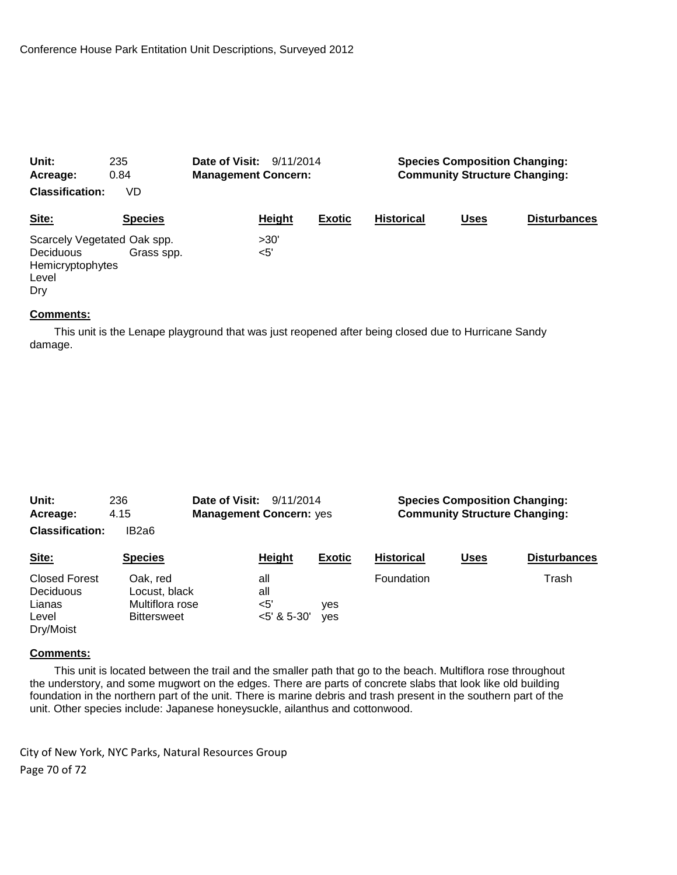| Unit:                       | 235            | Date of Visit:<br>9/11/2014<br><b>Management Concern:</b> |        | <b>Species Composition Changing:</b> |                   |             |                     |
|-----------------------------|----------------|-----------------------------------------------------------|--------|--------------------------------------|-------------------|-------------|---------------------|
| Acreage:                    | 0.84           |                                                           |        | <b>Community Structure Changing:</b> |                   |             |                     |
| <b>Classification:</b>      | VD             |                                                           |        |                                      |                   |             |                     |
| Site:                       | <b>Species</b> |                                                           | Height | <b>Exotic</b>                        | <b>Historical</b> | <b>Uses</b> | <b>Disturbances</b> |
| Scarcely Vegetated Oak spp. |                |                                                           | >30'   |                                      |                   |             |                     |
| <b>Deciduous</b>            | Grass spp.     |                                                           | <5'    |                                      |                   |             |                     |
| Hemicryptophytes            |                |                                                           |        |                                      |                   |             |                     |
| Level                       |                |                                                           |        |                                      |                   |             |                     |
| Drv                         |                |                                                           |        |                                      |                   |             |                     |

 This unit is the Lenape playground that was just reopened after being closed due to Hurricane Sandy damage.

| Unit:<br>Acreage:<br><b>Classification:</b>                       | 236<br>4.15<br>IB2a6                                               | Date of Visit:<br><b>Management Concern: yes</b> | 9/11/2014     |                   | <b>Species Composition Changing:</b><br><b>Community Structure Changing:</b> |                     |  |
|-------------------------------------------------------------------|--------------------------------------------------------------------|--------------------------------------------------|---------------|-------------------|------------------------------------------------------------------------------|---------------------|--|
| Site:                                                             | <b>Species</b>                                                     | Height                                           | <b>Exotic</b> | <b>Historical</b> | <b>Uses</b>                                                                  | <b>Disturbances</b> |  |
| <b>Closed Forest</b><br>Deciduous<br>Lianas<br>Level<br>Dry/Moist | Oak. red<br>Locust, black<br>Multiflora rose<br><b>Bittersweet</b> | all<br>all<br>$<$ 5'<br>$<$ 5' & 5-30'           | ves<br>ves    | Foundation        |                                                                              | Trash               |  |

#### **Comments:**

 This unit is located between the trail and the smaller path that go to the beach. Multiflora rose throughout the understory, and some mugwort on the edges. There are parts of concrete slabs that look like old building foundation in the northern part of the unit. There is marine debris and trash present in the southern part of the unit. Other species include: Japanese honeysuckle, ailanthus and cottonwood.

City of New York, NYC Parks, Natural Resources Group Page 70 of 72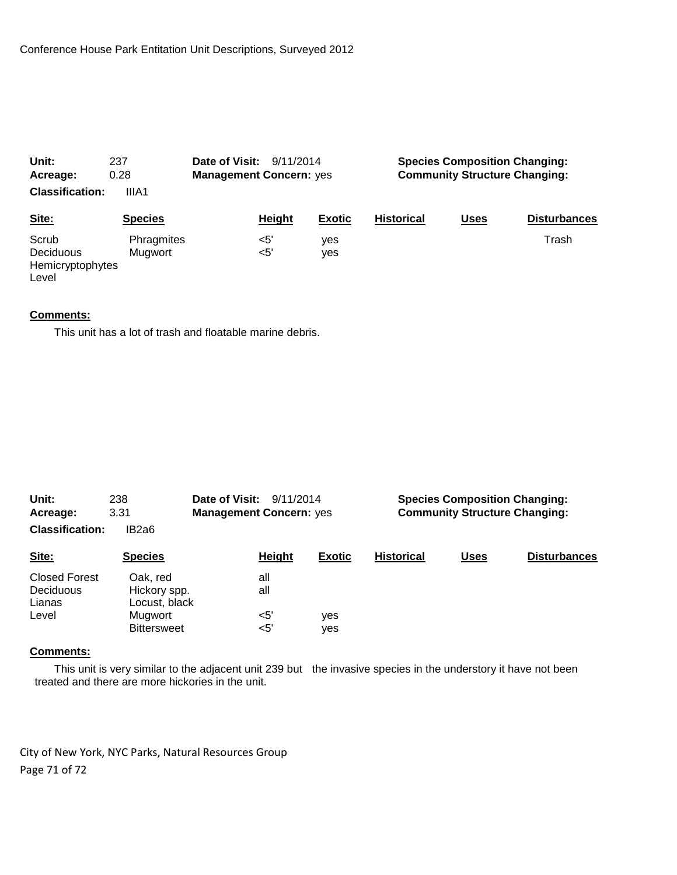| Unit:                                           | 237                   | <b>Date of Visit: 9/11/2014</b> |               | <b>Species Composition Changing:</b> |                   |             |                     |
|-------------------------------------------------|-----------------------|---------------------------------|---------------|--------------------------------------|-------------------|-------------|---------------------|
| Acreage:                                        | 0.28                  | <b>Management Concern: yes</b>  |               | <b>Community Structure Changing:</b> |                   |             |                     |
| <b>Classification:</b>                          | IIIA1                 |                                 |               |                                      |                   |             |                     |
| Site:                                           | <b>Species</b>        |                                 | Height        | <b>Exotic</b>                        | <b>Historical</b> | <b>Uses</b> | <b>Disturbances</b> |
| Scrub<br>Deciduous<br>Hemicryptophytes<br>Level | Phragmites<br>Mugwort |                                 | <5'<br>$<$ 5' | yes<br>yes                           |                   |             | Trash               |

This unit has a lot of trash and floatable marine debris.

| Unit:<br>Date of Visit:<br>238<br>9/11/2014<br>3.31<br><b>Management Concern: yes</b><br>Acreage: |                                           |                  | <b>Species Composition Changing:</b><br><b>Community Structure Changing:</b> |                   |             |                     |
|---------------------------------------------------------------------------------------------------|-------------------------------------------|------------------|------------------------------------------------------------------------------|-------------------|-------------|---------------------|
| <b>Classification:</b>                                                                            | IB2a6                                     |                  |                                                                              |                   |             |                     |
| Site:                                                                                             | <b>Species</b>                            | Height           | <b>Exotic</b>                                                                | <b>Historical</b> | <b>Uses</b> | <b>Disturbances</b> |
| <b>Closed Forest</b><br>Deciduous<br>Lianas                                                       | Oak, red<br>Hickory spp.<br>Locust, black | all<br>all       |                                                                              |                   |             |                     |
| Level                                                                                             | Mugwort<br><b>Bittersweet</b>             | $<$ 5'<br>$<$ 5' | yes<br>yes                                                                   |                   |             |                     |

#### **Comments:**

 This unit is very similar to the adjacent unit 239 but the invasive species in the understory it have not been treated and there are more hickories in the unit.

City of New York, NYC Parks, Natural Resources Group Page 71 of 72